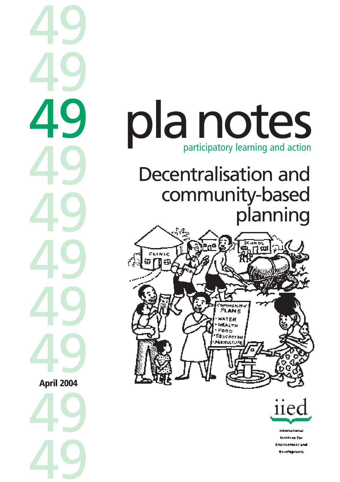49



### Decentralisation and community-based planning





Informational **Modelling for** Environment and **Development**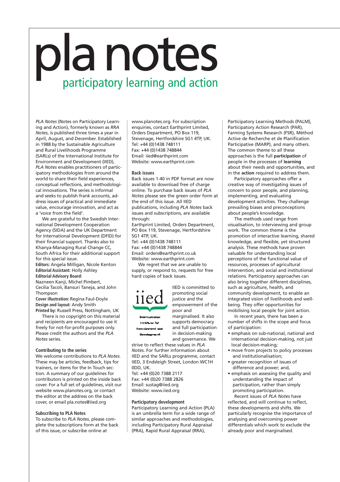# planotes participatory learning and action

*PLA Notes* (Notes on Participatory Learning and Action), formerly known as *RRA Notes*, is published three times a year in April, August, and December. Established in 1988 by the Sustainable Agriculture and Rural Livelihoods Programme (SARLs) of the International Institute for Environment and Development (IIED), *PLA Notes* enables practitioners of participatory methodologies from around the world to share their field experiences, conceptual reflections, and methodological innovations. The series is informal and seeks to publish frank accounts, address issues of practical and immediate value, encourage innovation, and act as a 'voice from the field'.

We are grateful to the Swedish International Development Cooperation Agency (SIDA) and the UK Department for International Development (DFID) for their financial support. Thanks also to Khanya-Managing Rural Change CC, South Africa for their additional support for this special issue. **Editors:** Angela Milligan, Nicole Kenton **Editorial Assistant:** Holly Ashley **Editorial Advisory Board:** Nazneen Kanji, Michel Pimbert, Cecilia Tacoli, Bansuri Taneja, and John Thompson

**Cover illustration:** Regina Faul-Doyle **Design and layout:** Andy Smith **Printed by:** Russell Press, Nottingham, UK

There is no copyright on this material and recipients are encouraged to use it freely for not-for-profit purposes only. Please credit the authors and the *PLA Notes* series.

### **Contributing to the series**

We welcome contributions to *PLA Notes*. These may be articles, feedback, tips for trainers, or items for the In Touch section. A summary of our guidelines for contributors is printed on the inside back cover. For a full set of guidelines, visit our website www.planotes.org, or contact the editor at the address on the back cover, or email pla.notes@iied.org

### **Subscribing to PLA Notes**

To subscribe to *PLA Notes*, please complete the subscriptions form at the back of this issue, or subscribe online at

www.planotes.org. For subscription enquiries, contact Earthprint Limited, Orders Department, PO Box 119, Stevenage, Hertfordshire SG1 4TP, UK. Tel: +44 (0)1438 748111 Fax: +44 (0)1438 748844 Email: iied@earthprint.com Website: www.earthprint.com

### **Back issues**

Back issues 1-40 in PDF format are now available to download free of charge online. To purchase back issues of *PLA Notes* please see the green order form at the end of this issue. All IIED publications, including *PLA Notes* back issues and subscriptions, are available through:

Earthprint Limited, Orders Department, PO Box 119, Stevenage, Hertfordshire SG1 4TP, UK.

Tel: +44 (0)1438 748111 Fax: +44 (0)1438 748844 Email: orders@earthprint.co.uk

Website: www.earthprint.com We regret that we are unable to

supply, or respond to, requests for free hard copies of back issues.



IIED is committed to promoting social justice and the empowerment of the poor and

marginalised. It also supports democracy and full participation in decision-making and governance. We

strive to reflect these values in *PLA Notes*. For further information about IIED and the SARLs programme, contact IIED, 3 Endsleigh Street, London WC1H 0DD, UK.

Tel: +44 (0)20 7388 2117 Fax: +44 (0)20 7388 2826 Email: sustag@iied.org Website: www.iied.org

### **Participatory development**

Participatory Learning and Action (PLA) is an umbrella term for a wide range of similar approaches and methodologies, including Participatory Rural Appraisal (PRA), Rapid Rural Appraisal (RRA),

Participatory Learning Methods (PALM), Participatory Action Research (PAR), Farming Systems Research (FSR), Méthod Active de Recherche et de Planification Participative (MARP), and many others. The common theme to all these approaches is the full **participation** of people in the processes of **learning** about their needs and opportunities, and in the **action** required to address them.

Participatory approaches offer a creative way of investigating issues of concern to poor people, and planning, implementing, and evaluating development activities. They challenge prevailing biases and preconceptions about people's knowledge.

The methods used range from visualisation, to interviewing and group work. The common theme is the promotion of interactive learning, shared knowledge, and flexible, yet structured analysis. These methods have proven valuable for understanding local perceptions of the functional value of resources, processes of agricultural intervention, and social and institutional relations. Participatory approaches can also bring together different disciplines, such as agriculture, health, and community development, to enable an integrated vision of livelihoods and wellbeing. They offer opportunities for mobilising local people for joint action.

In recent years, there has been a number of shifts in the scope and focus of participation:

- emphasis on sub-national, national and international decision-making, not just local decision-making;
- move from projects to policy processes and institutionalisation;
- greater recognition of issues of difference and power; and,
- emphasis on assessing the quality and understanding the impact of participation, rather than simply promoting participation. Recent issues of *PLA Notes* have

reflected, and will continue to reflect, these developments and shifts. We particularly recognise the importance of analysing and overcoming power differentials which work to exclude the already poor and marginalised.

**INVESTIGATION Internation for Event General and** .<br>Pr<del>estaura</del>nt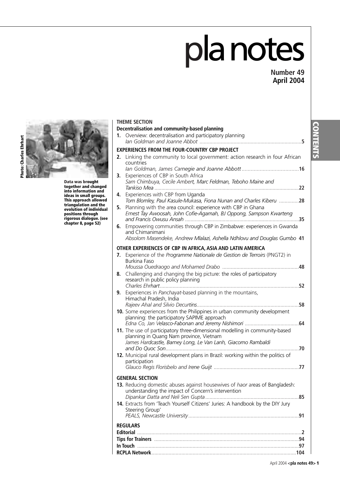### planotes



**Data was brought together and changed into information and ideas in small groups. This approach allowed triangulation and the evolution of individual positions through rigorous dialogue. (see chapter 8, page 52)**

### **THEME SECTION**

|    | <b>THEME SECTION</b>                                                                                                                                                                   |
|----|----------------------------------------------------------------------------------------------------------------------------------------------------------------------------------------|
| 1. | Decentralisation and community-based planning<br>Overview: decentralisation and participatory planning                                                                                 |
|    |                                                                                                                                                                                        |
|    | <b>EXPERIENCES FROM THE FOUR-COUNTRY CBP PROJECT</b>                                                                                                                                   |
| 2. | Linking the community to local government: action research in four African<br>countries                                                                                                |
|    |                                                                                                                                                                                        |
| 3. | Experiences of CBP in South Africa<br>Sam Chimbuya, Cecile Ambert, Marc Feldman, Teboho Maine and                                                                                      |
| 4. | Experiences with CBP from Uganda<br>Tom Blomley, Paul Kasule-Mukasa, Fiona Nunan and Charles Kiberu 28                                                                                 |
| 5. | Planning with the area council: experience with CBP in Ghana<br>Ernest Tay Awoosah, John Cofie-Agamah, BJ Oppong, Sampson Kwarteng                                                     |
| 6. | Empowering communities through CBP in Zimbabwe: experiences in Gwanda<br>and Chimanimani                                                                                               |
|    | Absolom Masendeke, Andrew Mlalazi, Ashella Ndhlovu and Douglas Gumbo 41                                                                                                                |
|    | OTHER EXPERIENCES OF CBP IN AFRICA, ASIA AND LATIN AMERICA                                                                                                                             |
| 7. | Experience of the Programme Nationale de Gestion de Terroirs (PNGT2) in<br>Burkina Faso                                                                                                |
| 8. | Challenging and changing the big picture: the roles of participatory<br>research in public policy planning                                                                             |
| 9. | Experiences in Panchayat-based planning in the mountains,<br>Himachal Pradesh, India                                                                                                   |
|    | 10. Some experiences from the Philippines in urban community development<br>planning: the participatory SAPIME approach                                                                |
|    | 11. The use of participatory three-dimensional modelling in community-based<br>planning in Quang Nam province, Vietnam<br>James Hardcastle, Barney Long, Le Van Lanh, Giacomo Rambaldi |
|    | 12. Municipal rural development plans in Brazil: working within the politics of<br>participation                                                                                       |
|    | <b>GENERAL SECTION</b>                                                                                                                                                                 |
|    | 13. Reducing domestic abuses against housewives of haor areas of Bangladesh:<br>understanding the impact of Concern's intervention                                                     |
|    | 14. Extracts from 'Teach Yourself Citizens' Juries: A handbook by the DIY Jury<br>Steering Group'                                                                                      |
|    |                                                                                                                                                                                        |
|    | <b>REGULARS</b>                                                                                                                                                                        |
|    |                                                                                                                                                                                        |
|    |                                                                                                                                                                                        |

**RCPLA Network**......................................................................................................**104**

**CONTENTS CONTENTS**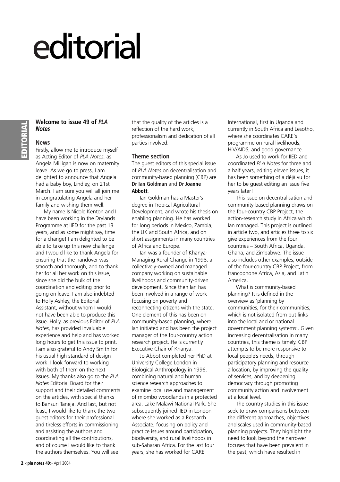### editorial

### **Welcome to issue 49 of** *PLA Notes*

### **News**

Firstly, allow me to introduce myself as Acting Editor of *PLA Notes*, as Angela Milligan is now on maternity leave. As we go to press, I am delighted to announce that Angela had a baby boy, Lindley, on 21st March. I am sure you will all join me in congratulating Angela and her family and wishing them well.

My name Is Nicole Kenton and I have been working in the Drylands Programme at IIED for the past 13 years, and as some might say, time for a change! I am delighted to be able to take up this new challenge and I would like to thank Angela for ensuring that the handover was smooth and thorough, and to thank her for all her work on this issue, since she did the bulk of the coordination and editing prior to going on leave. I am also indebted to Holly Ashley, the Editorial Assistant, without whom I would not have been able to produce this issue. Holly, as previous Editor of *PLA Notes*, has provided invaluable experience and help and has worked long hours to get this issue to print. I am also grateful to Andy Smith for his usual high standard of design work. I look forward to working with both of them on the next issues. My thanks also go to the *PLA Notes* Editorial Board for their support and their detailed comments on the articles, with special thanks to Bansuri Taneja. And last, but not least, I would like to thank the two guest editors for their professional and tireless efforts in commissioning and assisting the authors and coordinating all the contributions, and of course I would like to thank the authors themselves. You will see

that the quality of the articles is a reflection of the hard work, professionalism and dedication of all parties involved.

### **Theme section**

The guest editors of this special issue of *PLA Notes* on decentralisation and community-based planning (CBP) are **Dr Ian Goldman** and **Dr Joanne Abbott**.

Ian Goldman has a Master's degree in Tropical Agricultural Development, and wrote his thesis on enabling planning. He has worked for long periods in Mexico, Zambia, the UK and South Africa, and on short assignments in many countries of Africa and Europe.

Ian was a founder of Khanya-Managing Rural Change in 1998, a collectively-owned and managed company working on sustainable livelihoods and community-driven development. Since then Ian has been involved in a range of work focusing on poverty and reconnecting citizens with the state. One element of this has been on community-based planning, where Ian initiated and has been the project manager of the four-country action research project. He is currently Executive Chair of Khanya.

Jo Abbot completed her PhD at University College London in Biological Anthropology in 1996, combining natural and human science research approaches to examine local use and management of miombo woodlands in a protected area, Lake Malawi National Park. She subsequently joined IIED in London where she worked as a Research Associate, focusing on policy and practice issues around participation, biodiversity, and rural livelihoods in sub-Saharan Africa. For the last four years, she has worked for CARE

International, first in Uganda and currently in South Africa and Lesotho, where she coordinates CARE's programme on rural livelihoods, HIV/AIDS, and good governance.

As Jo used to work for IIED and coordinated *PLA Notes* for three and a half years, editing eleven issues, it has been something of a déjà vu for her to be guest editing an issue five years later!

This issue on decentralisation and community-based planning draws on the four-country CBP Project, the action-research study in Africa which Ian managed. This project is outlined in article two, and articles three to six give experiences from the four countries – South Africa, Uganda, Ghana, and Zimbabwe. The issue also includes other examples, outside of the four-country CBP Project, from francophone Africa, Asia, and Latin America.

What is community-based planning? It is defined in the overview as 'planning by communities, for their communities, which is not isolated from but links into the local and or national government planning systems'. Given increasing decentralisation in many countries, this theme is timely. CBP attempts to be more responsive to local people's needs, through participatory planning and resource allocation, by improving the quality of services, and by deepening democracy through promoting community action and involvement at a local level.

The country studies in this issue seek to draw comparisons between the different approaches, objectives and scales used in community-based planning projects. They highlight the need to look beyond the narrower focuses that have been prevalent in the past, which have resulted in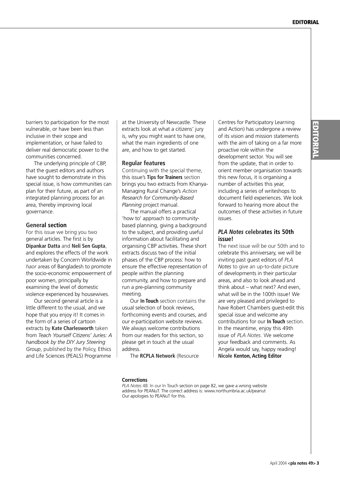**EDITORIAL**

barriers to participation for the most vulnerable, or have been less than inclusive in their scope and implementation, or have failed to deliver real democratic power to the communities concerned.

The underlying principle of CBP, that the guest editors and authors have sought to demonstrate in this special issue, is how communities can plan for their future, as part of an integrated planning process for an area, thereby improving local governance.

### **General section**

For this issue we bring you two general articles. The first is by **Dipankar Datta** and **Neli Sen Gupta**, and explores the effects of the work undertaken by Concern Worldwide in *haor* areas of Bangladesh to promote the socio-economic empowerment of poor women, principally by examining the level of domestic violence experienced by housewives.

Our second general article is a little different to the usual, and we hope that you enjoy it! It comes in the form of a series of cartoon extracts by **Kate Charlesworth** taken from *Teach Yourself Citizens' Juries: A handbook by the DIY Jury Steering Group*, published by the Policy, Ethics and Life Sciences (PEALS) Programme

at the University of Newcastle. These extracts look at what a citizens' jury is, why you might want to have one, what the main ingredients of one are, and how to get started.

### **Regular features**

Continuing with the special theme, this issue's **Tips for Trainers** section brings you two extracts from Khanya-Managing Rural Change's *Action Research for Community-Based Planning* project manual.

The manual offers a practical 'how to' approach to communitybased planning, giving a background to the subject, and providing useful information about facilitating and organising CBP activities. These short extracts discuss two of the initial phases of the CBP process: how to ensure the effective representation of people within the planning community, and how to prepare and run a pre-planning community meeting.

Our **In Touch** section contains the usual selection of book reviews, forthcoming events and courses, and our e-participation website reviews. We always welcome contributions from our readers for this section, so please get in touch at the usual address.

The **RCPLA Network** (Resource

Centres for Participatory Learning and Action) has undergone a review of its vision and mission statements with the aim of taking on a far more proactive role within the development sector. You will see from the update, that in order to orient member organisation towards this new focus, it is organising a number of activities this year, including a series of writeshops to document field experiences. We look forward to hearing more about the outcomes of these activities in future issues.

### *PLA Notes* **celebrates its 50th issue!**

The next issue will be our 50th and to celebrate this anniversary, we will be inviting past guest editors of *PLA Notes* to give an up-to-date picture of developments in their particular areas, and also to look ahead and think about – what next? And even, what will be in the 100th issue! We are very pleased and privileged to have Robert Chambers guest-edit this special issue and welcome any contributions for our **In Touch** section. In the meantime, enjoy this 49th issue of *PLA Notes*. We welcome your feedback and comments. As Angela would say, happy reading! **Nicole Kenton, Acting Editor**

### **Corrections**

*PLA Notes* 48: In our In Touch section on page 82, we gave a wrong website address for PEANuT. The correct address is: www.northumbria.ac.uk/peanut Our apologies to PEANuT for this.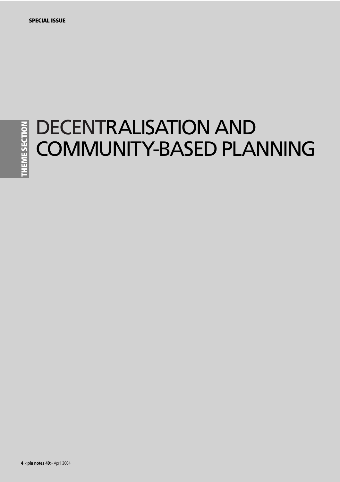### DECENTRALISATION AND COMMUNITY-BASED PLANNING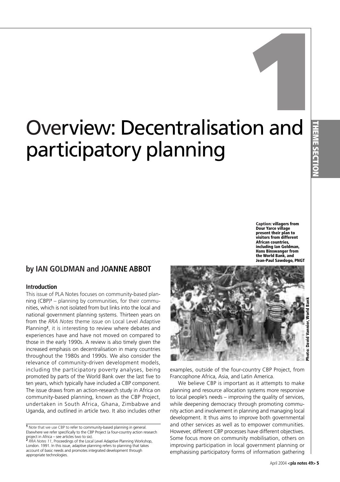## Overview: Decentralisation and participatory planning **1**

### **Caption: villagers from Dour Yarce village present their plan to visitors from different African countries, including Ian Goldman, Hans Binswanger from the World Bank, and Jean-Paul Sawdogo, PNGT**

### **by IAN GOLDMAN and JOANNE ABBOT**

### **Introduction**

This issue of PLA Notes focuses on community-based planning (CBP)**<sup>1</sup>** – planning by communities, for their communities, which is not isolated from but links into the local and national government planning systems. Thirteen years on from the *RRA Notes* theme issue on Local Level Adaptive Planning**2**, it is interesting to review where debates and experiences have and have not moved on compared to those in the early 1990s. A review is also timely given the increased emphasis on decentralisation in many countries throughout the 1980s and 1990s. We also consider the relevance of community-driven development models, including the participatory poverty analyses, being promoted by parts of the World Bank over the last five to ten years, which typically have included a CBP component. The issue draws from an action-research study in Africa on community-based planning, known as the CBP Project, undertaken in South Africa, Ghana, Zimbabwe and Uganda, and outlined in article two. It also includes other



examples, outside of the four-country CBP Project, from Francophone Africa, Asia, and Latin America.

We believe CBP is important as it attempts to make planning and resource allocation systems more responsive to local people's needs – improving the quality of services, while deepening democracy through promoting community action and involvement in planning and managing local development. It thus aims to improve both governmental and other services as well as to empower communities. However, different CBP processes have different objectives. Some focus more on community mobilisation, others on improving participation in local government planning or emphasising participatory forms of information gathering

**<sup>1</sup>** Note that we use CBP to refer to community-based planning in general. Elsewhere we refer specifically to the CBP Project (a four-country action research project in Africa – see articles two to six).

project in Africa – see articles two to six). **<sup>2</sup>** *RRA Notes 11*, Proceedings of the Local Level Adaptive Planning Workshop, London. 1991. In this issue, adaptive planning refers to planning that takes account of basic needs and promotes integrated development through appropriate technologies.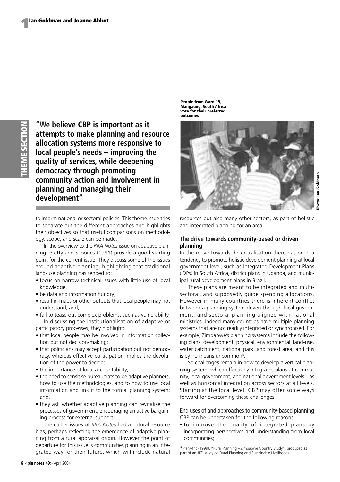**"We believe CBP is important as it attempts to make planning and resource allocation systems more responsive to local people's needs – improving the quality of services, while deepening democracy through promoting community action and involvement in planning and managing their development"**

to inform national or sectoral policies. This theme issue tries to separate out the different approaches and highlights their objectives so that useful comparisons on methodology, scope, and scale can be made.

In the overview to the *RRA Notes* issue on adaptive planning, Pretty and Scoones (1991) provide a good starting point for the current issue. They discuss some of the issues around adaptive planning, highlighting that traditional land-use planning has tended to:

- focus on narrow technical issues with little use of local knowledge;
- be data and information hungry;
- result in maps or other outputs that local people may not understand; and,

• fail to tease out complex problems, such as vulnerability. In discussing the institutionalisation of adaptive or participatory processes, they highlight:

- that local people may be involved in information collection but not decision-making;
- that politicians may accept participation but not democracy, whereas effective participation implies the devolution of the power to decide;
- the importance of local accountability;
- the need to sensitise bureaucrats to be adaptive planners, how to use the methodologies, and to how to use local information and link it to the formal planning system; and,
- they ask whether adaptive planning can revitalise the processes of government, encouraging an active bargaining process for external support.

The earlier issues of *RRA Notes* had a natural resource bias, perhaps reflecting the emergence of adaptive planning from a rural appraisal origin. However the point of departure for this issue is communities planning in an integrated way for their future, which will include natural **People from Ward 19, Mangaung, South Africa vote for their preferred outcomes**



resources but also many other sectors, as part of holistic and integrated planning for an area.

### **The drive towards community-based or driven planning**

In the move towards decentralisation there has been a tendency to promote holistic development planning at local government level, such as Integrated Development Plans (IDPs) in South Africa, district plans in Uganda, and municipal rural development plans in Brazil.

These plans are meant to be integrated and multisectoral, and supposedly guide spending allocations. However in many countries there is inherent conflict between a planning system driven through local government, and sectoral planning aligned with national ministries. Indeed many countries have multiple planning systems that are not readily integrated or synchronised. For example, Zimbabwe's planning systems include the following plans: development, physical, environmental, land-use, water catchment, national park, and forest area, and this is by no means uncommon**3**.

So challenges remain in how to develop a vertical planning system, which effectively integrates plans at community, local government, and national government levels – as well as horizontal integration across sectors at all levels. Starting at the local level, CBP may offer some ways forward for overcoming these challenges.

End uses of and approaches to community-based planning CBP can be undertaken for the following reasons:

• to improve the quality of integrated plans by incorporating perspectives and understanding from local communities;

**<sup>3</sup>** PlanAfric (1999), "Rural Planning – Zimbabwe Country Study", produced as part of an IIED study on Rural Planning and Sustainable Livelihoods.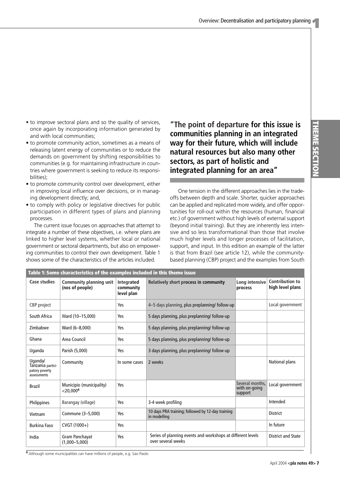ing communities to control their own development. Table 1 shows some of the characteristics of the articles included. **Table 1: Some characteristics of the examples included in this theme issue Case studies | Community planning unit | Integrated** CBP project **(nos of people) community level plan** Yes **Relatively short process in community**

• to improve sectoral plans and so the quality of services, once again by incorporating information generated by

• to promote community action, sometimes as a means of releasing latent energy of communities or to reduce the demands on government by shifting responsibilities to communities (e.g. for maintaining infrastructure in countries where government is seeking to reduce its responsi-

• to promote community control over development, either in improving local influence over decisions, or in manag-

• to comply with policy or legislative directives for public participation in different types of plans and planning

The current issue focuses on approaches that attempt to integrate a number of these objectives, i.e. where plans are linked to higher level systems, whether local or national government or sectoral departments, but also on empower-

and with local communities;

ing development directly; and,

bilities);

processes.

**"The point of departure for this issue is communities planning in an integrated way for their future, which will include natural resources but also many other sectors, as part of holistic and integrated planning for an area"**

One tension in the different approaches lies in the tradeoffs between depth and scale. Shorter, quicker approaches can be applied and replicated more widely, and offer opportunities for roll-out within the resources (human, financial etc.) of government without high levels of external support (beyond initial training). But they are inherently less intensive and so less transformational than those that involve much higher levels and longer processes of facilitation, support, and input. In this edition an example of the latter is that from Brazil (see article 12), while the communitybased planning (CBP) project and the examples from South

| <b>Case studies</b>                                           | Community planning unit<br>(nos of people)          | Integrated<br>community<br>level plan | Relatively short process in community                                             | Long intensive<br>process                   | <b>Contribution to</b><br>high level plans |
|---------------------------------------------------------------|-----------------------------------------------------|---------------------------------------|-----------------------------------------------------------------------------------|---------------------------------------------|--------------------------------------------|
| CBP project                                                   |                                                     | Yes                                   | 4-5 days planning, plus preplanning/ follow-up                                    |                                             | Local government                           |
| South Africa                                                  | Ward (10-15,000)                                    | Yes                                   | 5 days planning, plus preplanning/ follow-up                                      |                                             |                                            |
| Zimbabwe                                                      | Ward (6-8,000)                                      | Yes                                   | 5 days planning, plus preplanning/ follow-up                                      |                                             |                                            |
| Ghana                                                         | Area Council                                        | Yes                                   | 5 days planning, plus preplanning/ follow-up                                      |                                             |                                            |
| Uganda                                                        | Parish (5,000)                                      | Yes                                   | 3 days planning, plus preplanning/follow-up                                       |                                             |                                            |
| Uganda/<br>Tanzania partici-<br>patory poverty<br>assessments | Community                                           | In some cases                         | 2 weeks                                                                           |                                             | National plans                             |
| <b>Brazil</b>                                                 | Municipio (municipality)<br>$<$ 20,000 <sup>4</sup> | Yes                                   |                                                                                   | Several months.<br>with on-going<br>support | Local government                           |
| Philippines                                                   | Barangay (village)                                  | Yes                                   | 3-4 week profiling                                                                |                                             | Intended                                   |
| Vietnam                                                       | Commune (3-5,000)                                   | Yes                                   | 10 days PRA training; followed by 12-day training<br>in modelling                 |                                             | <b>District</b>                            |
| <b>Burkina Faso</b>                                           | CVGT (1000+)                                        | Yes                                   |                                                                                   |                                             | In future                                  |
| India                                                         | Gram Panchayat<br>$(1.000 - 5.000)$                 | Yes                                   | Series of planning events and workshops at different levels<br>over several weeks |                                             | <b>District and State</b>                  |

**<sup>4</sup>** Although some municipalities can have millions of people, e.g. Sao Paolo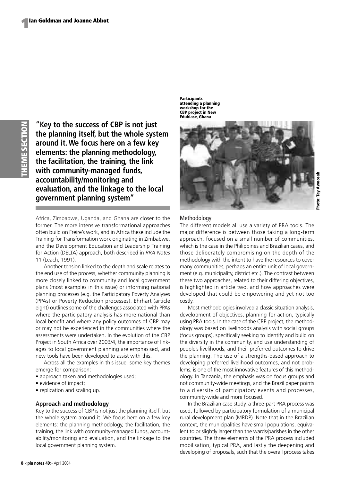**"Key to the success of CBP is not just the planning itself, but the whole system around it. We focus here on a few key elements: the planning methodology, the facilitation, the training, the link with community-managed funds, accountability/monitoring and evaluation, and the linkage to the local government planning system"**

Africa, Zimbabwe, Uganda, and Ghana are closer to the former. The more intensive transformational approaches often build on Freire's work, and in Africa these include the Training for Transformation work originating in Zimbabwe, and the Development Education and Leadership Training for Action (DELTA) approach, both described in *RRA Notes* 11 (Leach, 1991).

Another tension linked to the depth and scale relates to the end use of the process, whether community planning is more closely linked to community and local government plans (most examples in this issue) or informing national planning processes (e.g. the Participatory Poverty Analyses (PPAs) or Poverty Reduction processes). Ehrhart (article eight) outlines some of the challenges associated with PPAs where the participatory analysis has more national than local benefit and where any policy outcomes of CBP may or may not be experienced in the communities where the assessments were undertaken. In the evolution of the CBP Project in South Africa over 2003/4, the importance of linkages to local government planning are emphasised, and new tools have been developed to assist with this.

Across all the examples in this issue, some key themes emerge for comparison:

- approach taken and methodologies used;
- evidence of impact;
- replication and scaling up.

### **Approach and methodology**

Key to the success of CBP is not just the planning itself, but the whole system around it. We focus here on a few key elements: the planning methodology, the facilitation, the training, the link with community-managed funds, accountability/monitoring and evaluation, and the linkage to the local government planning system.

**Participants attending a planning workshop for the CBP project in New Edubiase, Ghana**



### Methodology

The different models all use a variety of PRA tools. The major difference is between those taking a long-term approach, focused on a small number of communities, which is the case in the Philippines and Brazilian cases, and those deliberately compromising on the depth of the methodology with the intent to have the resources to cover many communities, perhaps an entire unit of local government (e.g. municipality, district etc.). The contrast between these two approaches, related to their differing objectives, is highlighted in article two, and how approaches were developed that could be empowering and yet not too costly.

Most methodologies involved a classic situation analysis, development of objectives, planning for action, typically using PRA tools. In the case of the CBP project, the methodology was based on livelihoods analysis with social groups (focus groups), specifically seeking to identify and build on the diversity in the community, and use understanding of people's livelihoods, and their preferred outcomes to drive the planning. The use of a strengths-based approach to developing preferred livelihood outcomes, and not problems, is one of the most innovative features of this methodology. In Tanzania, the emphasis was on focus groups and not community-wide meetings, and the Brazil paper points to a diversity of participatory events and processes, community-wide and more focused.

In the Brazilian case study, a three-part PRA process was used, followed by participatory formulation of a municipal rural development plan (MRDP). Note that in the Brazilian context, the municipalities have small populations, equivalent to or slightly larger than the wards/parishes in the other countries. The three elements of the PRA process included mobilisation, typical PRA, and lastly the deepening and developing of proposals, such that the overall process takes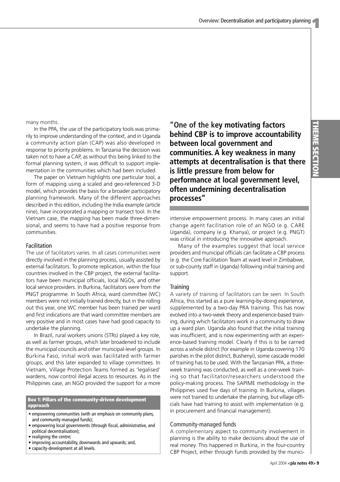many months.

In the PPA, the use of the participatory tools was primarily to improve understanding of the context, and in Uganda a community action plan (CAP) was also developed in response to priority problems. In Tanzania the decision was taken not to have a CAP, as without this being linked to the formal planning system, it was difficult to support implementation in the communities which had been included.

The paper on Vietnam highlights one particular tool, a form of mapping using a scaled and geo-referenced 3-D model, which provides the basis for a broader participatory planning framework. Many of the different approaches described in this edition, including the India example (article nine), have incorporated a mapping or transect tool. In the Vietnam case, the mapping has been made three-dimensional, and seems to have had a positive response from communities.

### Facilitation

The use of facilitators varies. In all cases communities were directly involved in the planning process, usually assisted by external facilitators. To promote replication, within the four countries involved in the CBP project, the external facilitators have been municipal officials, local NGOs, and other local service providers. In Burkina, facilitators were from the PNGT programme. In South Africa, ward committee (WC) members were not initially trained directly, but in the rolling out this year, one WC member has been trained per ward and first indications are that ward committee members are very positive and in most cases have had good capacity to undertake the planning.

In Brazil, rural workers unions (STRs) played a key role, as well as farmer groups, which later broadened to include the municipal councils and other municipal-level groups. In Burkina Faso, initial work was facilitated with farmer groups, and this later expanded to village committees. In Vietnam, Village Protection Teams formed as 'legalised' wardens, now control illegal access to resources. As in the Philippines case, an NGO provided the support for a more

**Box 1: Pillars of the community-driven development approach**

• empowering communities (with an emphasis on community plans, and community-managed funds);

• empowering local governments (through fiscal, administrative, and political decentralisation);

• realigning the centre;

• improving accountability, downwards and upwards; and,

• capacity-development at all levels.

**"One of the key motivating factors behind CBP is to improve accountability between local government and communities. A key weakness in many attempts at decentralisation is that there is little pressure from below for performance at local government level, often undermining decentralisation processes"**

intensive empowerment process. In many cases an initial change agent facilitation role of an NGO (e.g. CARE Uganda), company (e.g. Khanya), or project (e.g. PNGT) was critical in introducing the innovative approach.

Many of the examples suggest that local service providers and municipal officials can facilitate a CBP process (e.g. the Core Facilitation Team at ward level in Zimbabwe, or sub-county staff in Uganda) following initial training and support.

### **Training**

A variety of training of facilitators can be seen. In South Africa, this started as a pure learning-by-doing experience, supplemented by a two-day PRA training. This has now evolved into a two-week theory and experience-based training, during which facilitators work in a community to draw up a ward plan. Uganda also found that the initial training was insufficient, and is now experimenting with an experience-based training model. Clearly if this is to be carried across a whole district (for example in Uganda covering 170 parishes in the pilot district, Bushenyi), some cascade model of training has to be used. With the Tanzanian PPA, a threeweek training was conducted, as well as a one-week training so that facilitator/researchers understood the policy-making process. The SAPIME methodology in the Philippines used five days of training. In Burkina, villages were not trained to undertake the planning, but village officials have had training to assist with implementation (e.g. in procurement and financial management).

### Community-managed funds

A complementary aspect to community involvement in planning is the ability to make decisions about the use of real money. This happened in Burkina, in the four-country CBP Project, either through funds provided by the munici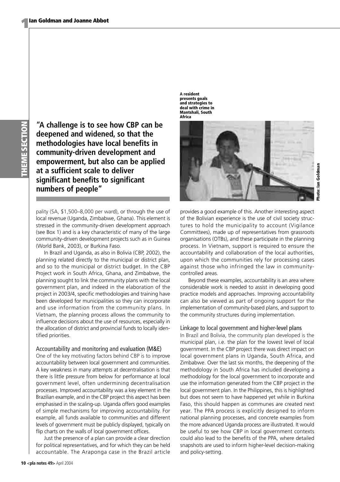**"A challenge is to see how CBP can be deepened and widened, so that the methodologies have local benefits in community-driven development and empowerment, but also can be applied at a sufficient scale to deliver significant benefits to significant numbers of people"**

pality (SA, \$1,500–8,000 per ward), or through the use of local revenue (Uganda, Zimbabwe, Ghana). This element is stressed in the community-driven development approach (see Box 1) and is a key characteristic of many of the large community-driven development projects such as in Guinea (World Bank, 2003), or Burkina Faso.

In Brazil and Uganda, as also in Bolivia (CBP, 2002), the planning related directly to the municipal or district plan, and so to the municipal or district budget. In the CBP Project work in South Africa, Ghana, and Zimbabwe, the planning sought to link the community plans with the local government plan, and indeed in the elaboration of the project in 2003/4, specific methodologies and training have been developed for municipalities so they can incorporate and use information from the community plans. In Vietnam, the planning process allows the community to influence decisions about the use of resources, especially in the allocation of district and provincial funds to locally identified priorities.

### Accountability and monitoring and evaluation (M&E)

One of the key motivating factors behind CBP is to improve accountability between local government and communities. A key weakness in many attempts at decentralisation is that there is little pressure from below for performance at local government level, often undermining decentralisation processes. Improved accountability was a key element in the Brazilian example, and in the CBP project this aspect has been emphasised in the scaling-up. Uganda offers good examples of simple mechanisms for improving accountability. For example, all funds available to communities and different levels of government must be publicly displayed, typically on flip charts on the walls of local government offices.

Just the presence of a plan can provide a clear direction for political representatives, and for which they can be held accountable. The Araponga case in the Brazil article

**10 <pla notes 49>** April 2004

**A resident presents goals and strategies to deal with crime in Mantshali, South Africa**



oto: Ian Goldman **Photo: Ian Goldman**

provides a good example of this. Another interesting aspect of the Bolivian experience is the use of civil society structures to hold the municipality to account (Vigilance Committees), made up of representatives from grassroots organisations (OTBs), and these participate in the planning process. In Vietnam, support is required to ensure the accountability and collaboration of the local authorities, upon which the communities rely for processing cases against those who infringed the law in communitycontrolled areas.

Beyond these examples, accountability is an area where considerable work is needed to assist in developing good practice models and approaches. Improving accountability can also be viewed as part of ongoing support for the implementation of community-based plans, and support to the community structures during implementation.

### Linkage to local government and higher-level plans

In Brazil and Bolivia, the community plan developed is the municipal plan, i.e. the plan for the lowest level of local government. In the CBP project there was direct impact on local government plans in Uganda, South Africa, and Zimbabwe. Over the last six months, the deepening of the methodology in South Africa has included developing a methodology for the local government to incorporate and use the information generated from the CBP project in the local government plan. In the Philippines, this is highlighted but does not seem to have happened yet while in Burkina Faso, this should happen as communes are created next year. The PPA process is explicitly designed to inform national planning processes, and concrete examples from the more advanced Uganda process are illustrated. It would be useful to see how CBP in local government contexts could also lead to the benefits of the PPA, where detailed snapshots are used to inform higher-level decision-making and policy-setting.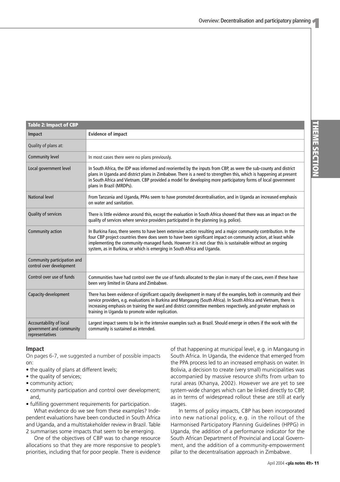| <b>Table 2: Impact of CBP</b>                                          |                                                                                                                                                                                                                                                                                                                                                                                                                          |  |  |  |
|------------------------------------------------------------------------|--------------------------------------------------------------------------------------------------------------------------------------------------------------------------------------------------------------------------------------------------------------------------------------------------------------------------------------------------------------------------------------------------------------------------|--|--|--|
| Impact                                                                 | <b>Evidence of impact</b>                                                                                                                                                                                                                                                                                                                                                                                                |  |  |  |
| Quality of plans at:                                                   |                                                                                                                                                                                                                                                                                                                                                                                                                          |  |  |  |
| Community level                                                        | In most cases there were no plans previously.                                                                                                                                                                                                                                                                                                                                                                            |  |  |  |
| Local government level                                                 | In South Africa, the IDP was informed and reoriented by the inputs from CBP, as were the sub-county and district<br>plans in Uganda and district plans in Zimbabwe. There is a need to strengthen this, which is happening at present<br>in South Africa and Vietnam. CBP provided a model for developing more participatory forms of local government<br>plans in Brazil (MRDPs).                                       |  |  |  |
| <b>National level</b>                                                  | From Tanzania and Uganda, PPAs seem to have promoted decentralisation, and in Uganda an increased emphasis<br>on water and sanitation.                                                                                                                                                                                                                                                                                   |  |  |  |
| Quality of services                                                    | There is little evidence around this, except the evaluation in South Africa showed that there was an impact on the<br>quality of services where service providers participated in the planning (e.g. police).                                                                                                                                                                                                            |  |  |  |
| Community action                                                       | In Burkina Faso, there seems to have been extensive action resulting and a major community contribution. In the<br>four CBP project countries there does seem to have been significant impact on community action, at least while<br>implementing the community-managed funds. However it is not clear this is sustainable without an ongoing<br>system, as in Burkina, or which is emerging in South Africa and Uganda. |  |  |  |
| Community participation and<br>control over development                |                                                                                                                                                                                                                                                                                                                                                                                                                          |  |  |  |
| Control over use of funds                                              | Communities have had control over the use of funds allocated to the plan in many of the cases, even if these have<br>been very limited in Ghana and Zimbabwe.                                                                                                                                                                                                                                                            |  |  |  |
| Capacity-development                                                   | There has been evidence of significant capacity development in many of the examples, both in community and their<br>service providers, e.g. evaluations in Burkina and Mangaung (South Africa). In South Africa and Vietnam, there is<br>increasing emphasis on training the ward and district committee members respectively, and greater emphasis on<br>training in Uganda to promote wider replication.               |  |  |  |
| Accountability of local<br>government and community<br>representatives | Largest impact seems to be in the intensive examples such as Brazil. Should emerge in others if the work with the<br>community is sustained as intended.                                                                                                                                                                                                                                                                 |  |  |  |

### **Impact**

On pages 6-7, we suggested a number of possible impacts on:

- the quality of plans at different levels;
- the quality of services;
- community action;
- community participation and control over development; and,
- fulfilling government requirements for participation.

What evidence do we see from these examples? Independent evaluations have been conducted in South Africa and Uganda, and a multistakeholder review in Brazil. Table 2 summarises some impacts that seem to be emerging.

One of the objectives of CBP was to change resource allocations so that they are more responsive to people's priorities, including that for poor people. There is evidence of that happening at municipal level, e.g. in Mangaung in South Africa. In Uganda, the evidence that emerged from the PPA process led to an increased emphasis on water. In Bolivia, a decision to create (very small) municipalities was accompanied by massive resource shifts from urban to rural areas (Khanya, 2002). However we are yet to see system-wide changes which can be linked directly to CBP, as in terms of widespread rollout these are still at early stages.

In terms of policy impacts, CBP has been incorporated into new national policy, e.g. in the rollout of the Harmonised Participatory Planning Guidelines (HPPG) in Uganda, the addition of a performance indicator for the South African Department of Provincial and Local Government, and the addition of a community-empowerment pillar to the decentralisation approach in Zimbabwe.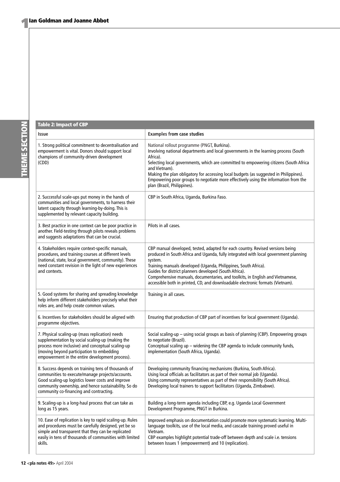| Table 2: Impact of CBP                                                                                                                                                                                                                                          |                                                                                                                                                                                                                                                                                                                                                                                                                                                                                    |  |  |
|-----------------------------------------------------------------------------------------------------------------------------------------------------------------------------------------------------------------------------------------------------------------|------------------------------------------------------------------------------------------------------------------------------------------------------------------------------------------------------------------------------------------------------------------------------------------------------------------------------------------------------------------------------------------------------------------------------------------------------------------------------------|--|--|
| <b>Issue</b>                                                                                                                                                                                                                                                    | <b>Examples from case studies</b>                                                                                                                                                                                                                                                                                                                                                                                                                                                  |  |  |
| 1. Strong political commitment to decentralisation and<br>empowerment is vital. Donors should support local<br>champions of community-driven development<br>(CDD)                                                                                               | National rollout programme (PNGT, Burkina).<br>Involving national departments and local governments in the learning process (South<br>Africa).<br>Selecting local governments, which are committed to empowering citizens (South Africa<br>and Vietnam).<br>Making the plan obligatory for accessing local budgets (as suggested in Philippines).<br>Empowering poor groups to negotiate more effectively using the information from the<br>plan (Brazil, Philippines).            |  |  |
| 2. Successful scale-ups put money in the hands of<br>communities and local governments, to harness their<br>latent capacity through learning-by-doing. This is<br>supplemented by relevant capacity building.                                                   | CBP in South Africa, Uganda, Burkina Faso.                                                                                                                                                                                                                                                                                                                                                                                                                                         |  |  |
| 3. Best practice in one context can be poor practice in<br>another. Field-testing through pilots reveals problems<br>and suggests adaptations that can be crucial.                                                                                              | Pilots in all cases.                                                                                                                                                                                                                                                                                                                                                                                                                                                               |  |  |
| 4. Stakeholders require context-specific manuals,<br>procedures, and training courses at different levels<br>(national, state, local government, community). These<br>need constant revision in the light of new experiences<br>and contexts.                   | CBP manual developed, tested, adapted for each country. Revised versions being<br>produced in South Africa and Uganda, fully integrated with local government planning<br>system.<br>Training manuals developed (Uganda, Philippines, South Africa).<br>Guides for district planners developed (South Africa).<br>Comprehensive manuals, documentaries, and toolkits, in English and Vietnamese,<br>accessible both in printed, CD, and downloadable electronic formats (Vietnam). |  |  |
| 5. Good systems for sharing and spreading knowledge<br>help inform different stakeholders precisely what their<br>roles are, and help create common values.                                                                                                     | Training in all cases.                                                                                                                                                                                                                                                                                                                                                                                                                                                             |  |  |
| 6. Incentives for stakeholders should be aligned with<br>programme objectives.                                                                                                                                                                                  | Ensuring that production of CBP part of incentives for local government (Uganda).                                                                                                                                                                                                                                                                                                                                                                                                  |  |  |
| 7. Physical scaling-up (mass replication) needs<br>supplementation by social scaling-up (making the<br>process more inclusive) and conceptual scaling-up<br>(moving beyond participation to embedding<br>empowerment in the entire development process).        | Social scaling-up - using social groups as basis of planning (CBP). Empowering groups<br>to negotiate (Brazil).<br>Conceptual scaling up - widening the CBP agenda to include community funds,<br>implementation (South Africa, Uganda).                                                                                                                                                                                                                                           |  |  |
| 8. Success depends on training tens of thousands of<br>communities to execute/manage projects/accounts.<br>Good scaling-up logistics lower costs and improve<br>community ownership, and hence sustainability. So do<br>community co-financing and contracting. | Developing community financing mechanisms (Burkina, South Africa).<br>Using local officials as facilitators as part of their normal job (Uganda).<br>Using community representatives as part of their responsibility (South Africa).<br>Developing local trainers to support facilitators (Uganda, Zimbabwe).                                                                                                                                                                      |  |  |
| 9. Scaling-up is a long-haul process that can take as<br>long as 15 years.                                                                                                                                                                                      | Building a long-term agenda including CBP, e.g. Uganda Local Government<br>Development Programme, PNGT in Burkina.                                                                                                                                                                                                                                                                                                                                                                 |  |  |
| 10. Ease of replication is key to rapid scaling-up. Rules<br>and procedures must be carefully designed, yet be so<br>simple and transparent that they can be replicated<br>easily in tens of thousands of communities with limited<br>skills.                   | Improved emphasis on documentation could promote more systematic learning. Multi-<br>language toolkits, use of the local media, and cascade training proved useful in<br>Vietnam.<br>CBP examples highlight potential trade-off between depth and scale i.e. tensions<br>between Issues 1 (empowerment) and 10 (replication).                                                                                                                                                      |  |  |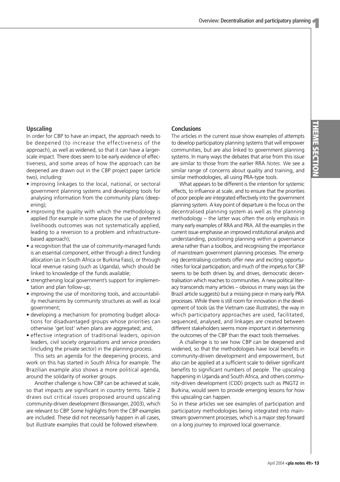### **Upscaling**

In order for CBP to have an impact, the approach needs to be deepened (to increase the effectiveness of the approach), as well as widened, so that it can have a largerscale impact. There does seem to be early evidence of effectiveness, and some areas of how the approach can be deepened are drawn out in the CBP project paper (article two), including:

- improving linkages to the local, national, or sectoral government planning systems and developing tools for analysing information from the community plans (deepening);
- improving the quality with which the methodology is applied (for example in some places the use of preferred livelihoods outcomes was not systematically applied, leading to a reversion to a problem and infrastructurebased approach);
- a recognition that the use of community-managed funds is an essential component, either through a direct funding allocation (as in South Africa or Burkina Faso), or through local revenue raising (such as Uganda), which should be linked to knowledge of the funds available;
- strengthening local government's support for implementation and plan follow-up;
- improving the use of monitoring tools, and accountability mechanisms by community structures as well as local government;
- developing a mechanism for promoting budget allocations for disadvantaged groups whose priorities can otherwise 'get lost' when plans are aggregated; and,
- effective integration of traditional leaders, opinion leaders, civil society organisations and service providers (including the private sector) in the planning process.

This sets an agenda for the deepening process, and work on this has started in South Africa for example. The Brazilian example also shows a more political agenda, around the solidarity of worker groups.

Another challenge is how CBP can be achieved at scale, so that impacts are significant in country terms. Table 2 draws out critical issues proposed around upscaling community-driven development (Binswanger, 2003), which are relevant to CBP. Some highlights from the CBP examples are included. These did not necessarily happen in all cases, but illustrate examples that could be followed elsewhere.

### **Conclusions**

The articles in the current issue show examples of attempts to develop participatory planning systems that will empower communities, but are also linked to government planning systems. In many ways the debates that arise from this issue are similar to those from the earlier RRA *Notes*. We see a similar range of concerns about quality and training, and similar methodologies, all using PRA-type tools.

What appears to be different is the intention for systemic effects, to influence at scale, and to ensure that the priorities of poor people are integrated effectively into the government planning system. A key point of departure is the focus on the decentralised planning system as well as the planning methodology – the latter was often the only emphasis in many early examples of RRA and PRA. All the examples in the current issue emphasise an improved institutional analysis and understanding, positioning planning within a governance arena rather than a toolbox, and recognising the importance of mainstream government planning processes. The emerging decentralising contexts offer new and exciting opportunities for local participation, and much of the impetus for CBP seems to be both driven by, and drives, democratic decentralisation which reaches to communities. A new political literacy transcends many articles – obvious in many ways (as the Brazil article suggests) but a missing piece in many early PRA processes. While there is still room for innovation in the development of tools (as the Vietnam case illustrates), the way in which participatory approaches are used, facilitated, sequenced, analysed, and linkages are created between different stakeholders seems more important in determining the outcomes of the CBP than the exact tools themselves.

A challenge is to see how CBP can be deepened and widened, so that the methodologies have local benefits in community-driven development and empowerment, but also can be applied at a sufficient scale to deliver significant benefits to significant numbers of people. The upscaling happening in Uganda and South Africa, and others community-driven development (CDD) projects such as PNGT2 in Burkina, would seem to provide emerging lessons for how this upscaling can happen.

So in these articles we see examples of participation and participatory methodologies being integrated into mainstream government processes, which is a major step forward on a long journey to improved local governance.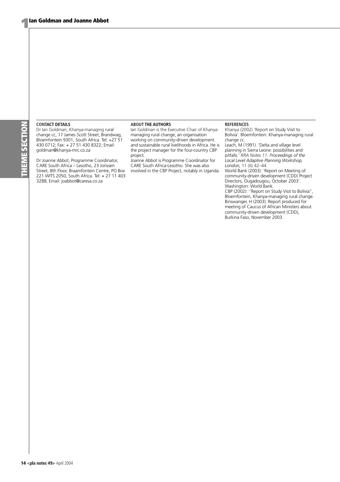### **CONTACT DETAILS**

Dr Ian Goldman, Khanya-managing rural change cc, 17 James Scott Street, Brandwag, Bloemfontein 9301, South Africa. Tel: +27 51 430 0712; Fax: + 27 51 430 8322; Email: goldman@khanya-mrc.co.za

Dr Joanne Abbot, Programme Coordinator, CARE South Africa – Lesotho, 23 Jorissen Street, 8th Floor, Braamfontein Centre, PO Box 221 WITS 2050, South Africa. Tel: + 27 11 403 3288; Email: joabbot@caresa.co.za

### **ABOUT THE AUTHORS**

Ian Goldman is the Executive Chair of Khanyamanaging rural change, an organisation working on community-driven development and sustainable rural livelihoods in Africa. He is the project manager for the four-country CBP project.

Joanne Abbot is Programme Coordinator for CARE South Africa-Lesotho. She was also involved in the CBP Project, notably in Uganda.

### **REFERENCES**

Khanya (2002) 'Report on Study Visit to Bolivia'. Bloemfontein: Khanya-managing rural change cc.

Leach, M (1991). 'Delta and village level planning in Sierra Leone: possibilities and pitfalls.' *RRA Notes 11: Proceedings of the Local Level Adaptive Planning Workshop, London,* 11 (6) 42–44.

World Bank (2003): 'Report on Meeting of community-driven development (CDD) Project Directors, Ougadougou, October 2003'. Washington: World Bank.

CBP (2002): "Report on Study Visit to Bolivia", Bloemfontein, Khanya-managing rural change. Binswanger, H (2003): Report produced for meeting of Caucus of African Ministers about community-driven development (CDD), Burkina Faso, November 2003.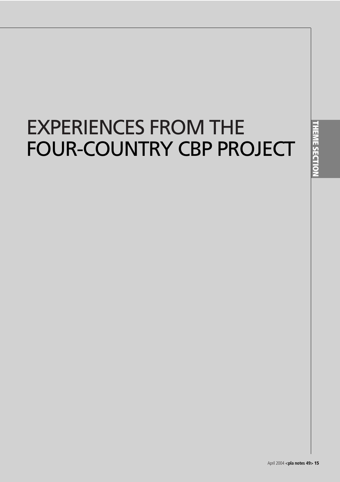### EXPERIENCES FROM THE FOUR-COUNTRY CBP PROJECT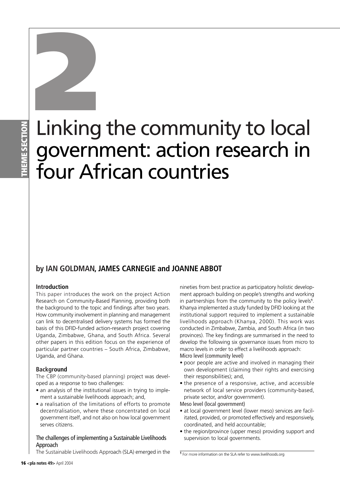### Linking the community to local government: action research in four African countries **2**<br>Linkind

### **by IAN GOLDMAN, JAMES CARNEGIE and JOANNE ABBOT**

### **Introduction**

This paper introduces the work on the project Action Research on Community-Based Planning, providing both the background to the topic and findings after two years. How community involvement in planning and management can link to decentralised delivery systems has formed the basis of this DFID-funded action-research project covering Uganda, Zimbabwe, Ghana, and South Africa. Several other papers in this edition focus on the experience of particular partner countries – South Africa, Zimbabwe, Uganda, and Ghana.

### **Background**

The CBP (community-based planning) project was developed as a response to two challenges:

- an analysis of the institutional issues in trying to implement a sustainable livelihoods approach; and,
- a realisation of the limitations of efforts to promote decentralisation, where these concentrated on local government itself, and not also on how local government serves citizens.

### The challenges of implementing a Sustainable Livelihoods Approach

The Sustainable Livelihoods Approach (SLA) emerged in the

nineties from best practice as participatory holistic development approach building on people's strengths and working in partnerships from the community to the policy levels**1**. Khanya implemented a study funded by DFID looking at the institutional support required to implement a sustainable livelihoods approach (Khanya, 2000). This work was conducted in Zimbabwe, Zambia, and South Africa (in two provinces). The key findings are summarised in the need to develop the following six governance issues from micro to macro levels in order to effect a livelihoods approach: Micro level (community level)

- poor people are active and involved in managing their own development (claiming their rights and exercising their responsibilities); and,
- the presence of a responsive, active, and accessible network of local service providers (community-based, private sector, and/or government).
- Meso level (local government)
- at local government level (lower meso) services are facilitated, provided, or promoted effectively and responsively, coordinated, and held accountable;
- the region/province (upper meso) providing support and supervision to local governments.

**<sup>1</sup>** For more information on the SLA refer to www.livelihoods.org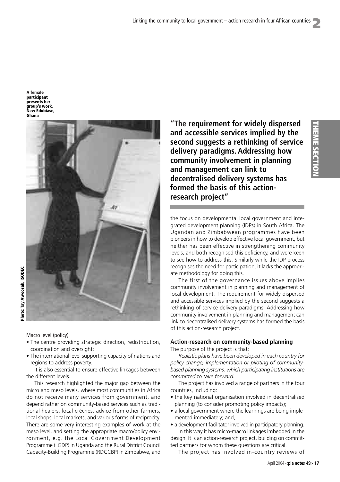**A female participant presents her group's work, New Edubiase, Ghana**



### Macro level (policy)

Photo: Tay Awoosah, ISODEC **Photo: Tay Awoosah, ISODEC**

- The centre providing strategic direction, redistribution, coordination and oversight;
- The international level supporting capacity of nations and regions to address poverty.

It is also essential to ensure effective linkages between the different levels.

This research highlighted the major gap between the micro and meso levels, where most communities in Africa do not receive many services from government, and depend rather on community-based services such as traditional healers, local crèches, advice from other farmers, local shops, local markets, and various forms of reciprocity. There are some very interesting examples of work at the meso level, and setting the appropriate macro/policy environment, e.g. the Local Government Development Programme (LGDP) in Uganda and the Rural District Council Capacity-Building Programme (RDCCBP) in Zimbabwe, and

**"The requirement for widely dispersed and accessible services implied by the second suggests a rethinking of service delivery paradigms. Addressing how community involvement in planning and management can link to decentralised delivery systems has formed the basis of this actionresearch project"**

the focus on developmental local government and integrated development planning (IDPs) in South Africa. The Ugandan and Zimbabwean programmes have been pioneers in how to develop effective local government, but neither has been effective in strengthening community levels, and both recognised this deficiency, and were keen to see how to address this. Similarly while the IDP process recognises the need for participation, it lacks the appropriate methodology for doing this.

The first of the governance issues above implies community involvement in planning and management of local development. The requirement for widely dispersed and accessible services implied by the second suggests a rethinking of service delivery paradigms. Addressing how community involvement in planning and management can link to decentralised delivery systems has formed the basis of this action-research project.

### **Action-research on community-based planning**

The purpose of the project is that:

*Realistic plans have been developed in each country for policy change, implementation or piloting of communitybased planning systems, which participating institutions are committed to take forward.*

The project has involved a range of partners in the four countries, including:

- the key national organisation involved in decentralised planning (to consider promoting policy impacts);
- a local government where the learnings are being implemented immediately; and,
- a development facilitator involved in participatory planning. In this way it has micro-macro linkages imbedded in the design. It is an action-research project, building on committed partners for whom these questions are critical.

The project has involved in-country reviews of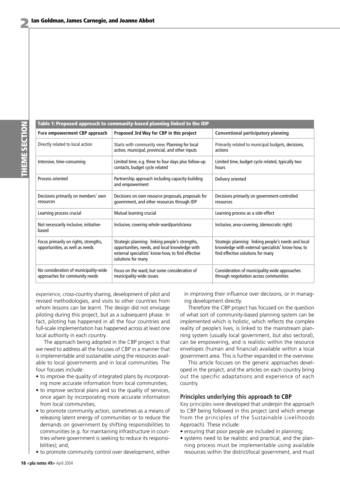**18 <pla notes 49>** April 2004

**Table 1: Proposed approach to community-based planning linked to the IDP**

| Pure empowerment CBP approach                                            | Proposed 3rd Way for CBP in this project                                                                                                                                     | <b>Conventional participatory planning</b>                                                                                                     |  |
|--------------------------------------------------------------------------|------------------------------------------------------------------------------------------------------------------------------------------------------------------------------|------------------------------------------------------------------------------------------------------------------------------------------------|--|
| Directly related to local action                                         | Starts with community view. Planning for local<br>action, municipal, provincial, and other inputs                                                                            | Primarily related to municipal budgets, decisions,<br>actions                                                                                  |  |
| Intensive, time-consuming                                                | Limited time, e.g. three to four days plus follow-up<br>contacts, budget cycle related                                                                                       | Limited time, budget cycle related, typically two<br>hours                                                                                     |  |
| Process oriented                                                         | Partnership approach including capacity-building<br>and empowerment                                                                                                          | Delivery oriented                                                                                                                              |  |
| Decisions primarily on members' own<br>resources                         | Decisions on own resource proposals, proposals for<br>government, and other resources through IDP                                                                            | Decisions primarily on government-controlled<br>resources                                                                                      |  |
| Learning process crucial                                                 | Mutual learning crucial                                                                                                                                                      | Learning process as a side-effect                                                                                                              |  |
| Not necessarily inclusive, initiative-<br>based                          | Inclusive, covering whole ward/parish/area                                                                                                                                   | Inclusive, area-covering, (democratic right)                                                                                                   |  |
| Focus primarily on rights, strengths,<br>opportunities, as well as needs | Strategic planning: linking people's strengths,<br>opportunities, needs, and local knowledge with<br>external specialists' know-how, to find effective<br>solutions for many | Strategic planning: linking people's needs and local<br>knowledge with external specialists' know-how, to<br>find effective solutions for many |  |
| No consideration of municipality-wide<br>approaches for community needs  | Focus on the ward, but some consideration of<br>municipality-wide issues                                                                                                     | Consideration of municipality-wide approaches<br>through negotiation across communities                                                        |  |

experience, cross-country sharing, development of pilot and revised methodologies, and visits to other countries from whom lessons can be learnt. The design did not envisage piloting during this project, but as a subsequent phase. In fact, piloting has happened in all the four countries and full-scale implementation has happened across at least one local authority in each country.

The approach being adopted in the CBP project is that we need to address all the focuses of CBP in a manner that is implementable and sustainable using the resources available to local governments and in local communities. The four focuses include:

- to improve the quality of integrated plans by incorporating more accurate information from local communities;
- to improve sectoral plans and so the quality of services, once again by incorporating more accurate information from local communities;
- to promote community action, sometimes as a means of releasing latent energy of communities or to reduce the demands on government by shifting responsibilities to communities (e.g. for maintaining infrastructure in countries where government is seeking to reduce its responsibilities); and,
- to promote community control over development, either

in improving their influence over decisions, or in managing development directly.

Therefore the CBP project has focused on the question of what sort of community-based planning system can be implemented which is holistic, which reflects the complex reality of people's lives, is linked to the mainstream planning system (usually local government, but also sectoral), can be empowering, and is realistic within the resource envelopes (human and financial) available within a local government area. This is further expanded in the overview.

This article focuses on the generic approaches developed in the project, and the articles on each country bring out the specific adaptations and experience of each country.

### **Principles underlying this approach to CBP**

Key principles were developed that underpin the approach to CBP being followed in this project (and which emerge from the principles of the Sustainable Livelihoods Approach). These include:

- ensuring that poor people are included in planning;
- systems need to be realistic and practical, and the planning process must be implementable using available resources within the district/local government, and must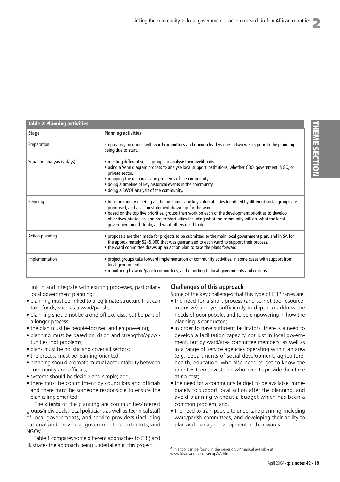| <b>Table 2: Planning activities</b> |                                                                                                                                                                                                                                                                                                                                                                                                                                                   |  |
|-------------------------------------|---------------------------------------------------------------------------------------------------------------------------------------------------------------------------------------------------------------------------------------------------------------------------------------------------------------------------------------------------------------------------------------------------------------------------------------------------|--|
| <b>Stage</b>                        | <b>Planning activities</b>                                                                                                                                                                                                                                                                                                                                                                                                                        |  |
| Preparation                         | Preparatory meetings with ward committees and opinion leaders one to two weeks prior to the planning<br>being due to start.                                                                                                                                                                                                                                                                                                                       |  |
| Situation analysis (2 days)         | • meeting different social groups to analyse their livelihoods.<br>• using a Venn diagram process to analyse local support institutions, whether CBO, government, NGO, or<br>private sector.<br>• mapping the resources and problems of the community.<br>• doing a timeline of key historical events in the community.<br>• doing a SWOT analysis of the community.                                                                              |  |
| Planning                            | • in a community meeting all the outcomes and key vulnerabilities identified by different social groups are<br>prioritised, and a vision statement drawn up for the ward.<br>. based on the top five priorities, groups then work on each of the development priorities to develop<br>objectives, strategies, and projects/activities including what the community will do, what the local<br>government needs to do, and what others need to do. |  |
| Action planning                     | • proposals are then made for projects to be submitted to the main local government plan, and in SA for<br>the approximately \$2-5,000 that was guaranteed to each ward to support their process.<br>• the ward committee draws up an action plan to take the plans forward.                                                                                                                                                                      |  |
| Implementation                      | • project groups take forward implementation of community activities, in some cases with support from<br>local government.<br>• monitoring by ward/parish committees, and reporting to local governments and citizens.                                                                                                                                                                                                                            |  |

link in and integrate with existing processes, particularly local government planning;

- planning must be linked to a legitimate structure that can take funds, such as a ward/parish;
- planning should not be a one-off exercise, but be part of a longer process;
- the plan must be people-focused and empowering;
- planning must be based on vision and strengths/opportunities, not problems;
- plans must be holistic and cover all sectors;
- the process must be learning-oriented;
- planning should promote mutual accountability between community and officials;
- systems should be flexible and simple; and,
- there must be commitment by councillors and officials and there must be someone responsible to ensure the plan is implemented.

The **clients** of the planning are communities/interest groups/individuals, local politicians as well as technical staff of local governments, and service providers (including national and provincial government departments, and NGOs).

Table 1 compares some different approaches to CBP, and illustrates the approach being undertaken in this project.

### **Challenges of this approach**

Some of the key challenges that this type of CBP raises are:

- the need for a short process (and so not too resourceintensive) and yet sufficiently in-depth to address the needs of poor people, and to be empowering in how the planning is conducted;
- in order to have sufficient facilitators, there is a need to develop a facilitation capacity not just in local government, but by ward/area committee members, as well as in a range of service agencies operating within an area (e.g. departments of social development, agriculture, health, education, who also need to get to know the priorities themselves), and who need to provide their time at no cost;
- the need for a community budget to be available immediately to support local action after the planning, and avoid planning without a budget which has been a common problem; and,
- the need to train people to undertake planning, including ward/parish committees, and developing their ability to plan and manage development in their wards.

**<sup>2</sup>**This tool can be found in the generic CBP manual available at www.khanya-mrc.co.za/cbp/SA.htm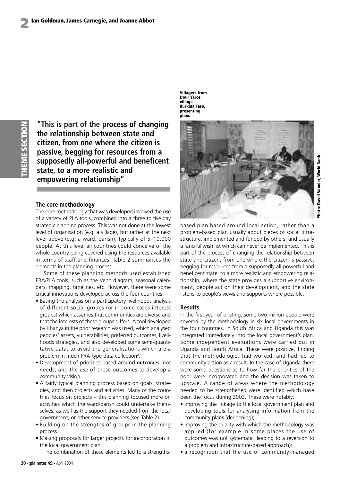**"This is part of the process of changing the relationship between state and citizen, from one where the citizen is passive, begging for resources from a supposedly all-powerful and beneficent state, to a more realistic and empowering relationship"**

### **The core methodology**

The core methodology that was developed involved the use of a variety of PLA tools, combined into a three to five day strategic planning process. This was not done at the lowest level of organisation (e.g. a village), but rather at the next level above (e.g. a ward, parish), typically of 5–10,000 people. At this level all countries could conceive of the whole country being covered using the resources available in terms of staff and finances. Table 2 summarises the elements in the planning process.

Some of these planning methods used established PRA/PLA tools, such as the Venn diagram, seasonal calendars, mapping, timelines, etc. However, there were some critical innovations developed across the four countries:

- Basing the analysis on a participatory livelihoods analysis of different social groups (or in some cases interest groups) which assumes that communities are diverse and that the interests of these groups differs. A tool developed by Khanya in the prior research was used, which analysed peoples' assets, vulnerabilities, preferred outcomes, livelihoods strategies, and also developed some semi-quantitative data, to avoid the generalisations which are a problem in much PRA-type data collection**2**.
- Development of priorities based around **outcomes**, not needs, and the use of these outcomes to develop a community vision.
- A fairly typical planning process based on goals, strategies, and then projects and activities. Many of the countries focus on projects – this planning focused more on activities which the ward/parish could undertake themselves, as well as the support they needed from the local government, or other service providers (see Table 2).
- Building on the strengths of groups in the planning process.
- Making proposals for larger projects for incorporation in the local government plan.

The combination of these elements led to a strengths-

**Villagers from Dour Yarce village, Burkina Faso, presenting plans**



**Photo: David Vannier, World Bank**Photo: David Vannier, World Bank

based plan based around local action, rather than a problem-based plan usually about pieces of social infrastructure, implemented and funded by others, and usually a fanciful wish list which can never be implemented. This is part of the process of changing the relationship between state and citizen, from one where the citizen is passive, begging for resources from a supposedly all-powerful and beneficent state, to a more realistic and empowering relationship, where the state provides a supportive environment, people act on their development, and the state listens to people's views and supports where possible.

### **Results**

In the first year of piloting, some two million people were covered by the methodology in six local governments in the four countries. In South Africa and Uganda this was integrated immediately into the local government's plan. Some independent evaluations were carried out in Uganda and South Africa. These were positive, finding that the methodologies had worked, and had led to community action as a result. In the case of Uganda there were some questions as to how far the priorities of the poor were incorporated and the decision was taken to upscale. A range of areas where the methodology needed to be strengthened were identified which have been the focus during 2003. These were notably:

- improving the linkage to the local government plan and developing tools for analysing information from the community plans (deepening);
- improving the quality with which the methodology was applied (for example in some places the use of outcomes was not systematic, leading to a reversion to a problem and infrastructure-based approach);
- a recognition that the use of community-managed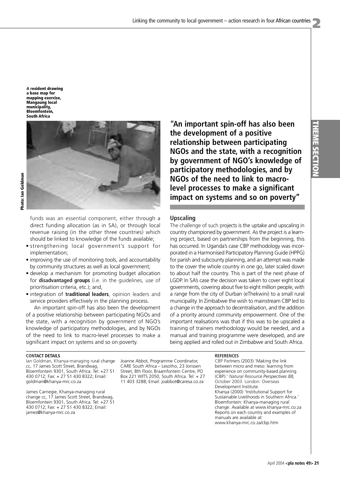**A resident drawing a base map for mapping exercise, Mangaung local municipality, Bloemfontein, South Africa**

Photo: Ian Goldman **Photo: Ian Goldman**



funds was an essential component, either through a direct funding allocation (as in SA), or through local revenue raising (in the other three countries) which should be linked to knowledge of the funds available;

- strengthening local government's support for implementation;
- improving the use of monitoring tools, and accountability by community structures as well as local government;
- develop a mechanism for promoting budget allocation for **disadvantaged groups** (i.e. in the guidelines, use of prioritisation criteria, etc.); and,
- integration of **traditional leaders**, opinion leaders and service providers effectively in the planning process.

An important spin-off has also been the development of a positive relationship between participating NGOs and the state, with a recognition by government of NGO's knowledge of participatory methodologies, and by NGOs of the need to link to macro-level processes to make a significant impact on systems and so on poverty.

**"An important spin-off has also been the development of a positive relationship between participating NGOs and the state, with a recognition by government of NGO's knowledge of participatory methodologies, and by NGOs of the need to link to macrolevel processes to make a significant impact on systems and so on poverty"**

### **Upscaling**

The challenge of such projects is the uptake and upscaling in country championed by government. As the project is a learning project, based on partnerships from the beginning, this has occurred. In Uganda's case CBP methodology was incorporated in a Harmonised Participatory Planning Guide (HPPG) for parish and subcounty planning, and an attempt was made to the cover the whole country in one go, later scaled down to about half the country. This is part of the next phase of LGDP. In SA's case the decision was taken to cover eight local governments, covering about five to eight million people, with a range from the city of Durban (eThekwini) to a small rural municipality. In Zimbabwe the wish to mainstream CBP led to a change in the approach to decentralisation, and the addition of a priority around community empowerment. One of the important realisations was that if this was to be upscaled a training of trainers methodology would be needed, and a manual and training programme were developed, and are being applied and rolled out in Zimbabwe and South Africa.

### **CONTACT DETAILS**

Ian Goldman, Khanya-managing rural change cc, 17 James Scott Street, Brandwag, Bloemfontein 9301, South Africa. Tel: +27 51 430 0712; Fax: + 27 51 430 8322; Email: goldman@khanya-mrc.co.za

James Carnegie, Khanya-managing rural change cc, 17 James Scott Street, Brandwag, Bloemfontein 9301, South Africa. Tel: +27 51 430 0712; Fax: + 27 51 430 8322; Email: james@khanya-mrc.co.za

Joanne Abbot, Programme Coordinator, CARE South Africa – Lesotho, 23 Jorissen Street, 8th Floor, Braamfontein Centre, PO Box 221 WITS 2050, South Africa. Tel: + 27 11 403 3288; Email: joabbot@caresa.co.za

### **REFERENCES**

CBP Partners (2003) 'Making the link between micro and meso: learning from experience on community-based planning (CBP).' *Natural Resource Perspectives 88,* October 2003. London: Overseas Development Institute. Khanya (2000) 'Institutional Support for Sustainable Livelihoods in Southern Africa.' Bloemfontein: Khanya-managing rural change. Available at www.khanya-mrc.co.za Reports on each country and examples of manuals are available at: www.khanya-mrc.co.za/cbp.htm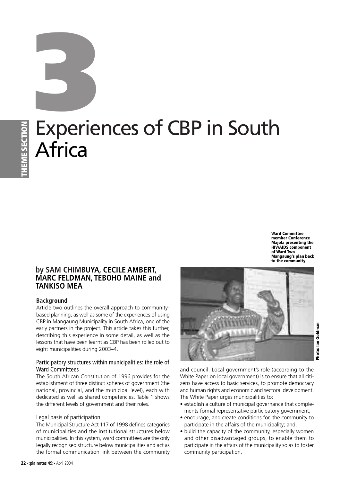## Experiences of CBP in South Africa **12**

### **by SAM CHIMBUYA, CECILE AMBERT, MARC FELDMAN, TEBOHO MAINE and TANKISO MEA**

### **Background**

Article two outlines the overall approach to communitybased planning, as well as some of the experiences of using CBP in Mangaung Municipality in South Africa, one of the early partners in the project. This article takes this further, describing this experience in some detail, as well as the lessons that have been learnt as CBP has been rolled out to eight municipalities during 2003–4.

### Participatory structures within municipalities: the role of Ward Committees

The South African Constitution of 1996 provides for the establishment of three distinct spheres of government (the national, provincial, and the municipal level), each with dedicated as well as shared competencies. Table 1 shows the different levels of government and their roles.

### Legal basis of participation

The Municipal Structure Act 117 of 1998 defines categories of municipalities and the institutional structures below municipalities. In this system, ward committees are the only legally recognised structure below municipalities and act as the formal communication link between the community



**Ward Committee member Conference Majola presenting the HIV/AIDS component of Ward Two Mangaung's plan back to the community**

and council. Local government's role (according to the White Paper on local government) is to ensure that all citizens have access to basic services, to promote democracy and human rights and economic and sectoral development. The White Paper urges municipalities to:

- establish a culture of municipal governance that complements formal representative participatory government;
- encourage, and create conditions for, the community to participate in the affairs of the municipality; and,
- build the capacity of the community, especially women and other disadvantaged groups, to enable them to participate in the affairs of the municipality so as to foster community participation.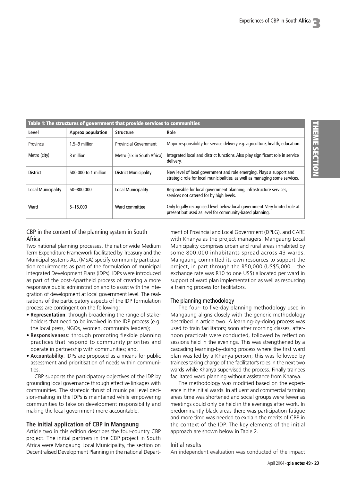| Table 1: The structures of government that provide services to communities |                          |                              |                                                                                                                                                     |
|----------------------------------------------------------------------------|--------------------------|------------------------------|-----------------------------------------------------------------------------------------------------------------------------------------------------|
| Level                                                                      | <b>Approx population</b> | <b>Structure</b>             | Role                                                                                                                                                |
| Province                                                                   | $1.5 - 9$ million        | <b>Provincial Government</b> | Major responsibility for service delivery e.g. agriculture, health, education.                                                                      |
| Metro (city)                                                               | 3 million                | Metro (six in South Africa)  | Integrated local and district functions. Also play significant role in service<br>delivery.                                                         |
| <b>District</b>                                                            | 500,000 to 1 million     | <b>District Municipality</b> | New level of local government and role emerging. Plays a support and<br>strategic role for local municipalities, as well as managing some services. |
| Local Municipality                                                         | 50-800,000               | <b>Local Municipality</b>    | Responsible for local government planning, infrastructure services,<br>services not catered for by high levels.                                     |
| Ward                                                                       | $5 - 15,000$             | Ward committee               | Only legally recognised level below local government. Very limited role at<br>present but used as level for community-based planning.               |

### CBP in the context of the planning system in South Africa

Two national planning processes, the nationwide Medium Term Expenditure Framework facilitated by Treasury and the Municipal Systems Act (MSA) specify community participation requirements as part of the formulation of municipal Integrated Development Plans (IDPs). IDPs were introduced as part of the post-Apartheid process of creating a more responsive public administration and to assist with the integration of development at local government level. The realisations of the participatory aspects of the IDP formulation process are contingent on the following:

- **Representation**: through broadening the range of stakeholders that need to be involved in the IDP process (e.g. the local press, NGOs, women, community leaders);
- **Responsiveness**: through promoting flexible planning practices that respond to community priorities and operate in partnership with communities; and,
- **Accountability**: IDPs are proposed as a means for public assessment and prioritisation of needs within communities.

CBP supports the participatory objectives of the IDP by grounding local governance through effective linkages with communities. The strategic thrust of municipal level decision-making in the IDPs is maintained while empowering communities to take on development responsibility and making the local government more accountable.

### **The initial application of CBP in Mangaung**

Article two in this edition describes the four-country CBP project. The initial partners in the CBP project in South Africa were Mangaung Local Municipality, the section on Decentralised Development Planning in the national Department of Provincial and Local Government (DPLG), and CARE with Khanya as the project managers. Mangaung Local Municipality comprises urban and rural areas inhabited by some 800,000 inhabitants spread across 43 wards. Mangaung committed its own resources to support the project, in part through the R50,000 (US\$5,000 – the exchange rate was R10 to one US\$) allocated per ward in support of ward plan implementation as well as resourcing a training process for facilitators.

### The planning methodology

The four- to five-day planning methodology used in Mangaung aligns closely with the generic methodology described in article two. A learning-by-doing process was used to train facilitators; soon after morning classes, afternoon practicals were conducted, followed by reflection sessions held in the evenings. This was strengthened by a cascading learning-by-doing process where the first ward plan was led by a Khanya person; this was followed by trainees taking charge of the facilitator's roles in the next two wards while Khanya supervised the process. Finally trainees facilitated ward planning without assistance from Khanya.

The methodology was modified based on the experience in the initial wards. In affluent and commercial farming areas time was shortened and social groups were fewer as meetings could only be held in the evenings after work. In predominantly black areas there was participation fatigue and more time was needed to explain the merits of CBP in the context of the IDP. The key elements of the initial approach are shown below in Table 2.

### Initial results

An independent evaluation was conducted of the impact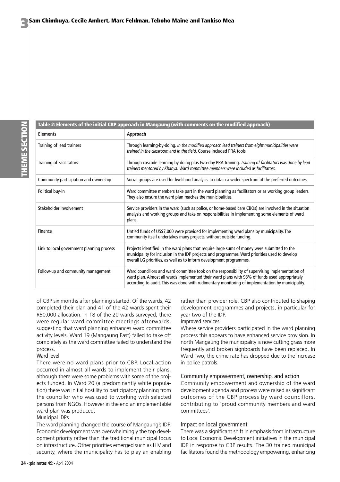| Table 2: Elements of the initial CBP approach in Mangaung (with comments on the modified approach) |                                                                                                                                                                                                                                                                                                      |  |  |
|----------------------------------------------------------------------------------------------------|------------------------------------------------------------------------------------------------------------------------------------------------------------------------------------------------------------------------------------------------------------------------------------------------------|--|--|
| <b>Elements</b>                                                                                    | Approach                                                                                                                                                                                                                                                                                             |  |  |
| Training of lead trainers                                                                          | Through learning-by-doing. In the modified approach lead trainers from eight municipalities were<br>trained in the classroom and in the field. Course included PRA tools.                                                                                                                            |  |  |
| <b>Training of Facilitators</b>                                                                    | Through cascade learning by doing plus two-day PRA training. Training of facilitators was done by lead<br>trainers mentored by Khanya. Ward committee members were included as facilitators.                                                                                                         |  |  |
| Community participation and ownership                                                              | Social groups are used for livelihood analysis to obtain a wider spectrum of the preferred outcomes.                                                                                                                                                                                                 |  |  |
| Political buy-in                                                                                   | Ward committee members take part in the ward planning as facilitators or as working group leaders.<br>They also ensure the ward plan reaches the municipalities.                                                                                                                                     |  |  |
| Stakeholder involvement                                                                            | Service providers in the ward (such as police, or home-based care CBOs) are involved in the situation<br>analysis and working groups and take on responsibilities in implementing some elements of ward<br>plans.                                                                                    |  |  |
| Finance                                                                                            | Untied funds of US\$7,000 were provided for implementing ward plans by municipality. The<br>community itself undertakes many projects, without outside funding.                                                                                                                                      |  |  |
| Link to local government planning process                                                          | Projects identified in the ward plans that require large sums of money were submitted to the<br>municipality for inclusion in the IDP projects and programmes. Ward priorities used to develop<br>overall LG priorities, as well as to inform development programmes.                                |  |  |
| Follow-up and community management                                                                 | Ward councillors and ward committee took on the responsibility of supervising implementation of<br>ward plan. Almost all wards implemented their ward plans with 98% of funds used appropriately<br>according to audit. This was done with rudimentary monitoring of implementation by municipality. |  |  |

of CBP six months after planning started. Of the wards, 42 completed their plan and 41 of the 42 wards spent their R50,000 allocation. In 18 of the 20 wards surveyed, there were regular ward committee meetings afterwards, suggesting that ward planning enhances ward committee activity levels. Ward 19 (Mangaung East) failed to take off completely as the ward committee failed to understand the process.

### Ward level

There were no ward plans prior to CBP. Local action occurred in almost all wards to implement their plans, although there were some problems with some of the projects funded. In Ward 20 (a predominantly white population) there was initial hostility to participatory planning from the councillor who was used to working with selected persons from NGOs. However in the end an implementable ward plan was produced.

### Municipal IDPs

The ward planning changed the course of Mangaung's IDP. Economic development was overwhelmingly the top development priority rather than the traditional municipal focus on infrastructure. Other priorities emerged such as HIV and security, where the municipality has to play an enabling

rather than provider role. CBP also contributed to shaping development programmes and projects, in particular for year two of the IDP.

### Improved services

Where service providers participated in the ward planning process this appears to have enhanced service provision. In north Mangaung the municipality is now cutting grass more frequently and broken signboards have been replaced. In Ward Two, the crime rate has dropped due to the increase in police patrols.

### Community empowerment, ownership, and action

Community empowerment and ownership of the ward development agenda and process were raised as significant outcomes of the CBP process by ward councillors, contributing to 'proud community members and ward committees'.

### Impact on local government

There was a significant shift in emphasis from infrastructure to Local Economic Development initiatives in the municipal IDP in response to CBP results. The 30 trained municipal facilitators found the methodology empowering, enhancing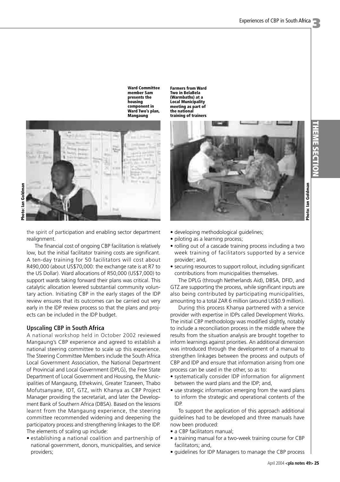**THEME**

**SECTION**

**Ward Committee member Sam presents the housing component in Ward Two's plan, Mangaung**



the spirit of participation and enabling sector department realignment.

The financial cost of ongoing CBP facilitation is relatively low, but the initial facilitator training costs are significant. A ten-day training for 50 facilitators will cost about R490,000 (about US\$70,000: the exchange rate is at R7 to the US Dollar). Ward allocations of R50,000 (US\$7,000) to support wards taking forward their plans was critical. This catalytic allocation levered substantial community voluntary action. Initiating CBP in the early stages of the IDP review ensures that its outcomes can be carried out very early in the IDP review process so that the plans and projects can be included in the IDP budget.

### **Upscaling CBP in South Africa**

A national workshop held in October 2002 reviewed Mangaung's CBP experience and agreed to establish a national steering committee to scale up this experience. The Steering Committee Members include the South Africa Local Government Association, the National Department of Provincial and Local Government (DPLG), the Free State Department of Local Government and Housing, the Municipalities of Mangaung, Ethekwini, Greater Tzaneen, Thabo Mofutsanyane, IDT, GTZ, with Khanya as CBP Project Manager providing the secretariat, and later the Development Bank of Southern Africa (DBSA). Based on the lessons learnt from the Mangaung experience, the steering committee recommended widening and deepening the participatory process and strengthening linkages to the IDP. The elements of scaling up include:

• establishing a national coalition and partnership of national government, donors, municipalities, and service providers;

**Farmers from Ward Two in BelaBela (Warmbaths) at a Local Municipality meeting as part of the national training of trainers**



- developing methodological guidelines;
- piloting as a learning process;
- rolling out of a cascade training process including a two week training of facilitators supported by a service provider; and,
- securing resources to support rollout, including significant contributions from municipalities themselves.

The DPLG (through Netherlands Aid), DBSA, DFID, and GTZ are supporting the process, while significant inputs are also being contributed by participating municipalities, amounting to a total ZAR 6 million (around US\$0.9 million).

During this process Khanya partnered with a service provider with expertise in IDPs called Development Works. The initial CBP methodology was modified slightly, notably to include a reconciliation process in the middle where the results from the situation analysis are brought together to inform learnings against priorities. An additional dimension was introduced through the development of a manual to strengthen linkages between the process and outputs of CBP and IDP and ensure that information arising from one process can be used in the other, so as to:

- systematically consider IDP information for alignment between the ward plans and the IDP; and,
- use strategic information emerging from the ward plans to inform the strategic and operational contents of the IDP.

To support the application of this approach additional guidelines had to be developed and three manuals have now been produced:

- a CBP facilitators manual;
- a training manual for a two-week training course for CBP facilitators; and,
- guidelines for IDP Managers to manage the CBP process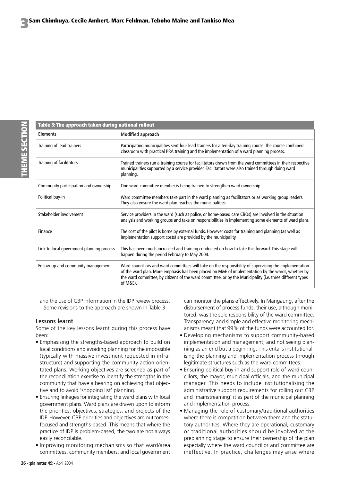| <b>Elements</b>                           | <b>Modified approach</b>                                                                                                                                                                                                                                                                                                             |
|-------------------------------------------|--------------------------------------------------------------------------------------------------------------------------------------------------------------------------------------------------------------------------------------------------------------------------------------------------------------------------------------|
| Training of lead trainers                 | Participating municipalities sent four lead trainers for a ten-day training course. The course combined<br>classroom with practical PRA training and the implementation of a ward planning process.                                                                                                                                  |
| Training of facilitators                  | Trained trainers run a training course for facilitators drawn from the ward committees in their respective<br>municipalities supported by a service provider. Facilitators were also trained through doing ward<br>planning.                                                                                                         |
| Community participation and ownership     | One ward committee member is being trained to strengthen ward ownership.                                                                                                                                                                                                                                                             |
| Political buy-in                          | Ward committee members take part in the ward planning as facilitators or as working group leaders.<br>They also ensure the ward plan reaches the municipalities.                                                                                                                                                                     |
| Stakeholder involvement                   | Service providers in the ward (such as police, or home-based care CBOs) are involved in the situation<br>analysis and working groups and take on responsibilities in implementing some elements of ward plans.                                                                                                                       |
| Finance                                   | The cost of the pilot is borne by external funds. However costs for training and planning (as well as<br>implementation support costs) are provided by the municipality.                                                                                                                                                             |
| Link to local government planning process | This has been much increased and training conducted on how to take this forward. This stage will<br>happen during the period February to May 2004.                                                                                                                                                                                   |
| Follow-up and community management        | Ward councillors and ward committees will take on the responsibility of supervising the implementation<br>of the ward plan. More emphasis has been placed on M&E of implementation by the wards, whether by<br>the ward committee, by citizens of the ward committee, or by the Municipality (i.e. three different types<br>of M&E). |

and the use of CBP information in the IDP review process. Some revisions to the approach are shown in Table 3.

**Table 3: The approach taken during national rollout**

### **Lessons learnt**

Some of the key lessons learnt during this process have been:

- Emphasising the strengths-based approach to build on local conditions and avoiding planning for the impossible (typically with massive investment requested in infrastructure) and supporting the community action-orientated plans. Working objectives are screened as part of the reconciliation exercise to identify the strengths in the community that have a bearing on achieving that objective and to avoid 'shopping list' planning.
- Ensuring linkages for integrating the ward plans with local government plans. Ward plans are drawn upon to inform the priorities, objectives, strategies, and projects of the IDP. However, CBP priorities and objectives are outcomesfocused and strengths-based. This means that where the practice of IDP is problem-based, the two are not always easily reconcilable.
- Improving monitoring mechanisms so that ward/area committees, community members, and local government

can monitor the plans effectively. In Mangaung, after the disbursement of process funds, their use, although monitored, was the sole responsibility of the ward committee. Transparency, and simple and effective monitoring mechanisms meant that 99% of the funds were accounted for.

- Developing mechanisms to support community-based implementation and management, and not seeing planning as an end but a beginning. This entails institutionalising the planning and implementation process through legitimate structures such as the ward committees.
- Ensuring political buy-in and support role of ward councillors, the mayor, municipal officials, and the municipal manager. This needs to include institutionalising the administrative support requirements for rolling out CBP and 'mainstreaming' it as part of the municipal planning and implementation process.
- Managing the role of customary/traditional authorities where there is competition between them and the statutory authorities. Where they are operational, customary or traditional authorities should be involved at the preplanning stage to ensure their ownership of the plan especially where the ward councillor and committee are ineffective. In practice, challenges may arise where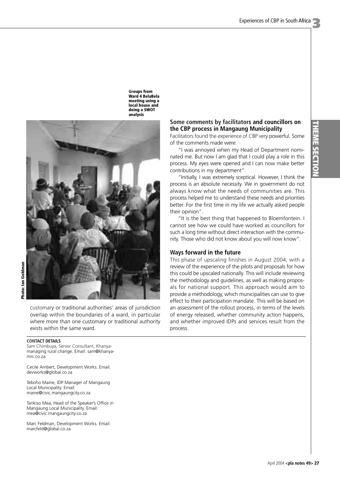**Groups from Ward 4 BelaBela meeting using a local house and doing a SWOT analysis**



customary or traditional authorities' areas of jurisdiction overlap within the boundaries of a ward, in particular where more than one customary or traditional authority exists within the same ward.

### **CONTACT DETAILS**

Sam Chimbuya, Senior Consultant, Khanyamanaging rural change. Email: sam@khanyamrc.co.za

Cecile Ambert, Development Works. Email: devworks@global.co.za

Teboho Maine, IDP Manager of Mangaung Local Municipality. Email: maine@civic.mangaungcity.co.za

Tankiso Mea, Head of the Speaker's Office in Mangaung Local Municipality. Email: mea@civic.mangaungcity.co.za

Marc Feldman, Development Works. Email: marcfeld@global.co.za

### **Some comments by facilitators and councillors on the CBP process in Mangaung Municipality**

Facilitators found the experience of CBP very powerful. Some of the comments made were:

"I was annoyed when my Head of Department nominated me. But now I am glad that I could play a role in this process. My eyes were opened and I can now make better contributions in my department".

"Initially, I was extremely sceptical. However, I think the process is an absolute necessity. We in government do not always know what the needs of communities are. This process helped me to understand these needs and priorities better. For the first time in my life we actually asked people their opinion".

"It is the best thing that happened to Bloemfontein. I cannot see how we could have worked as councillors for such a long time without direct interaction with the community. Those who did not know about you will now know".

### **Ways forward in the future**

This phase of upscaling finishes in August 2004, with a review of the experience of the pilots and proposals for how this could be upscaled nationally. This will include reviewing the methodology and guidelines, as well as making proposals for national support. This approach would aim to provide a methodology, which municipalities can use to give effect to their participation mandate. This will be based on an assessment of the rollout process, in terms of the levels of energy released, whether community action happens, and whether improved IDPs and services result from the process.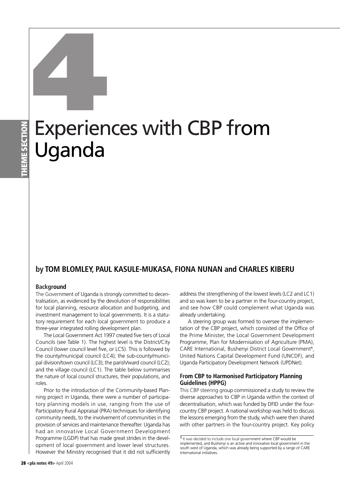## Experiences with CBP from Uganda Experien

### **by TOM BLOMLEY, PAUL KASULE-MUKASA, FIONA NUNAN and CHARLES KIBERU**

### **Background**

The Government of Uganda is strongly committed to decentralisation, as evidenced by the devolution of responsibilities for local planning, resource allocation and budgeting, and investment management to local governments. It is a statutory requirement for each local government to produce a three-year integrated rolling development plan.

The Local Government Act 1997 created five tiers of Local Councils (see Table 1). The highest level is the District/City Council (lower council level five, or LC5). This is followed by the county/municipal council (LC4); the sub-county/municipal division/town council (LC3); the parish/ward council (LC2); and the village council (LC1). The table below summarises the nature of local council structures, their populations, and roles.

Prior to the introduction of the Community-based Planning project in Uganda, there were a number of participatory planning models in use, ranging from the use of Participatory Rural Appraisal (PRA) techniques for identifying community needs, to the involvement of communities in the provision of services and maintenance thereafter. Uganda has had an innovative Local Government Development Programme (LGDP) that has made great strides in the development of local government and lower level structures. However the Ministry recognised that it did not sufficiently address the strengthening of the lowest levels (LC2 and LC1) and so was keen to be a partner in the four-country project, and see how CBP could complement what Uganda was already undertaking.

A steering group was formed to oversee the implementation of the CBP project, which consisted of the Office of the Prime Minister, the Local Government Development Programme, Plan for Modernisation of Agriculture (PMA), CARE International, Bushenyi District Local Government**1**, United Nations Capital Development Fund (UNCDF), and Uganda Participatory Development Network (UPDNet).

### **From CBP to Harmonised Participatory Planning Guidelines (HPPG)**

This CBP steering group commissioned a study to review the diverse approaches to CBP in Uganda within the context of decentralisation, which was funded by DFID under the fourcountry CBP project. A national workshop was held to discuss the lessons emerging from the study, which were then shared with other partners in the four-country project. Key policy

**<sup>1</sup>** It was decided to include one local government where CBP would be implemented, and Bushenyi is an active and innovative local government in the south west of Uganda, which was already being supported by a range of CARE International initiatives.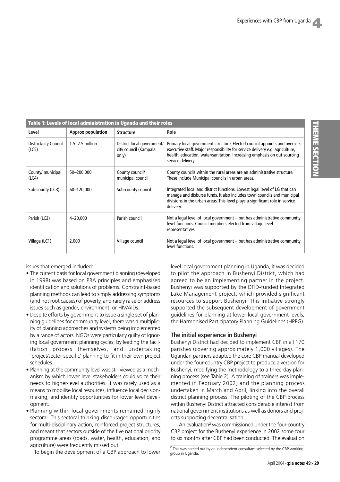| Table 1: Levels of local administration in Uganda and their roles |                          |                                                              |                                                                                                                                                                                                                                                            |  |  |
|-------------------------------------------------------------------|--------------------------|--------------------------------------------------------------|------------------------------------------------------------------------------------------------------------------------------------------------------------------------------------------------------------------------------------------------------------|--|--|
| Level                                                             | <b>Approx population</b> | <b>Structure</b>                                             | Role                                                                                                                                                                                                                                                       |  |  |
| District/city Council<br>(LC5)                                    | $1.5 - 2.5$ million      | District local government/<br>city council (Kampala<br>only) | Primary local government structure. Elected council appoints and oversees<br>executive staff. Major responsibility for service delivery e.g. agriculture,<br>health, education, water/sanitation. Increasing emphasis on out-sourcing<br>service delivery. |  |  |
| County/ municipal<br>(LC4)                                        | 50-200,000               | County council/<br>municipal council                         | County councils within the rural areas are an administrative structure.<br>These include Municipal councils in urban areas.                                                                                                                                |  |  |
| Sub-county (LC3)                                                  | 60-120.000               | Sub-county council                                           | Integrated local and district functions. Lowest legal level of LG that can<br>manage and disburse funds. It also includes town councils and municipal<br>divisions in the urban areas. This level plays a significant role in service<br>delivery.         |  |  |
| Parish (LC2)                                                      | $4 - 20.000$             | Parish council                                               | Not a legal level of local government $-$ but has administrative community<br>level functions. Council members elected from village level<br>representatives.                                                                                              |  |  |
| Village (LC1)                                                     | 2,000                    | Village council                                              | Not a legal level of local government - but has administrative community<br>level functions.                                                                                                                                                               |  |  |

issues that emerged included:

- The current basis for local government planning (developed in 1998) was based on PRA principles and emphasised identification and solutions of problems. Constraint-based planning methods can lead to simply addressing symptoms (and not root causes) of poverty, and rarely raise or address issues such as gender, environment, or HIV/AIDs.
- Despite efforts by government to issue a single set of planning guidelines for community level, there was a multiplicity of planning approaches and systems being implemented by a range of actors. NGOs were particularly guilty of ignoring local government planning cycles, by leading the facilitation process themselves, and undertaking 'project/sector-specific' planning to fit in their own project schedules.
- Planning at the community level was still viewed as a mechanism by which lower level stakeholders could voice their needs to higher-level authorities. It was rarely used as a means to mobilise local resources, influence local decisionmaking, and identify opportunities for lower level development.
- Planning within local governments remained highly sectoral. This sectoral thinking discouraged opportunities for multi-disciplinary action, reinforced project structures, and meant that sectors outside of the five national priority programme areas (roads, water, health, education, and agriculture) were frequently missed out.

To begin the development of a CBP approach to lower

level local government planning in Uganda, it was decided to pilot the approach in Bushenyi District, which had agreed to be an implementing partner in the project. Bushenyi was supported by the DFID-funded Integrated Lake Management project, which provided significant resources to support Bushenyi. This initiative strongly supported the subsequent development of government guidelines for planning at lower local government levels, the Harmonised Participatory Planning Guidelines (HPPG).

### **The initial experience in Bushenyi**

Bushenyi District had decided to implement CBP in all 170 parishes (covering approximately 1,000 villages). The Ugandan partners adapted the core CBP manual developed under the four-country CBP project to produce a version for Bushenyi, modifying the methodology to a three-day planning process (see Table 2). A training of trainers was implemented in February 2002, and the planning process undertaken in March and April, linking into the overall district planning process. The piloting of the CBP process within Bushenyi District attracted considerable interest from national government institutions as well as donors and projects supporting decentralisation.

An evaluation**<sup>2</sup>** was commissioned under the four-country CBP project for the Bushenyi experience in 2002 some four to six months after CBP had been conducted. The evaluation

**<sup>2</sup>** This was carried out by an independent consultant selected by the CBP working group in Uganda.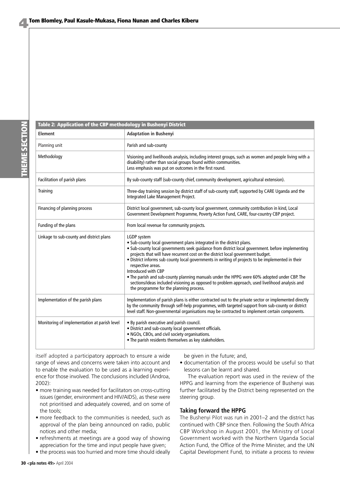**Table 2: Application of the CBP methodology in Bushenyi District**

| <b>Element</b>                               | <b>Adaptation in Bushenyi</b>                                                                                                                                                                                                                                                                                                                                                                                                                                                                                                                                                                                                                                            |  |
|----------------------------------------------|--------------------------------------------------------------------------------------------------------------------------------------------------------------------------------------------------------------------------------------------------------------------------------------------------------------------------------------------------------------------------------------------------------------------------------------------------------------------------------------------------------------------------------------------------------------------------------------------------------------------------------------------------------------------------|--|
| Planning unit                                | Parish and sub-county                                                                                                                                                                                                                                                                                                                                                                                                                                                                                                                                                                                                                                                    |  |
| Methodology                                  | Visioning and livelihoods analysis, including interest groups, such as women and people living with a<br>disability) rather than social groups found within communities.<br>Less emphasis was put on outcomes in the first round.                                                                                                                                                                                                                                                                                                                                                                                                                                        |  |
| Facilitation of parish plans                 | By sub-county staff (sub-county chief, community development, agricultural extension).                                                                                                                                                                                                                                                                                                                                                                                                                                                                                                                                                                                   |  |
| Training                                     | Three-day training session by district staff of sub-county staff, supported by CARE Uganda and the<br>Integrated Lake Management Project.                                                                                                                                                                                                                                                                                                                                                                                                                                                                                                                                |  |
| Financing of planning process                | District local government, sub-county local government, community contribution in kind, Local<br>Government Development Programme, Poverty Action Fund, CARE, four-country CBP project.                                                                                                                                                                                                                                                                                                                                                                                                                                                                                  |  |
| Funding of the plans                         | From local revenue for community projects.                                                                                                                                                                                                                                                                                                                                                                                                                                                                                                                                                                                                                               |  |
| Linkage to sub-county and district plans     | LGDP system<br>• Sub-county local government plans integrated in the district plans.<br>. Sub-county local governments seek guidance from district local government. before implementing<br>projects that will have recurrent cost on the district local government budget.<br>. District informs sub county local governments in writing of projects to be implemented in their<br>respective areas.<br>Introduced with CBP<br>• The parish and sub-county planning manuals under the HPPG were 60% adopted under CBP. The<br>sections/ideas included visioning as opposed to problem approach, used livelihood analysis and<br>the programme for the planning process. |  |
| Implementation of the parish plans           | Implementation of parish plans is either contracted out to the private sector or implemented directly<br>by the community through self-help programmes, with targeted support from sub-county or district<br>level staff. Non-governmental organisations may be contracted to implement certain components.                                                                                                                                                                                                                                                                                                                                                              |  |
| Monitoring of implementation at parish level | . By parish executive and parish council.<br>· District and sub-county local government officials.<br>• NGOs, CBOs, and civil society organisations.<br>. The parish residents themselves as key stakeholders.                                                                                                                                                                                                                                                                                                                                                                                                                                                           |  |

itself adopted a participatory approach to ensure a wide range of views and concerns were taken into account and to enable the evaluation to be used as a learning experience for those involved. The conclusions included (Androa, 2002):

- more training was needed for facilitators on cross-cutting issues (gender, environment and HIV/AIDS), as these were not prioritised and adequately covered, and on some of the tools;
- more feedback to the communities is needed, such as approval of the plan being announced on radio, public notices and other media;
- refreshments at meetings are a good way of showing appreciation for the time and input people have given;
- the process was too hurried and more time should ideally

be given in the future; and,

• documentation of the process would be useful so that lessons can be learnt and shared.

The evaluation report was used in the review of the HPPG and learning from the experience of Bushenyi was further facilitated by the District being represented on the steering group.

### **Taking forward the HPPG**

The Bushenyi Pilot was run in 2001–2 and the district has continued with CBP since then. Following the South Africa CBP Workshop in August 2001, the Ministry of Local Government worked with the Northern Uganda Social Action Fund, the Office of the Prime Minister, and the UN Capital Development Fund, to initiate a process to review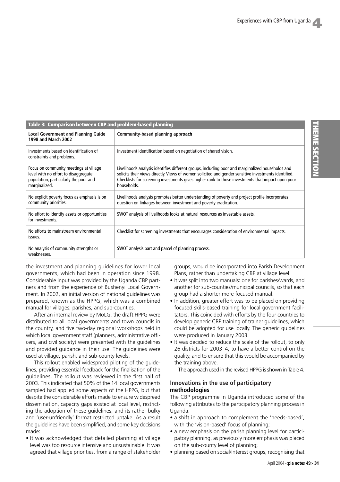| Table 3: Comparison between CBP and problem-based planning                                                                               |                                                                                                                                                                                                                                                                                                                              |  |  |  |
|------------------------------------------------------------------------------------------------------------------------------------------|------------------------------------------------------------------------------------------------------------------------------------------------------------------------------------------------------------------------------------------------------------------------------------------------------------------------------|--|--|--|
| <b>Local Government and Planning Guide</b><br>1998 and March 2002                                                                        | Community-based planning approach                                                                                                                                                                                                                                                                                            |  |  |  |
| Investments based on identification of<br>constraints and problems.                                                                      | Investment identification based on negotiation of shared vision.                                                                                                                                                                                                                                                             |  |  |  |
| Focus on community meetings at village<br>level with no effort to disaggregate<br>population, particularly the poor and<br>marginalized. | Livelihoods analysis identifies different groups, including poor and marginalized households and<br>solicits their views directly. Views of women solicited and gender sensitive investments identified.<br>Checklists for screening investments gives higher rank to those investments that impact upon poor<br>households. |  |  |  |
| No explicit poverty focus as emphasis is on<br>community priorities.                                                                     | Livelihoods analysis promotes better understanding of poverty and project profile incorporates<br>question on linkages between investment and poverty eradication.                                                                                                                                                           |  |  |  |
| No effort to identify assets or opportunities<br>for investments.                                                                        | SWOT analysis of livelihoods looks at natural resources as investable assets.                                                                                                                                                                                                                                                |  |  |  |
| No efforts to mainstream environmental<br>issues.                                                                                        | Checklist for screening investments that encourages consideration of environmental impacts.                                                                                                                                                                                                                                  |  |  |  |
| No analysis of community strengths or<br>weaknesses.                                                                                     | SWOT analysis part and parcel of planning process.                                                                                                                                                                                                                                                                           |  |  |  |

the investment and planning guidelines for lower local governments, which had been in operation since 1998. Considerable input was provided by the Uganda CBP partners and from the experience of Bushenyi Local Government. In 2002, an initial version of national guidelines was prepared, known as the HPPG, which was a combined manual for villages, parishes, and sub-counties.

After an internal review by MoLG, the draft HPPG were distributed to all local governments and town councils in the country, and five two-day regional workshops held in which local government staff (planners, administrative officers, and civil society) were presented with the guidelines and provided guidance in their use. The guidelines were used at village, parish, and sub-county levels.

This rollout enabled widespread piloting of the guidelines, providing essential feedback for the finalisation of the guidelines. The rollout was reviewed in the first half of 2003. This indicated that 50% of the 14 local governments sampled had applied some aspects of the HPPG, but that despite the considerable efforts made to ensure widespread dissemination, capacity gaps existed at local level, restricting the adoption of these guidelines, and its rather bulky and 'user-unfriendly' format restricted uptake. As a result the guidelines have been simplified, and some key decisions made:

• It was acknowledged that detailed planning at village level was too resource intensive and unsustainable. It was agreed that village priorities, from a range of stakeholder groups, would be incorporated into Parish Development Plans, rather than undertaking CBP at village level.

- It was split into two manuals: one for parishes/wards, and another for sub-counties/municipal councils, so that each group had a shorter more focused manual.
- In addition, greater effort was to be placed on providing focused skills-based training for local government facilitators. This coincided with efforts by the four countries to develop generic CBP training of trainer guidelines, which could be adopted for use locally. The generic guidelines were produced in January 2003.
- It was decided to reduce the scale of the rollout, to only 26 districts for 2003–4, to have a better control on the quality, and to ensure that this would be accompanied by the training above.

The approach used in the revised HPPG is shown in Table 4.

### **Innovations in the use of participatory methodologies**

The CBP programme in Uganda introduced some of the following attributes to the participatory planning process in Uganda:

- a shift in approach to complement the 'needs-based', with the 'vision-based' focus of planning;
- a new emphasis on the parish planning level for participatory planning, as previously more emphasis was placed on the sub-county level of planning;
- planning based on social/interest groups, recognising that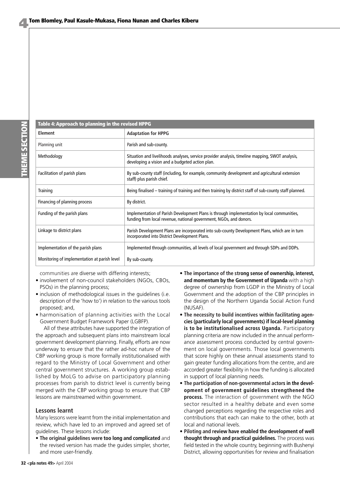| Table 4: Approach to planning in the revised HPPG |                                                                                                                                                                  |  |  |
|---------------------------------------------------|------------------------------------------------------------------------------------------------------------------------------------------------------------------|--|--|
| <b>Element</b>                                    | <b>Adaptation for HPPG</b>                                                                                                                                       |  |  |
| Planning unit                                     | Parish and sub-county.                                                                                                                                           |  |  |
| Methodology                                       | Situation and livelihoods analyses, service provider analysis, timeline mapping, SWOT analysis,<br>developing a vision and a budgeted action plan.               |  |  |
| Facilitation of parish plans                      | By sub-county staff (including, for example, community development and agricultural extension<br>staff) plus parish chief.                                       |  |  |
| Training                                          | Being finalised – training of training and then training by district staff of sub-county staff planned.                                                          |  |  |
| Financing of planning process                     | By district.                                                                                                                                                     |  |  |
| Funding of the parish plans                       | Implementation of Parish Development Plans is through implementation by local communities,<br>funding from local revenue, national government, NGOs, and donors. |  |  |
| Linkage to district plans                         | Parish Development Plans are incorporated into sub-county Development Plans, which are in turn<br>incorporated into District Development Plans.                  |  |  |
| Implementation of the parish plans                | Implemented through communities, all levels of local government and through SDPs and DDPs.                                                                       |  |  |
| Monitoring of implementation at parish level      | By sub-county.                                                                                                                                                   |  |  |

communities are diverse with differing interests;

- involvement of non-council stakeholders (NGOs, CBOs, PSOs) in the planning process;
- inclusion of methodological issues in the guidelines (i.e. description of the 'how to') in relation to the various tools proposed; and,
- harmonisation of planning activities with the Local Government Budget Framework Paper (LGBFP).

All of these attributes have supported the integration of the approach and subsequent plans into mainstream local government development planning. Finally, efforts are now underway to ensure that the rather ad-hoc nature of the CBP working group is more formally institutionalised with regard to the Ministry of Local Government and other central government structures. A working group established by MoLG to advise on participatory planning processes from parish to district level is currently being merged with the CBP working group to ensure that CBP lessons are mainstreamed within government.

### **Lessons learnt**

Many lessons were learnt from the initial implementation and review, which have led to an improved and agreed set of guidelines. These lessons include:

• **The original guidelines were too long and complicated** and the revised version has made the guides simpler, shorter, and more user-friendly.

- **The importance of the strong sense of ownership, interest, and momentum by the Government of Uganda** with a high degree of ownership from LGDP in the Ministry of Local Government and the adoption of the CBP principles in the design of the Northern Uganda Social Action Fund (NUSAF).
- **The necessity to build incentives within facilitating agencies (particularly local governments) if local-level planning is to be institutionalised across Uganda.** Participatory planning criteria are now included in the annual performance assessment process conducted by central government on local governments. Those local governments that score highly on these annual assessments stand to gain greater funding allocations from the centre, and are accorded greater flexibility in how the funding is allocated in support of local planning needs.
- **The participation of non-governmental actors in the development of government guidelines strengthened the process.** The interaction of government with the NGO sector resulted in a healthy debate and even some changed perceptions regarding the respective roles and contributions that each can make to the other, both at local and national levels.
- **Piloting and review have enabled the development of well thought through and practical guidelines.** The process was field tested in the whole country, beginning with Bushenyi District, allowing opportunities for review and finalisation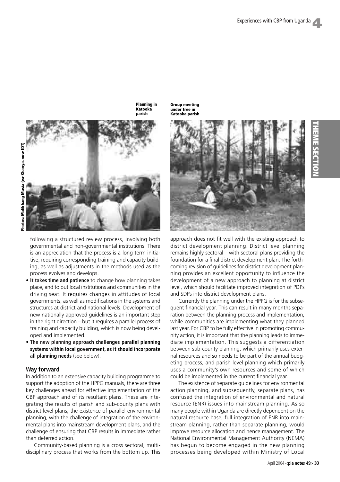

following a structured review process, involving both governmental and non-governmental institutions. There is an appreciation that the process is a long term initiative, requiring corresponding training and capacity building, as well as adjustments in the methods used as the process evolves and develops.

- **It takes time and patience** to change how planning takes place, and to put local institutions and communities in the driving seat. It requires changes in attitudes of local governments, as well as modifications in the systems and structures at district and national levels. Development of new nationally approved guidelines is an important step in the right direction – but it requires a parallel process of training and capacity building, which is now being developed and implemented.
- **The new planning approach challenges parallel planning systems within local government, as it should incorporate all planning needs** (see below).

### **Way forward**

In addition to an extensive capacity building programme to support the adoption of the HPPG manuals, there are three key challenges ahead for effective implementation of the CBP approach and of its resultant plans. These are integrating the results of parish and sub-county plans with district level plans, the existence of parallel environmental planning, with the challenge of integration of the environmental plans into mainstream development plans, and the challenge of ensuring that CBP results in immediate rather than deferred action.

Community-based planning is a cross sectoral, multidisciplinary process that works from the bottom up. This **Group meeting under tree in Katooka parish**



approach does not fit well with the existing approach to district development planning. District level planning remains highly sectoral – with sectoral plans providing the foundation for a final district development plan. The forthcoming revision of guidelines for district development planning provides an excellent opportunity to influence the development of a new approach to planning at district level, which should facilitate improved integration of PDPs and SDPs into district development plans.

Currently the planning under the HPPG is for the subsequent financial year. This can result in many months separation between the planning process and implementation, while communities are implementing what they planned last year. For CBP to be fully effective in promoting community action, it is important that the planning leads to immediate implementation. This suggests a differentiation between sub-county planning, which primarily uses external resources and so needs to be part of the annual budgeting process, and parish level planning which primarily uses a community's own resources and some of which could be implemented in the current financial year.

The existence of separate guidelines for environmental action planning, and subsequently, separate plans, has confused the integration of environmental and natural resource (ENR) issues into mainstream planning. As so many people within Uganda are directly dependent on the natural resource base, full integration of ENR into mainstream planning, rather than separate planning, would improve resource allocation and hence management. The National Environmental Management Authority (NEMA) has begun to become engaged in the new planning processes being developed within Ministry of Local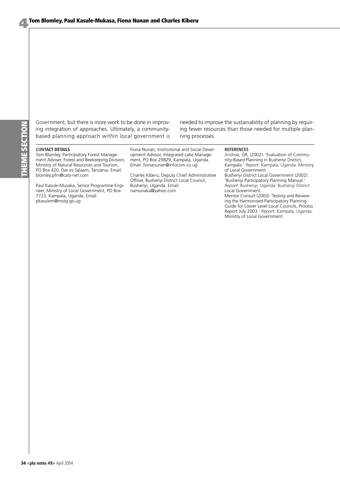THEME SECTION **THEME SECTION**

Government, but there is more work to be done in improving integration of approaches. Ultimately, a communitybased planning approach within local government is

needed to improve the sustainability of planning by requiring fewer resources than those needed for multiple planning processes.

### **CONTACT DETAILS**

Tom Blomley, Participatory Forest Management Adviser, Forest and Beekeeping Division, Ministry of Natural Resources and Tourism, PO Box 420, Dar es Salaam, Tanzania. Email: blomley.pfm@cats-net.com

Paul Kasule-Musaka, Senior Programme Engineer, Ministry of Local Government, PO Box 7723, Kampala, Uganda. Email: pkasulem@molg.go.ug

Fiona Nunan, Institutional and Social Development Advisor, Integrated Lake Management, PO Box 29829, Kampala, Uganda. Email: fionanunan@infocom.co.ug

Charles Kiberu, Deputy Chief Administrative Officer, Bushenyi District Local Council, Bushenyi, Uganda. Email: namunaka@yahoo.com

### **REFERENCES**

Androa, GR, (2002). 'Evaluation of Community-Based Planning in Bushenyi District, Kampala.' *Report*. Kampala, Uganda: Ministry of Local Government.

Bushenyi District Local Government (2002) 'Bushenyi Participatory Planning Manual.' *Report*. Bushenyi, Uganda: Bushenyi District Local Government.

Mentor Consult (2003) 'Testing and Reviewing the Harmonised Participatory Planning Guide for Lower Level Local Councils, Process Report July 2003.' *Report*. Kampala, Uganda: Ministry of Local Government.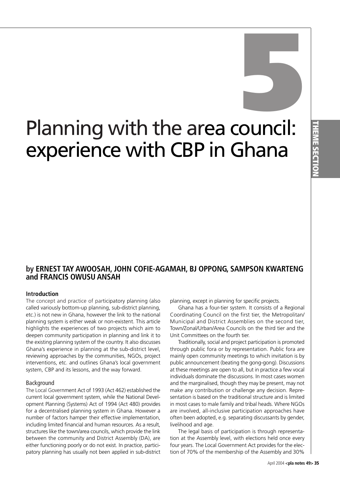# Planning with the area council: experience with CBP in Ghana 5<br>
5<br> **Suncil:**

#### **by ERNEST TAY AWOOSAH, JOHN COFIE-AGAMAH, BJ OPPONG, SAMPSON KWARTENG and FRANCIS OWUSU ANSAH**

#### **Introduction**

The concept and practice of participatory planning (also called variously bottom-up planning, sub-district planning, etc.) is not new in Ghana, however the link to the national planning system is either weak or non-existent. This article highlights the experiences of two projects which aim to deepen community participation in planning and link it to the existing planning system of the country. It also discusses Ghana's experience in planning at the sub-district level, reviewing approaches by the communities, NGOs, project interventions, etc. and outlines Ghana's local government system, CBP and its lessons, and the way forward.

#### Background

The Local Government Act of 1993 (Act 462) established the current local government system, while the National Development Planning (Systems) Act of 1994 (Act 480) provides for a decentralised planning system in Ghana. However a number of factors hamper their effective implementation, including limited financial and human resources. As a result, structures like the town/area councils, which provide the link between the community and District Assembly (DA), are either functioning poorly or do not exist. In practice, participatory planning has usually not been applied in sub-district planning, except in planning for specific projects.

Ghana has a four-tier system. It consists of a Regional Coordinating Council on the first tier, the Metropolitan/ Municipal and District Assemblies on the second tier, Town/Zonal/Urban/Area Councils on the third tier and the Unit Committees on the fourth tier.

Traditionally, social and project participation is promoted through public fora or by representation. Public fora are mainly open community meetings to which invitation is by public announcement (beating the gong-gong). Discussions at these meetings are open to all, but in practice a few vocal individuals dominate the discussions. In most cases women and the marginalised, though they may be present, may not make any contribution or challenge any decision. Representation is based on the traditional structure and is limited in most cases to male family and tribal heads. Where NGOs are involved, all-inclusive participation approaches have often been adopted, e.g. separating discussants by gender, livelihood and age.

The legal basis of participation is through representation at the Assembly level, with elections held once every four years. The Local Government Act provides for the election of 70% of the membership of the Assembly and 30%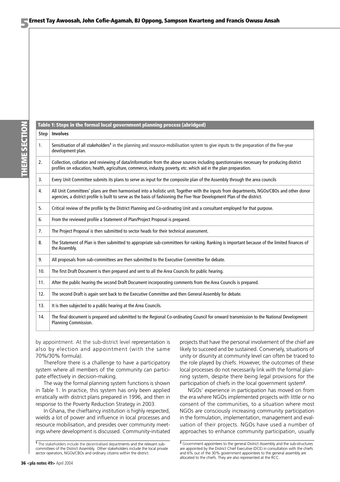|      | Table 1: Steps in the formal local government planning process (abridged)                                                                                                                                                                                              |  |  |  |
|------|------------------------------------------------------------------------------------------------------------------------------------------------------------------------------------------------------------------------------------------------------------------------|--|--|--|
| Step | <b>Involves</b>                                                                                                                                                                                                                                                        |  |  |  |
| 1.   | Sensitisation of all stakeholders <sup>1</sup> in the planning and resource-mobilisation system to give inputs to the preparation of the five-year<br>development plan.                                                                                                |  |  |  |
| 2.   | Collection, collation and reviewing of data/information from the above sources including questionnaires necessary for producing district<br>profiles on education, health, agriculture, commerce, industry, poverty, etc. which aid in the plan preparation.           |  |  |  |
| 3.   | Every Unit Committee submits its plans to serve as input for the composite plan of the Assembly through the area councils                                                                                                                                              |  |  |  |
| 4.   | All Unit Committees' plans are then harmonised into a holistic unit. Together with the inputs from departments, NGOs/CBOs and other donor<br>agencies, a district profile is built to serve as the basis of fashioning the Five-Year Development Plan of the district. |  |  |  |
| 5.   | Critical review of the profile by the District Planning and Co-ordinating Unit and a consultant employed for that purpose.                                                                                                                                             |  |  |  |
| 6.   | From the reviewed profile a Statement of Plan/Project Proposal is prepared.                                                                                                                                                                                            |  |  |  |
| 7.   | The Project Proposal is then submitted to sector heads for their technical assessment.                                                                                                                                                                                 |  |  |  |
| 8.   | The Statement of Plan is then submitted to appropriate sub-committees for ranking. Ranking is important because of the limited finances of<br>the Assembly.                                                                                                            |  |  |  |
| 9.   | All proposals from sub-committees are then submitted to the Executive Committee for debate.                                                                                                                                                                            |  |  |  |
| 10.  | The first Draft Document is then prepared and sent to all the Area Councils for public hearing.                                                                                                                                                                        |  |  |  |
| 11.  | After the public hearing the second Draft Document incorporating comments from the Area Councils is prepared.                                                                                                                                                          |  |  |  |
| 12.  | The second Draft is again sent back to the Executive Committee and then General Assembly for debate.                                                                                                                                                                   |  |  |  |
| 13.  | It is then subjected to a public hearing at the Area Councils.                                                                                                                                                                                                         |  |  |  |
| 14.  | The final document is prepared and submitted to the Regional Co-ordinating Council for onward transmission to the National Development<br>Planning Commission.                                                                                                         |  |  |  |

by appointment. At the sub-district level representation is also by election and appointment (with the same 70%/30% formula).

Therefore there is a challenge to have a participatory system where all members of the community can participate effectively in decision-making.

The way the formal planning system functions is shown in Table 1. In practice, this system has only been applied erratically with district plans prepared in 1996, and then in response to the Poverty Reduction Strategy in 2003.

In Ghana, the chieftaincy institution is highly respected, wields a lot of power and influence in local processes and resource mobilisation, and presides over community meetings where development is discussed. Community-initiated

projects that have the personal involvement of the chief are likely to succeed and be sustained. Conversely, situations of unity or disunity at community level can often be traced to the role played by chiefs. However, the outcomes of these local processes do not necessarily link with the formal planning system, despite there being legal provisions for the participation of chiefs in the local government system**2**.

NGOs' experience in participation has moved on from the era where NGOs implemented projects with little or no consent of the communities, to a situation where most NGOs are consciously increasing community participation in the formulation, implementation, management and evaluation of their projects. NGOs have used a number of approaches to enhance community participation, usually

**<sup>1</sup>** The stakeholders include the decentralised departments and the relevant subcommittees of the District Assembly. Other stakeholders include the local private sector operators, NGOs/CBOs and ordinary citizens within the district.

**<sup>2</sup>** Government appointees to the general District Assembly and the sub-structures are appointed by the District Chief Executive (DCE) in consultation with the chiefs and 6% out of the 30% government appointees to the general assembly are allocated to the chiefs. They are also represented at the RCC.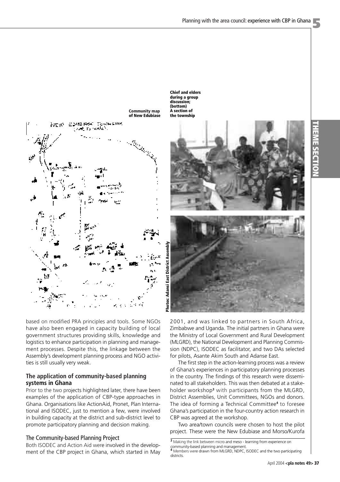

based on modified PRA principles and tools. Some NGOs have also been engaged in capacity building of local government structures providing skills, knowledge and logistics to enhance participation in planning and management processes. Despite this, the linkage between the Assembly's development planning process and NGO activities is still usually very weak.

#### **The application of community-based planning systems in Ghana**

Prior to the two projects highlighted later, there have been examples of the application of CBP-type approaches in Ghana. Organisations like ActionAid, Pronet, Plan International and ISODEC, just to mention a few, were involved in building capacity at the district and sub-district level to promote participatory planning and decision making.

#### The Community-based Planning Project

Both ISODEC and Action Aid were involved in the development of the CBP project in Ghana, which started in May **Chief and elders during a group discussion; (bottom) A section of the township**



2001, and was linked to partners in South Africa, Zimbabwe and Uganda. The initial partners in Ghana were the Ministry of Local Government and Rural Development (MLGRD), the National Development and Planning Commission (NDPC), ISODEC as facilitator, and two DAs selected for pilots, Asante Akim South and Adanse East.

The first step in the action-learning process was a review of Ghana's experiences in participatory planning processes in the country. The findings of this research were disseminated to all stakeholders. This was then debated at a stakeholder workshop**<sup>3</sup>** with participants from the MLGRD, District Assemblies, Unit Committees, NGOs and donors. The idea of forming a Technical Committee**<sup>4</sup>** to foresee Ghana's participation in the four-country action research in CBP was agreed at the workshop.

Two area/town councils were chosen to host the pilot project. These were the New Edubiase and Morso/Kurofa

**<sup>3</sup>** Making the link between micro and meso - learning from experience on community-based planning and management. **<sup>4</sup>** Members were drawn from MLGRD, NDPC, ISODEC and the two participating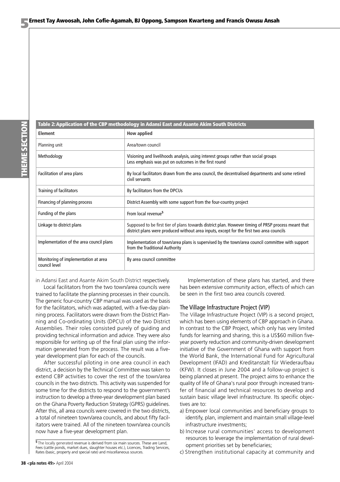| Table 2: Application of the CBP methodology in Adansi East and Asante Akim South Districts |                                                                                                                                                                                                 |  |  |
|--------------------------------------------------------------------------------------------|-------------------------------------------------------------------------------------------------------------------------------------------------------------------------------------------------|--|--|
| Element                                                                                    | <b>How applied</b>                                                                                                                                                                              |  |  |
| Planning unit                                                                              | Area/town council                                                                                                                                                                               |  |  |
| Methodology                                                                                | Visioning and livelihoods analysis, using interest groups rather than social groups<br>Less emphasis was put on outcomes in the first round                                                     |  |  |
| Facilitation of area plans                                                                 | By local facilitators drawn from the area council, the decentralised departments and some retired<br>civil servants                                                                             |  |  |
| Training of facilitators                                                                   | By facilitators from the DPCUs                                                                                                                                                                  |  |  |
| Financing of planning process                                                              | District Assembly with some support from the four-country project                                                                                                                               |  |  |
| Funding of the plans                                                                       | From local revenue <sup>5</sup>                                                                                                                                                                 |  |  |
| Linkage to district plans                                                                  | Supposed to be first tier of plans towards district plan. However timing of PRSP process meant that<br>district plans were produced without area inputs, except for the first two area councils |  |  |
| Implementation of the area council plans                                                   | Implementation of town/area plans is supervised by the town/area council committee with support<br>from the Traditional Authority                                                               |  |  |
| Monitoring of implementation at area<br>council level                                      | By area council committee                                                                                                                                                                       |  |  |

in Adansi East and Asante Akim South District respectively.

Local facilitators from the two town/area councils were trained to facilitate the planning processes in their councils. The generic four-country CBP manual was used as the basis for the facilitators, which was adapted, with a five-day planning process. Facilitators were drawn from the District Planning and Co-ordinating Units (DPCU) of the two District Assemblies. Their roles consisted purely of guiding and providing technical information and advice. They were also responsible for writing up of the final plan using the information generated from the process. The result was a fiveyear development plan for each of the councils.

After successful piloting in one area council in each district, a decision by the Technical Committee was taken to extend CBP activities to cover the rest of the town/area councils in the two districts. This activity was suspended for some time for the districts to respond to the government's instruction to develop a three-year development plan based on the Ghana Poverty Reduction Strategy (GPRS) guidelines. After this, all area councils were covered in the two districts, a total of nineteen town/area councils, and about fifty facilitators were trained. All of the nineteen town/area councils now have a five-year development plan.

Implementation of these plans has started, and there has been extensive community action, effects of which can be seen in the first two area councils covered.

#### The Village Infrastructure Project (VIP)

The Village Infrastructure Project (VIP) is a second project, which has been using elements of CBP approach in Ghana. In contrast to the CBP Project, which only has very limited funds for learning and sharing, this is a US\$60 million fiveyear poverty reduction and community-driven development initiative of the Government of Ghana with support from the World Bank, the International Fund for Agricultural Development (IFAD) and Kreditanstalt für Wiederaufbau (KFW). It closes in June 2004 and a follow-up project is being planned at present. The project aims to enhance the quality of life of Ghana's rural poor through increased transfer of financial and technical resources to develop and sustain basic village level infrastructure. Its specific objectives are to:

- a) Empower local communities and beneficiary groups to identify, plan, implement and maintain small village-level infrastructure investments;
- b) Increase rural communities' access to development resources to leverage the implementation of rural development priorities set by beneficiaries;
- c) Strengthen institutional capacity at community and

**<sup>5</sup>**The locally generated revenue is derived from six main sources. These are Land, Fees (cattle ponds, market dues, slaughter houses etc.), Licences, Trading Services, Rates (basic, property and special rate) and miscellaneous sources.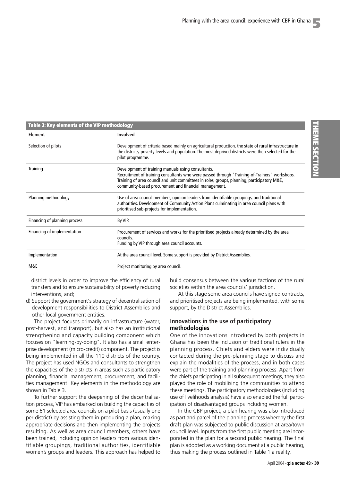| Table 3: Key elements of the VIP methodology |                                                                                                                                                                                                                                                                                                             |  |
|----------------------------------------------|-------------------------------------------------------------------------------------------------------------------------------------------------------------------------------------------------------------------------------------------------------------------------------------------------------------|--|
| <b>Element</b>                               | Involved                                                                                                                                                                                                                                                                                                    |  |
| Selection of pilots                          | Development of criteria based mainly on agricultural production, the state of rural infrastructure in<br>the districts, poverty levels and population. The most deprived districts were then selected for the<br>pilot programme.                                                                           |  |
| Training                                     | Development of training manuals using consultants.<br>Recruitment of training consultants who were passed through "Training-of-Trainers" workshops.<br>Training of area council and unit committees in roles, groups, planning, participatory M&E,<br>community-based procurement and financial management. |  |
| Planning methodology                         | Use of area council members, opinion leaders from identifiable groupings, and traditional<br>authorities. Development of Community Action Plans culminating in area council plans with<br>prioritised sub-projects for implementation.                                                                      |  |
| Financing of planning process                | By VIP.                                                                                                                                                                                                                                                                                                     |  |
| Financing of implementation                  | Procurement of services and works for the prioritised projects already determined by the area<br>councils.<br>Funding by VIP through area council accounts.                                                                                                                                                 |  |
| Implementation                               | At the area council level. Some support is provided by District Assemblies.                                                                                                                                                                                                                                 |  |
| M&E                                          | Project monitoring by area council.                                                                                                                                                                                                                                                                         |  |

district levels in order to improve the efficiency of rural transfers and to ensure sustainability of poverty reducing interventions, and;

d) Support the government's strategy of decentralisation of development responsibilities to District Assemblies and other local government entities.

The project focuses primarily on infrastructure (water, post-harvest, and transport), but also has an institutional strengthening and capacity building component which focuses on "learning-by-doing". It also has a small enterprise development (micro-credit) component. The project is being implemented in all the 110 districts of the country. The project has used NGOs and consultants to strengthen the capacities of the districts in areas such as participatory planning, financial management, procurement, and facilities management. Key elements in the methodology are shown in Table 3.

To further support the deepening of the decentralisation process, VIP has embarked on building the capacities of some 61 selected area councils on a pilot basis (usually one per district) by assisting them in producing a plan, making appropriate decisions and then implementing the projects resulting. As well as area council members, others have been trained, including opinion leaders from various identifiable groupings, traditional authorities, identifiable women's groups and leaders. This approach has helped to build consensus between the various factions of the rural societies within the area councils' jurisdiction.

At this stage some area councils have signed contracts, and prioritised projects are being implemented, with some support, by the District Assemblies.

#### **Innovations in the use of participatory methodologies**

One of the innovations introduced by both projects in Ghana has been the inclusion of traditional rulers in the planning process. Chiefs and elders were individually contacted during the pre-planning stage to discuss and explain the modalities of the process, and in both cases were part of the training and planning process. Apart from the chiefs participating in all subsequent meetings, they also played the role of mobilising the communities to attend these meetings. The participatory methodologies (including use of livelihoods analysis) have also enabled the full participation of disadvantaged groups including women.

In the CBP project, a plan hearing was also introduced as part and parcel of the planning process whereby the first draft plan was subjected to public discussion at area/town council level. Inputs from the first public meeting are incorporated in the plan for a second public hearing. The final plan is adopted as a working document at a public hearing, thus making the process outlined in Table 1 a reality.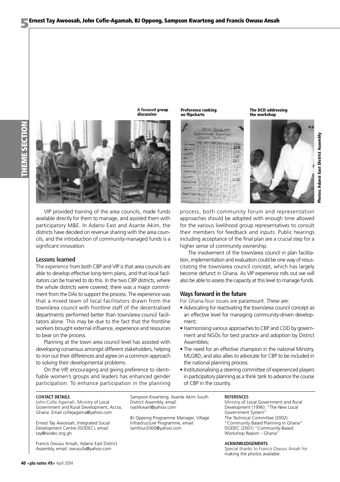**A focused group discussion**



VIP provided training of the area councils, made funds available directly for them to manage, and assisted them with participatory M&E. In Adansi East and Asante Akim, the districts have decided on revenue sharing with the area councils, and the introduction of community-managed funds is a significant innovation.

#### **Lessons learned**

The experience from both CBP and VIP is that area councils are able to develop effective long-term plans, and that local facilitators can be trained to do this. In the two CBP districts, where the whole districts were covered, there was a major commitment from the DAs to support the process. The experience was that a mixed team of local facilitators drawn from the town/area council with frontline staff of the decentralised departments performed better than town/area council facilitators alone. This may be due to the fact that the frontline workers brought external influence, experience and resources to bear on the process.

Planning at the town area council level has assisted with developing consensus amongst different stakeholders, helping to iron out their differences and agree on a common approach to solving their developmental problems.

On the VIP, encouraging and giving preference to identifiable women's groups and leaders has enhanced gender participation. To enhance participation in the planning

**Preference ranking on flipcharts**



**The DCD addressing the workshop**



process, both community forum and representation approaches should be adopted with enough time allowed for the various livelihood group representatives to consult their members for feedback and inputs. Public hearings including acceptance of the final plan are a crucial step for a higher sense of community ownership.

The involvement of the town/area council in plan facilitation, implementation and evaluation could be one way of resuscitating the town/area council concept, which has largely become defunct in Ghana. As VIP experience rolls out we will also be able to assess the capacity at this level to manage funds.

#### **Ways forward in the future**

For Ghana four issues are paramount. These are:

- Advocating for reactivating the town/area council concept as an effective level for managing community-driven development;
- Harmonising various approaches to CBP and CDD by government and NGOs for best practice and adoption by District Assemblies;
- The need for an effective champion in the national Ministry, MLGRD, and also allies to advocate for CBP to be included in the national planning process.
- Institutionalising a steering committee of experienced players in participatory planning as a think tank to advance the course of CBP in the country.

#### **CONTACT DETAILS**

John-Cofie Agamah, Ministry of Local Government and Rural Development, Accra, Ghana. Email cofiejagama@yahoo.com

Ernest Tay Awoosah, Integrated Social Development Centre (ISODEC), email: tay@isodec.org.gh

Francis Owusu Ansah, Adansi East District Assembly, email: owusufa@yahoo.com

Sampson Kwarteng, Asante Akim South District Assembly, email: nashkwart@yahoo.com

BJ Oppong Programme Manager, Village Infrastructure Programme, email: tamfour2000@yahoo.com

#### **REFERENCES**

Ministry of Local Government and Rural Development (1996): "The New Local Government System" The Technical Committee (2002) "Community Based Planning in Ghana" ISODEC (2001) "Community-Based Workshop Report – Ghana"

#### **ACKNOWLEDGEMENTS**

Special thanks to Francis Owusu Ansah for making the photos available.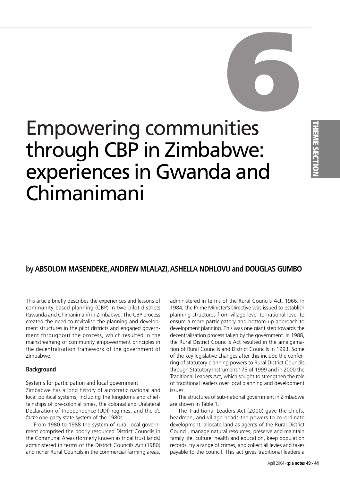## Empowering communities through CBP in Zimbabwe: experiences in Gwanda and Chimanimani **6**

#### **by ABSOLOM MASENDEKE,ANDREW MLALAZI,ASHELLA NDHLOVU and DOUGLAS GUMBO**

This article briefly describes the experiences and lessons of community-based planning (CBP) in two pilot districts (Gwanda and Chimanimani) in Zimbabwe. The CBP process created the need to revitalise the planning and development structures in the pilot districts and engaged government throughout the process, which resulted in the mainstreaming of community empowerment principles in the decentralisation framework of the government of Zimbabwe.

#### **Background**

#### Systems for participation and local government

Zimbabwe has a long history of autocratic national and local political systems, including the kingdoms and chieftainships of pre-colonial times, the colonial and Unilateral Declaration of Independence (UDI) regimes, and the *de facto* one-party state system of the 1980s.

From 1980 to 1988 the system of rural local government comprised the poorly resourced District Councils in the Communal Areas (formerly known as tribal trust lands) administered in terms of the District Councils Act (1980) and richer Rural Councils in the commercial farming areas, administered in terms of the Rural Councils Act, 1966. In 1984, the Prime Minister's Directive was issued to establish planning structures from village level to national level to ensure a more participatory and bottom-up approach to development planning. This was one giant step towards the decentralisation process taken by the government. In 1988, the Rural District Councils Act resulted in the amalgamation of Rural Councils and District Councils in 1993. Some of the key legislative changes after this include the conferring of statutory planning powers to Rural District Councils through Statutory Instrument 175 of 1999 and in 2000 the Traditional Leaders Act, which sought to strengthen the role of traditional leaders over local planning and development issues.

The structures of sub-national government in Zimbabwe are shown in Table 1.

The Traditional Leaders Act (2000) gave the chiefs, headmen, and village heads the powers to co-ordinate development, allocate land as agents of the Rural District Council, manage natural resources, preserve and maintain family life, culture, health and education, keep population records, try a range of crimes, and collect all levies and taxes payable to the council. This act gives traditional leaders a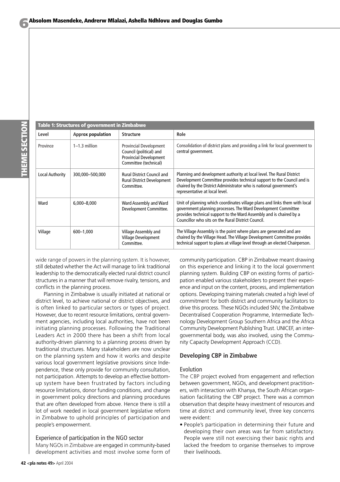**HEME SECTION THEME SECTION**

| Table 1: Structures of government in Zimbabwe |                          |                                                                                                                    |                                                                                                                                                                                                                                                                          |
|-----------------------------------------------|--------------------------|--------------------------------------------------------------------------------------------------------------------|--------------------------------------------------------------------------------------------------------------------------------------------------------------------------------------------------------------------------------------------------------------------------|
| Level                                         | <b>Approx population</b> | <b>Structure</b>                                                                                                   | Role                                                                                                                                                                                                                                                                     |
| Province                                      | $1-1.3$ million          | <b>Provincial Development</b><br>Council (political) and<br><b>Provincial Development</b><br>Committee (technical) | Consolidation of district plans and providing a link for local government to<br>central government.                                                                                                                                                                      |
| <b>Local Authority</b>                        | 300,000-500,000          | <b>Rural District Council and</b><br><b>Rural District Development</b><br>Committee.                               | Planning and development authority at local level. The Rural District<br>Development Committee provides technical support to the Council and is<br>chaired by the District Administrator who is national government's<br>representative at local level.                  |
| Ward                                          | $6,000 - 8,000$          | Ward Assembly and Ward<br>Development Committee.                                                                   | Unit of planning which coordinates village plans and links them with local<br>government planning processes. The Ward Development Committee<br>provides technical support to the Ward Assembly and is chaired by a<br>Councillor who sits on the Rural District Council. |
| Village                                       | 600-1,000                | Village Assembly and<br><b>Village Development</b><br>Committee.                                                   | The Village Assembly is the point where plans are generated and are<br>chaired by the Village Head. The Village Development Committee provides<br>technical support to plans at village level through an elected Chairperson.                                            |

wide range of powers in the planning system. It is however, still debated whether the Act will manage to link traditional leadership to the democratically elected rural district council structures in a manner that will remove rivalry, tensions, and conflicts in the planning process.

Planning in Zimbabwe is usually initiated at national or district level, to achieve national or district objectives, and is often linked to particular sectors or types of project. However, due to recent resource limitations, central government agencies, including local authorities, have not been initiating planning processes. Following the Traditional Leaders Act in 2000 there has been a shift from local authority-driven planning to a planning process driven by traditional structures. Many stakeholders are now unclear on the planning system and how it works and despite various local government legislative provisions since Independence, these only provide for community consultation, not participation. Attempts to develop an effective bottomup system have been frustrated by factors including resource limitations, donor funding conditions, and change in government policy directions and planning procedures that are often developed from above. Hence there is still a lot of work needed in local government legislative reform in Zimbabwe to uphold principles of participation and people's empowerment.

#### Experience of participation in the NGO sector

Many NGOs in Zimbabwe are engaged in community-based development activities and most involve some form of community participation. CBP in Zimbabwe meant drawing on this experience and linking it to the local government planning system. Building CBP on existing forms of participation enabled various stakeholders to present their experience and input on the content, process, and implementation options. Developing training materials created a high level of commitment for both district and community facilitators to drive this process. These NGOs included SNV, the Zimbabwe Decentralised Cooperation Programme, Intermediate Technology Development Group Southern Africa and the Africa Community Development Publishing Trust. UNICEF, an intergovernmental body, was also involved, using the Community Capacity Development Approach (CCD).

#### **Developing CBP in Zimbabwe**

#### Evolution

The CBP project evolved from engagement and reflection between government, NGOs, and development practitioners, with interaction with Khanya, the South African organisation facilitating the CBP project. There was a common observation that despite heavy investment of resources and time at district and community level, three key concerns were evident:

• People's participation in determining their future and developing their own areas was far from satisfactory. People were still not exercising their basic rights and lacked the freedom to organise themselves to improve their livelihoods.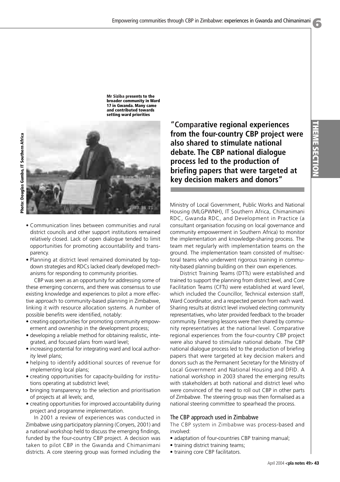**Mr Siziba presents to the broader community in Ward 17 in Gwanda. Many came and contributed towards setting ward priorities**



- Communication lines between communities and rural district councils and other support institutions remained relatively closed. Lack of open dialogue tended to limit opportunities for promoting accountability and trans-
- parency. • Planning at district level remained dominated by topdown strategies and RDCs lacked clearly developed mechanisms for responding to community priorities.

CBP was seen as an opportunity for addressing some of these emerging concerns, and there was consensus to use existing knowledge and experiences to pilot a more effective approach to community-based planning in Zimbabwe, linking it with resource allocation systems. A number of possible benefits were identified, notably:

- creating opportunities for promoting community empowerment and ownership in the development process;
- developing a reliable method for obtaining realistic, integrated, and focused plans from ward level;
- increasing potential for integrating ward and local authority level plans;
- helping to identify additional sources of revenue for implementing local plans;
- creating opportunities for capacity-building for institutions operating at subdistrict level;
- bringing transparency to the selection and prioritisation of projects at all levels; and,
- creating opportunities for improved accountability during project and programme implementation.

In 2001 a review of experiences was conducted in Zimbabwe using participatory planning (Conyers, 2001) and a national workshop held to discuss the emerging findings, funded by the four-country CBP project. A decision was taken to pilot CBP in the Gwanda and Chimanimani districts. A core steering group was formed including the

**"Comparative regional experiences from the four-country CBP project were also shared to stimulate national debate. The CBP national dialogue process led to the production of briefing papers that were targeted at key decision makers and donors"**

Ministry of Local Government, Public Works and National Housing (MLGPWNH), IT Southern Africa, Chimanimani RDC, Gwanda RDC, and Development in Practice (a consultant organisation focusing on local governance and community empowerment in Southern Africa) to monitor the implementation and knowledge-sharing process. The team met regularly with implementation teams on the ground. The implementation team consisted of multisectoral teams who underwent rigorous training in community-based planning building on their own experiences.

District Training Teams (DTTs) were established and trained to support the planning from district level, and Core Facilitation Teams (CFTs) were established at ward level, which included the Councillor, Technical extension staff, Ward Coordinator, and a respected person from each ward. Sharing results at district level involved electing community representatives, who later provided feedback to the broader community. Emerging lessons were then shared by community representatives at the national level. Comparative regional experiences from the four-country CBP project were also shared to stimulate national debate. The CBP national dialogue process led to the production of briefing papers that were targeted at key decision makers and donors such as the Permanent Secretary for the Ministry of Local Government and National Housing and DFID. A national workshop in 2003 shared the emerging results with stakeholders at both national and district level who were convinced of the need to roll out CBP in other parts of Zimbabwe. The steering group was then formalised as a national steering committee to spearhead the process.

#### The CBP approach used in Zimbabwe

The CBP system in Zimbabwe was process-based and involved:

- adaptation of four-countries CBP training manual;
- training district training teams;
- training core CBP facilitators.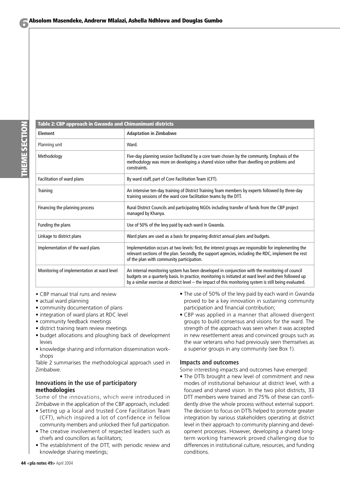**THEME SECTION EME SECTION** 

| Table 2: CBP approach in Gwanda and Chimanimani districts |                                                                                                                                                                                                                                                                                                                     |  |  |
|-----------------------------------------------------------|---------------------------------------------------------------------------------------------------------------------------------------------------------------------------------------------------------------------------------------------------------------------------------------------------------------------|--|--|
| <b>Element</b>                                            | <b>Adaptation in Zimbabwe</b>                                                                                                                                                                                                                                                                                       |  |  |
| Planning unit                                             | Ward.                                                                                                                                                                                                                                                                                                               |  |  |
| Methodology                                               | Five-day planning session facilitated by a core team chosen by the community. Emphasis of the<br>methodology was more on developing a shared vision rather than dwelling on problems and<br>constraints.                                                                                                            |  |  |
| Facilitation of ward plans                                | By ward staff, part of Core Facilitation Team (CFT).                                                                                                                                                                                                                                                                |  |  |
| Training                                                  | An intensive ten-day training of District Training Team members by experts followed by three-day<br>training sessions of the ward core facilitation teams by the DTT.                                                                                                                                               |  |  |
| Financing the planning process                            | Rural District Councils and participating NGOs including transfer of funds from the CBP project<br>managed by Khanya.                                                                                                                                                                                               |  |  |
| Funding the plans                                         | Use of 50% of the levy paid by each ward in Gwanda.                                                                                                                                                                                                                                                                 |  |  |
| Linkage to district plans                                 | Ward plans are used as a basis for preparing district annual plans and budgets.                                                                                                                                                                                                                                     |  |  |
| Implementation of the ward plans                          | Implementation occurs at two levels: first, the interest groups are responsible for implementing the<br>relevant sections of the plan. Secondly, the support agencies, including the RDC, implement the rest<br>of the plan with community participation.                                                           |  |  |
| Monitoring of implementation at ward level                | An internal monitoring system has been developed in conjunction with the monitoring of council<br>budgets on a quarterly basis. In practice, monitoring is initiated at ward level and then followed up<br>by a similar exercise at district level - the impact of this monitoring system is still being evaluated. |  |  |

- CBP manual trial runs and review
- actual ward planning
- community documentation of plans
- integration of ward plans at RDC level
- community feedback meetings
- district training team review meetings
- budget allocations and ploughing back of development levies
- knowledge sharing and information dissemination workshops

Table 2 summarises the methodological approach used in Zimbabwe.

#### **Innovations in the use of participatory methodologies**

Some of the innovations, which were introduced in Zimbabwe in the application of the CBP approach, included:

- Setting up a local and trusted Core Facilitation Team (CFT), which inspired a lot of confidence in fellow community members and unlocked their full participation.
- The creative involvement of respected leaders such as chiefs and councillors as facilitators;
- The establishment of the DTT, with periodic review and knowledge sharing meetings;
- The use of 50% of the levy paid by each ward in Gwanda proved to be a key innovation in sustaining community participation and financial contribution;
- CBP was applied in a manner that allowed divergent groups to build consensus and visions for the ward. The strength of the approach was seen when it was accepted in new resettlement areas and convinced groups such as the war veterans who had previously seen themselves as a superior groups in any community (see Box 1).

#### **Impacts and outcomes**

Some interesting impacts and outcomes have emerged:

• The DTTs brought a new level of commitment and new modes of institutional behaviour at district level, with a focused and shared vision. In the two pilot districts, 33 DTT members were trained and 75% of these can confidently drive the whole process without external support. The decision to focus on DTTs helped to promote greater integration by various stakeholders operating at district level in their approach to community planning and development processes. However, developing a shared longterm working framework proved challenging due to differences in institutional culture, resources, and funding conditions.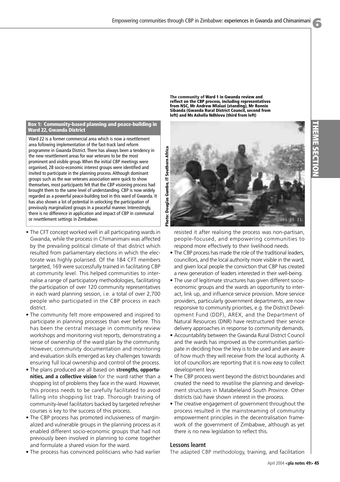#### **Box 1: Community-based planning and peace-building in Ward 22, Gwanda District**

Ward 22 is a former commercial area which is now a resettlement area following implementation of the fast-track land reform programme in Gwanda District. There has always been a tendency in the new resettlement areas for war veterans to be the most prominent and visible group. When the initial CBP meetings were organised, 28 socio-economic interest groups were identified and invited to participate in the planning process. Although dominant groups such as the war veterans association were quick to show themselves, most participants felt that the CBP visioning process had brought them to the same level of understanding. CBP is now widely regarded as a powerful peace-building tool in this ward of Gwanda. It has also shown a lot of potential in unlocking the participation of previously marginalized groups in a peaceful manner. Interestingly, there is no difference in application and impact of CBP in communal or resettlement settings in Zimbabwe.

- The CFT concept worked well in all participating wards in Gwanda, while the process in Chimanimani was affected by the prevailing political climate of that district which resulted from parliamentary elections in which the electorate was highly polarised. Of the 184 CFT members targeted, 169 were successfully trained in facilitating CBP at community level. This helped communities to internalise a range of participatory methodologies, facilitating the participation of over 120 community representatives in each ward planning session, i.e. a total of over 2,700 people who participated in the CBP process in each district.
- The community felt more empowered and inspired to participate in planning processes than ever before. This has been the central message in community review workshops and monitoring visit reports, demonstrating a sense of ownership of the ward plan by the community. However, community documentation and monitoring and evaluation skills emerged as key challenges towards ensuring full local ownership and control of the process.
- The plans produced are all based on **strengths, opportunities, and a collective vision** for the ward rather than a shopping list of problems they face in the ward. However, this process needs to be carefully facilitated to avoid falling into shopping list trap. Thorough training of community-level facilitators backed by targeted refresher courses is key to the success of this process.
- The CBP process has promoted inclusiveness of marginalized and vulnerable groups in the planning process as it enabled different socio-economic groups that had not previously been involved in planning to come together and formulate a shared vision for the ward.
- The process has convinced politicians who had earlier

**The community of Ward 1 in Gwanda review and reflect on the CBP process, including representatives from NSC, Mr Andrew Mlalazi (standing), Mr Ronnie Sibanda (Gwanda Rural District Council, second from left) and Ms Ashella Ndhlovu (third from left)**

Photo: Douglas Gumbo, IT Southern Africa **Photo: Douglas Gumbo, IT Southern Africa**



resisted it after realising the process was non-partisan, people-focused, and empowering communities to respond more effectively to their livelihood needs.

- The CBP process has made the role of the traditional leaders, councillors, and the local authority more visible in the ward, and given local people the conviction that CBP has created a new generation of leaders interested in their well-being.
- The use of legitimate structures has given different socioeconomic groups and the wards an opportunity to interact, link up, and influence service provision. More service providers, particularly government departments, are now responsive to community priorities, e.g. the District Development Fund (DDF), AREX, and the Department of Natural Resources (DNR) have restructured their service delivery approaches in response to community demands.
- Accountability between the Gwanda Rural District Council and the wards has improved as the communities participate in deciding how the levy is to be used and are aware of how much they will receive from the local authority. A lot of councillors are reporting that it is now easy to collect development levy.
- The CBP process went beyond the district boundaries and created the need to revatilise the planning and development structures in Matabeleland South Province. Other districts (six) have shown interest in the process.
- The creative engagement of government throughout the process resulted in the mainstreaming of community empowerment principles in the decentralisation framework of the government of Zimbabwe, although as yet there is no new legislation to reflect this.

#### **Lessons learnt**

The adapted CBP methodology, training, and facilitation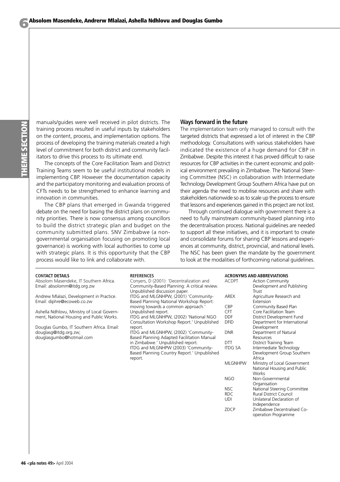manuals/guides were well received in pilot districts. The training process resulted in useful inputs by stakeholders on the content, process, and implementation options. The process of developing the training materials created a high level of commitment for both district and community facilitators to drive this process to its ultimate end.

The concepts of the Core Facilitation Team and District Training Teams seem to be useful institutional models in implementing CBP. However the documentation capacity and the participatory monitoring and evaluation process of CFTs needs to be strengthened to enhance learning and innovation in communities.

The CBP plans that emerged in Gwanda triggered debate on the need for basing the district plans on community priorities. There is now consensus among councillors to build the district strategic plan and budget on the community submitted plans. SNV Zimbabwe (a nongovernmental organisation focusing on promoting local governance) is working with local authorities to come up with strategic plans. It is this opportunity that the CBP process would like to link and collaborate with.

#### **Ways forward in the future**

The implementation team only managed to consult with the targeted districts that expressed a lot of interest in the CBP methodology. Consultations with various stakeholders have indicated the existence of a huge demand for CBP in Zimbabwe. Despite this interest it has proved difficult to raise resources for CBP activities in the current economic and political environment prevailing in Zimbabwe. The National Steering Committee (NSC) in collaboration with Intermediate Technology Development Group Southern Africa have put on their agenda the need to mobilise resources and share with stakeholders nationwide so as to scale up the process to ensure that lessons and experiences gained in this project are not lost.

Through continued dialogue with government there is a need to fully mainstream community-based planning into the decentralisation process. National guidelines are needed to support all these initiatives, and it is important to create and consolidate forums for sharing CBP lessons and experiences at community, district, provincial, and national levels. The NSC has been given the mandate by the government to look at the modalities of forthcoming national guidelines.

| <b>CONTACT DETAILS</b><br>Absolom Masendeke, IT Southern Africa.<br>Email: absolomm@itdg.org.zw<br>Andrew Mlalazi, Development in Practice.<br>Email: diphre@ecoweb.co.zw<br>Ashella Ndhlovu, Ministry of Local Govern-<br>ment, National Housing and Public Works.<br>Douglas Gumbo, IT Southern Africa. Email:<br>douglasg@itdg.org.zw;<br>douglasgumbo@hotmail.com | <b>REFERENCES</b><br>Conyers, D (2001): 'Decentralization and<br>Community-Based Planning: A critical review.<br>Unpublished discussion paper.<br>ITDG and MLGNHPW, (2001) 'Community-<br>Based Planning National Workshop Report:<br>moving towards a common approach.'<br>Unpublished report.<br>ITDG and MLGNHPW, (2002) 'National NGO<br>Consultation Workshop Report.' Unpublished<br>report.<br>ITDG and MLGNHPW, (2002) 'Community-<br>Based Planning Adapted Facilitation Manual<br>in Zimbabwe.' Unpublished report.<br>ITDG and MLGNHPW (2003) 'Community-<br>Based Planning Country Report.' Unpublished<br>report. | <b>ACDPT</b><br>AREX<br>CBP<br><b>CFT</b><br><b>DDF</b><br><b>DFID</b><br><b>DNR</b><br><b>DTT</b><br><b>ITDG SA</b><br><b>MLGNHPW</b><br><b>NGO</b><br><b>NSC</b><br><b>RDC</b><br><b>UDI</b><br>ZDCP | <b>ACRONYMS AND ABBREVIATIONS</b><br><b>Action Community</b><br>Development and Publishing<br>Trust<br>Agriculture Research and<br>Extension<br>Community Based Plan<br>Core Facilitation Team<br>District Development Fund<br>Department for International<br>Development<br>Department of Natural<br>Resources<br>District Training Team<br>Intermediate Technology<br>Development Group Southern<br>Africa<br>Ministry of Local Government<br>National Housing and Public<br><b>Works</b><br>Non-Governmental<br>Organisation<br>National Steering Committee<br><b>Rural District Council</b><br>Unilateral Declaration of<br>Independence<br>Zimbabwe Decentralised Co-<br>operation Programme |
|-----------------------------------------------------------------------------------------------------------------------------------------------------------------------------------------------------------------------------------------------------------------------------------------------------------------------------------------------------------------------|--------------------------------------------------------------------------------------------------------------------------------------------------------------------------------------------------------------------------------------------------------------------------------------------------------------------------------------------------------------------------------------------------------------------------------------------------------------------------------------------------------------------------------------------------------------------------------------------------------------------------------|--------------------------------------------------------------------------------------------------------------------------------------------------------------------------------------------------------|----------------------------------------------------------------------------------------------------------------------------------------------------------------------------------------------------------------------------------------------------------------------------------------------------------------------------------------------------------------------------------------------------------------------------------------------------------------------------------------------------------------------------------------------------------------------------------------------------------------------------------------------------------------------------------------------------|
|-----------------------------------------------------------------------------------------------------------------------------------------------------------------------------------------------------------------------------------------------------------------------------------------------------------------------------------------------------------------------|--------------------------------------------------------------------------------------------------------------------------------------------------------------------------------------------------------------------------------------------------------------------------------------------------------------------------------------------------------------------------------------------------------------------------------------------------------------------------------------------------------------------------------------------------------------------------------------------------------------------------------|--------------------------------------------------------------------------------------------------------------------------------------------------------------------------------------------------------|----------------------------------------------------------------------------------------------------------------------------------------------------------------------------------------------------------------------------------------------------------------------------------------------------------------------------------------------------------------------------------------------------------------------------------------------------------------------------------------------------------------------------------------------------------------------------------------------------------------------------------------------------------------------------------------------------|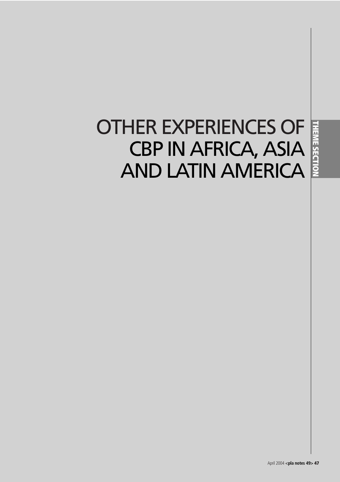### **OTHER EXPERIENCES OF** CBP IN AFRICA, ASIA AND LATIN AMERICA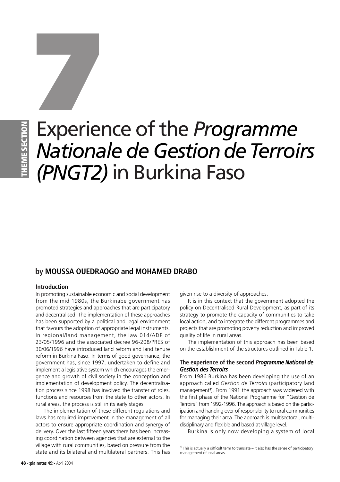## Experience of the *Programme Nationale de GestiondeTerroirs (PNGT2)* in Burkina Faso **1999**<br>Experie

#### **by MOUSSA OUEDRAOGO and MOHAMED DRABO**

#### **Introduction**

In promoting sustainable economic and social development from the mid 1980s, the Burkinabe government has promoted strategies and approaches that are participatory and decentralised. The implementation of these approaches has been supported by a political and legal environment that favours the adoption of appropriate legal instruments. In regional/land management, the law 014/ADP of 23/05/1996 and the associated decree 96-208/PRES of 30/06/1996 have introduced land reform and land tenure reform in Burkina Faso. In terms of good governance, the government has, since 1997, undertaken to define and implement a legislative system which encourages the emergence and growth of civil society in the conception and implementation of development policy. The decentralisation process since 1998 has involved the transfer of roles, functions and resources from the state to other actors. In rural areas, the process is still in its early stages.

The implementation of these different regulations and laws has required improvement in the management of all actors to ensure appropriate coordination and synergy of delivery. Over the last fifteen years there has been increasing coordination between agencies that are external to the village with rural communities, based on pressure from the state and its bilateral and multilateral partners. This has given rise to a diversity of approaches.

It is in this context that the government adopted the policy on Decentralised Rural Development, as part of its strategy to promote the capacity of communities to take local action, and to integrate the different programmes and projects that are promoting poverty reduction and improved quality of life in rural areas.

The implementation of this approach has been based on the establishment of the structures outlined in Table 1.

#### **The experience of the second** *Programme National de Gestion des Terroirs*

From 1986 Burkina has been developing the use of an approach called *Gestion de Terroirs* (participatory land management**<sup>1</sup>** ). From 1991 the approach was widened with the first phase of the National Programme for "Gestion de Terroirs" from 1992-1996. The approach is based on the participation and handing over of responsibility to rural communities for managing their area. The approach is multisectoral, multidisciplinary and flexible and based at village level.

Burkina is only now developing a system of local

**<sup>1</sup>** This is actually a difficult term to translate – it also has the sense of participatory management of local areas.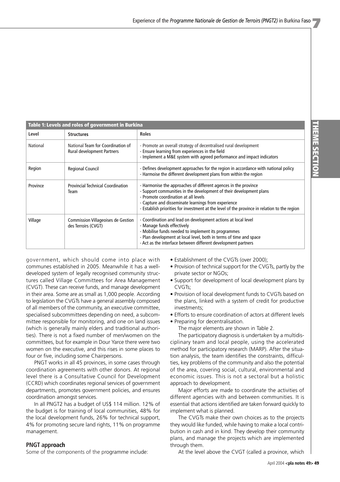| Table 1: Levels and roles of government in Burkina |                                                                        |                                                                                                                                                                                                                                                                                                                                       |  |
|----------------------------------------------------|------------------------------------------------------------------------|---------------------------------------------------------------------------------------------------------------------------------------------------------------------------------------------------------------------------------------------------------------------------------------------------------------------------------------|--|
| Level                                              | <b>Structures</b>                                                      | <b>Roles</b>                                                                                                                                                                                                                                                                                                                          |  |
| National                                           | National Team for Coordination of<br><b>Rural development Partners</b> | - Promote an overall strategy of decentralised rural development<br>- Ensure learning from experiences in the field<br>- Implement a M&E system with agreed performance and impact indicators                                                                                                                                         |  |
| Region                                             | <b>Regional Council</b>                                                | - Defines development approaches for the region in accordance with national policy<br>- Harmoise the different development plans from within the region                                                                                                                                                                               |  |
| Province                                           | <b>Provincial Technical Coordination</b><br>Team                       | - Harmonise the approaches of different agences in the province<br>- Support communities in the development of their development plans<br>- Promote coordination at all levels<br>- Capture and disseminate learnings from experience<br>- Establish priorities for investment at the level of the province in relation to the region |  |
| Village                                            | Commission Villageoises de Gestion<br>des Terroirs (CVGT)              | - Coordination and lead on development actions at local level<br>- Manage funds effectively<br>- Mobilise funds needed to implement its programmes<br>- Plan development at local level, both in terms of time and space<br>- Act as the interface between different development partners                                             |  |

government, which should come into place with communes established in 2005. Meanwhile it has a welldeveloped system of legally recognised community structures called Village Committees for Area Management (CVGT). These can receive funds, and manage development in their area. Some are as small as 1,000 people. According to legislation the CVGTs have a general assembly composed of all members of the community, an executive committee, specialised subcommittees depending on need, a subcommittee responsible for monitoring, and one on land issues (which is generally mainly elders and traditional authorities). There is not a fixed number of men/women on the committees, but for example in Dour Yarce there were two women on the executive, and this rises in some places to four or five, including some Chairpersons.

PNGT works in all 45 provinces, in some cases through coordination agreements with other donors. At regional level there is a Consultative Council for Development (CCRD) which coordinates regional services of government departments, promotes government policies, and ensures coordination amongst services.

In all PNGT2 has a budget of US\$ 114 million. 12% of the budget is for training of local communities, 48% for the local development funds, 26% for technical support, 4% for promoting secure land rights, 11% on programme management.

#### **PNGT approach**

Some of the components of the programme include:

- Establishment of the CVGTs (over 2000);
- Provision of technical support for the CVGTs, partly by the private sector or NGOs;
- Support for development of local development plans by CVGTs;
- Provision of local development funds to CVGTs based on the plans, linked with a system of credit for productive investments;
- Efforts to ensure coordination of actors at different levels
- Preparing for decentralisation.

The major elements are shown in Table 2.

The participatory diagnosis is undertaken by a multidisciplinary team and local people, using the accelerated method for participatory research (MARP). After the situation analysis, the team identifies the constraints, difficulties, key problems of the community and also the potential of the area, covering social, cultural, environmental and economic issues. This is not a sectoral but a holistic approach to development.

Major efforts are made to coordinate the activities of different agencies with and between communities. It is essential that actions identified are taken forward quickly to implement what is planned.

The CVGTs make their own choices as to the projects they would like funded, while having to make a local contribution in cash and in kind. They develop their community plans, and manage the projects which are implemented through them.

At the level above the CVGT (called a province, which

**THEME**

**SECTION**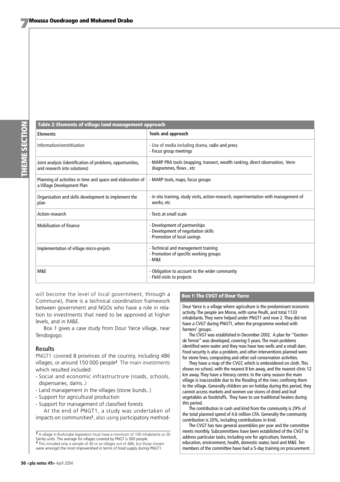| Table 2: Elements of village land management approach                                      |                                                                                                         |  |  |
|--------------------------------------------------------------------------------------------|---------------------------------------------------------------------------------------------------------|--|--|
| <b>Elements</b>                                                                            | <b>Tools and approach</b>                                                                               |  |  |
| Information/senstitisation                                                                 | - Use of media including drama, radio and press<br>- Focus group meetings                               |  |  |
| Joint analysis (identification of problems, opportunities,<br>and research into solutions) | - MARP PRA tools (mapping, transect, wealth ranking, direct observation, Venn<br>diagrammes, flows, etc |  |  |
| Planning of activities in time and space and elaboration of<br>a Village Development Plan  | - MARP tools, maps, focus groups                                                                        |  |  |
| Organisation and skills development to implement the<br>plan                               | - in situ training, study visits, action-research, experimentation with management of<br>works, etc     |  |  |
| Action-research                                                                            | - Tests at small scale                                                                                  |  |  |
| <b>Mobilisation of finance</b>                                                             | - Development of partnerships<br>- Development of negotiation skills<br>- Promotion of local savings    |  |  |
| Implementation of village micro-projets                                                    | - Technical and management training<br>- Promotion of specific working groups<br>- M&E                  |  |  |
| M&E                                                                                        | - Obligation to account to the wider community<br>- Field visits to projects                            |  |  |

will become the level of local government, through a Commune), there is a technical coordination framework between government and NGOs who have a role in relation to investments that need to be approved at higher levels, and in M&E.

Box 1 gives a case study from Dour Yarce village, near Tendogogo.

#### **Results**

PNGT1 covered 8 provinces of the country, including 486 villages, or around 150 000 people**2**. The main investments which resulted included:

- Social and economic infrastructrure (roads, schools, dispensaries, dams..)
- Land management in the villages (stone bunds..)
- Support for agricultural production
- Support for management of classified forests

At the end of PNGT1, a study was undertaken of impacts on communities**3**, also using participatory method-

**<sup>2</sup>** A village in Burkinabe legislation must have a minimum of 100 inhabitants or 20 family units. The average for villages covered by PNGT is 300 people. **<sup>3</sup>** This included only a sample of 40 or so villages out of 486, but those chosen were amongst the most impoverished in terms of food supply during PNGT1.

#### **Box 1: The CVGT of Dour Yarce**

Dour Yarce is a village where agriculture is the predominant economic activity. The people are Morse, with some Peulh, and total 1133 inhabitants. They were helped under PNGT1 and now 2. They did not have a CVGT during PNGT1, when the programme worked with farmers' groups.

The CVGT was established in December 2002. A plan for "Gestion de Terroir" was developed, covering 5 years. The main problems identified were water and they now have two wells and a small dam. Food security is also a problem, and other interventions planned were for stone lines, composting and other soil conservation activities.

They have a map of the CVGT, which is embroidered on cloth. This shows no school, with the nearest 8 km away, and the nearest clinic 12 km away. They have a literacy centre. In the rainy season the main village is inaccessible due to the flooding of the river, confining them to the village. Generally children are on holiday during this period, they cannot access markets and women use stores of dried and leaf vegetables as foodstuffs. They have to use traditional healers during this period.

The contribution in cash and kind from the community is 29% of the total planned spend of 4.6 million CFA. Generally the community contribution is 20%, including contributions in kind.

The CVGT has two general assemblies per year and the committee meets monthly. Subcommittees have been established of the CVGT to address particular tasks, including one for agriculture, livestock, education, environment, health, domestic water, land and M&E. Ten members of the committee have had a 5-day training on procurement.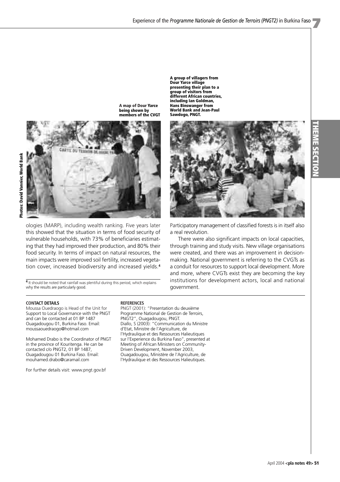

ologies (MARP), including wealth ranking. Five years later this showed that the situation in terms of food security of vulnerable households, with 73% of beneficiaries estimating that they had improved their production, and 80% their food security. In terms of impact on natural resources, the main impacts were improved soil fertility, increased vegetation cover, increased biodiversity and increased yields.**<sup>4</sup>**

**<sup>4</sup>** It should be noted that rainfall was plentiful during this period, which explains why the results are particularly good.

**A group of villagers from Dour Yarce village presenting their plan to a group of visitors from different African countries, including Ian Goldman, Hans Binswanger from World Bank and Jean-Paul Sawdogo, PNGT.**



Participatory management of classified forests is in itself also a real revolution.

There were also significant impacts on local capacities, through training and study visits. New village organisations were created, and there was an improvement in decisionmaking. National government is referring to the CVGTs as a conduit for resources to support local development. More and more, where CVGTs exist they are becoming the key institutions for development actors, local and national government.

#### **CONTACT DETAILS**

Moussa Ouedraogo is Head of the Unit for Support to Local Governance with the PNGT and can be contacted at 01 BP 1487 Ouagadougou 01, Burkina Faso. Email: moussaouedraogo@hotmail.com

Mohamed Drabo is the Coordinator of PNGT in the province of Kouritenga. He can be contacted c/o PNGT2, 01 BP 1487, Ouagadougou 01 Burkina Faso. Email: mouhamed.drabo@caramail.com

For further details visit: www.pngt.gov.bf

#### **REFERENCES**

**A map of Dour Yarce being shown by**

PNGT (2001): "Presentation du deuxième Programme National de Gestion de Terroirs, PNGT2", Ouagadougou, PNGT. Diallo, S (2003): "Communication du Ministre d'Etat, Ministre de l'Agriculture, de l'Hydraulique et des Ressources Halieutiques sur l'Experience du Burkina Faso", presented at Meeting of African Ministers on Community-Driven Development, November 2003, Ouagadougou, Ministère de l'Agriculture, de l'Hydraulique et des Ressources Halieutiques.

**THEME**

**SECTION**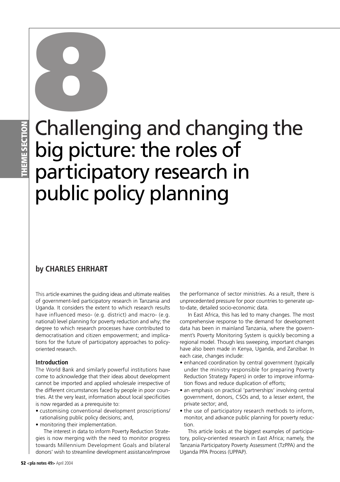## Challenging and changing the big picture: the roles of participatory research in public policy planning **Challend**

#### **by CHARLES EHRHART**

This article examines the guiding ideas and ultimate realities of government-led participatory research in Tanzania and Uganda. It considers the extent to which research results have influenced meso- (e.g. district) and macro- (e.g. national) level planning for poverty reduction and why; the degree to which research processes have contributed to democratisation and citizen empowerment; and implications for the future of participatory approaches to policyoriented research.

#### **Introduction**

The World Bank and similarly powerful institutions have come to acknowledge that their ideas about development cannot be imported and applied wholesale irrespective of the different circumstances faced by people in poor countries. At the very least, information about local specificities is now regarded as a prerequisite to:

- customising conventional development proscriptions/ rationalising public policy decisions; and,
- monitoring their implementation.

The interest in data to inform Poverty Reduction Strategies is now merging with the need to monitor progress towards Millennium Development Goals and bilateral donors' wish to streamline development assistance/improve

the performance of sector ministries. As a result, there is unprecedented pressure for poor countries to generate upto-date, detailed socio-economic data.

In East Africa, this has led to many changes. The most comprehensive response to the demand for development data has been in mainland Tanzania, where the government's Poverty Monitoring System is quickly becoming a regional model. Though less sweeping, important changes have also been made in Kenya, Uganda, and Zanzibar. In each case, changes include:

- enhanced coordination by central government (typically under the ministry responsible for preparing Poverty Reduction Strategy Papers) in order to improve information flows and reduce duplication of efforts;
- an emphasis on practical 'partnerships' involving central government, donors, CSOs and, to a lesser extent, the private sector; and,
- the use of participatory research methods to inform, monitor, and advance public planning for poverty reduction.

This article looks at the biggest examples of participatory, policy-oriented research in East Africa; namely, the Tanzania Participatory Poverty Assessment (TzPPA) and the Uganda PPA Process (UPPAP).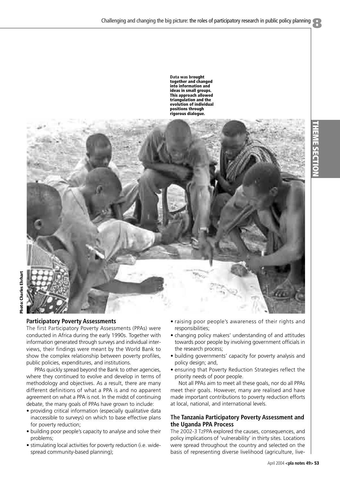**Data was brought together and changed into information and ideas in small groups. This approach allowed triangulation and the evolution of individual positions through rigorous dialogue.**



#### **Participatory Poverty Assessments**

The first Participatory Poverty Assessments (PPAs) were conducted in Africa during the early 1990s. Together with information generated through surveys and individual interviews, their findings were meant by the World Bank to show the complex relationship between poverty profiles, public policies, expenditures, and institutions.

PPAs quickly spread beyond the Bank to other agencies, where they continued to evolve and develop in terms of methodology and objectives. As a result, there are many different definitions of what a PPA is and no apparent agreement on what a PPA is not. In the midst of continuing debate, the many goals of PPAs have grown to include:

- providing critical information (especially qualitative data inaccessible to surveys) on which to base effective plans for poverty reduction;
- building poor people's capacity to analyse and solve their problems;
- stimulating local activities for poverty reduction (i.e. widespread community-based planning);
- raising poor people's awareness of their rights and responsibilities;
- changing policy makers' understanding of and attitudes towards poor people by involving government officials in the research process;
- building governments' capacity for poverty analysis and policy design; and,
- ensuring that Poverty Reduction Strategies reflect the priority needs of poor people.

Not all PPAs aim to meet all these goals, nor do all PPAs meet their goals. However, many are realised and have made important contributions to poverty reduction efforts at local, national, and international levels.

#### **The Tanzania Participatory Poverty Assessment and the Uganda PPA Process**

The 2002-3 TzPPA explored the causes, consequences, and policy implications of 'vulnerability' in thirty sites. Locations were spread throughout the country and selected on the basis of representing diverse livelihood (agriculture, live**THEME**

**SECTION**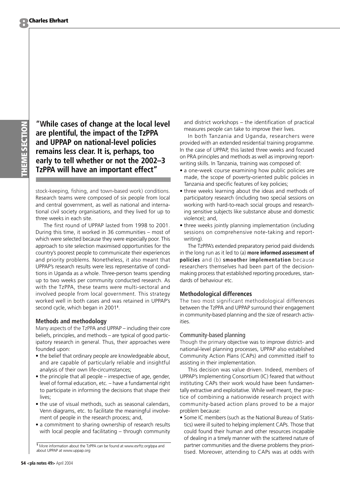**Charles Ehrhart 8**

**"While cases of change at the local level are plentiful, the impact of the TzPPA and UPPAP on national-level policies remains less clear. It is, perhaps, too early to tell whether or not the 2002–3 TzPPA will have an important effect"**

stock-keeping, fishing, and town-based work) conditions. Research teams were composed of six people from local and central government, as well as national and international civil society organisations, and they lived for up to three weeks in each site.

The first round of UPPAP lasted from 1998 to 2001. During this time, it worked in 36 communities – most of which were selected because they were especially poor. This approach to site selection maximised opportunities for the country's poorest people to communicate their experiences and priority problems. Nonetheless, it also meant that UPPAP's research results were less representative of conditions in Uganda as a whole. Three-person teams spending up to two weeks per community conducted research. As with the TzPPA, these teams were multi-sectoral and involved people from local government. This strategy worked well in both cases and was retained in UPPAP's second cycle, which began in 2001**1**.

#### **Methods and methodology**

Many aspects of the TzPPA and UPPAP – including their core beliefs, principles, and methods – are typical of good participatory research in general. Thus, their approaches were founded upon:

- the belief that ordinary people are knowledgeable about, and are capable of particularly reliable and insightful analysis of their own life-circumstances;
- the principle that all people irrespective of age, gender, level of formal education, etc. – have a fundamental right to participate in informing the decisions that shape their lives;
- the use of visual methods, such as seasonal calendars, Venn diagrams, etc. to facilitate the meaningful involvement of people in the research process; and,
- a commitment to sharing ownership of research results with local people and facilitating – through community

**<sup>1</sup>** More information about the TzPPA can be found at www.esrftz.org/ppa and about UPPAP at www.uppap.org

and district workshops – the identification of practical measures people can take to improve their lives.

In both Tanzania and Uganda, researchers were provided with an extended residential training programme. In the case of UPPAP, this lasted three weeks and focused on PRA principles and methods as well as improving reportwriting skills. In Tanzania, training was composed of:

- a one-week course examining how public policies are made, the scope of poverty-oriented public policies in Tanzania and specific features of key policies;
- three weeks learning about the ideas and methods of participatory research (including two special sessions on working with hard-to-reach social groups and researching sensitive subjects like substance abuse and domestic violence); and,
- three weeks jointly planning implementation (including sessions on comprehensive note-taking and reportwriting).

The TzPPA's extended preparatory period paid dividends in the long run as it led to (a) **more informed assessment of policies** and (b) **smoother implementation** because researchers themselves had been part of the decisionmaking process that established reporting procedures, standards of behaviour etc.

#### **Methodological differences**

The two most significant methodological differences between the TzPPA and UPPAP surround their engagement in community-based planning and the size of research activities.

#### Community-based planning

Though the primary objective was to improve district- and national-level planning processes, UPPAP also established Community Action Plans (CAPs) and committed itself to assisting in their implementation.

This decision was value driven. Indeed, members of UPPAP's Implementing Consortium (IC) feared that without instituting CAPs their work would have been fundamentally extractive and exploitative. While well meant, the practice of combining a nationwide research project with community-based action plans proved to be a major problem because:

• Some IC members (such as the National Bureau of Statistics) were ill suited to helping implement CAPs. Those that could found their human and other resources incapable of dealing in a timely manner with the scattered nature of partner communities and the diverse problems they prioritised. Moreover, attending to CAPs was at odds with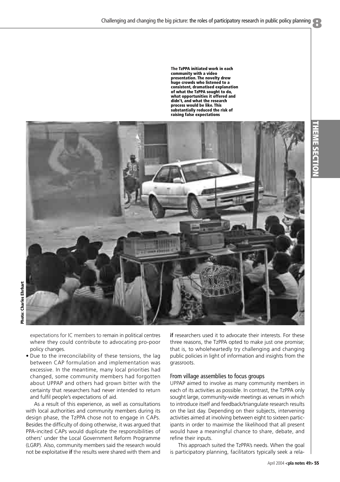**The TzPPA initiated work in each community with a video presentation. The novelty drew huge crowds who listened to a consistent, dramatised explanation of what the TzPPA sought to do, what opportunities it offered and didn't, and what the research process would be like. This substantially reduced the risk of raising false expectations**



expectations for IC members to remain in political centres where they could contribute to advocating pro-poor policy changes.

• Due to the irreconcilability of these tensions, the lag between CAP formulation and implementation was excessive. In the meantime, many local priorities had changed, some community members had forgotten about UPPAP and others had grown bitter with the certainty that researchers had never intended to return and fulfil people's expectations of aid.

As a result of this experience, as well as consultations with local authorities and community members during its design phase, the TzPPA chose not to engage in CAPs. Besides the difficulty of doing otherwise, it was argued that PPA-incited CAPs would duplicate the responsibilities of others' under the Local Government Reform Programme (LGRP). Also, community members said the research would not be exploitative **if** the results were shared with them and **if** researchers used it to advocate their interests. For these three reasons, the TzPPA opted to make just one promise; that is, to wholeheartedly try challenging and changing public policies in light of information and insights from the grassroots.

#### From village assemblies to focus groups

UPPAP aimed to involve as many community members in each of its activities as possible. In contrast, the TzPPA only sought large, community-wide meetings as venues in which to introduce itself and feedback/triangulate research results on the last day. Depending on their subjects, intervening activities aimed at involving between eight to sixteen participants in order to maximise the likelihood that all present would have a meaningful chance to share, debate, and refine their inputs.

This approach suited the TzPPA's needs. When the goal is participatory planning, facilitators typically seek a rela-

April 2004 **<pla notes 49> 55**

**THEME**

**SECTION**

FC 110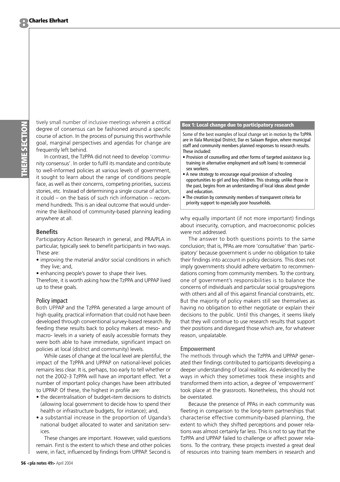tively small number of inclusive meetings wherein a critical degree of consensus can be fashioned around a specific course of action. In the process of pursuing this worthwhile goal, marginal perspectives and agendas for change are frequently left behind.

In contrast, the TzPPA did not need to develop 'community consensus'. In order to fulfil its mandate and contribute to well-informed policies at various levels of government, it sought to learn about the range of conditions people face, as well as their concerns, competing priorities, success stories, etc. Instead of determining a single course of action, it could – on the basis of such rich information – recommend hundreds. This is an ideal outcome that would undermine the likelihood of community-based planning leading anywhere at all.

#### **Benefits**

Participatory Action Research in general, and PRA/PLA in particular, typically seek to benefit participants in two ways. These are:

- improving the material and/or social conditions in which they live; and,
- enhancing people's power to shape their lives.

Therefore, it is worth asking how the TzPPA and UPPAP lived up to these goals.

#### Policy impact

Both UPPAP and the TzPPA generated a large amount of high quality, practical information that could not have been developed through conventional survey-based research. By feeding these results back to policy makers at meso- and macro- levels in a variety of easily accessible formats they were both able to have immediate, significant impact on policies at local (district and community) levels.

While cases of change at the local level are plentiful, the impact of the TzPPA and UPPAP on national-level policies remains less clear. It is, perhaps, too early to tell whether or not the 2002-3 TzPPA will have an important effect. Yet a number of important policy changes have been attributed to UPPAP. Of these, the highest in profile are:

- the decentralisation of budget-item decisions to districts (allowing local government to decide how to spend their health or infrastructure budgets, for instance); and,
- a substantial increase in the proportion of Uganda's national budget allocated to water and sanitation services.

These changes are important. However, valid questions remain. First is the extent to which these and other policies were, in fact, influenced by findings from UPPAP. Second is

#### **Box 1: Local change due to participatory research**

Some of the best examples of local change set in motion by the TzPPA are in Ilala Municipal District, Dar es Salaam Region, where municipal staff and community members planned responses to research results. These included:

- Provision of counselling and other forms of targeted assistance (e.g. training in alternative employment and soft loans) to commercial sex workers.
- A new strategy to encourage equal provision of schooling opportunities to girl and boy children. This strategy, unlike those in the past, begins from an understanding of local ideas about gender and education.
- The creation by community members of transparent criteria for priority support to especially poor households.

why equally important (if not more important) findings about insecurity, corruption, and macroeconomic policies were not addressed.

The answer to both questions points to the same conclusion; that is, PPAs are more 'consultative' than 'participatory' because government is under no obligation to take their findings into account in policy decisions. This does not imply governments should adhere verbatim to recommendations coming from community members. To the contrary, one of government's responsibilities is to balance the concerns of individuals and particular social groups/regions with others and all of this against financial constraints, etc. But the majority of policy makers still see themselves as having no obligation to either negotiate or explain their decisions to the public. Until this changes, it seems likely that they will continue to use research results that support their positions and disregard those which are, for whatever reason, unpalatable.

#### Empowerment

The methods through which the TzPPA and UPPAP generated their findings contributed to participants developing a deeper understanding of local realities. As evidenced by the ways in which they sometimes took these insights and transformed them into action, a degree of 'empowerment' took place at the grassroots. Nonetheless, this should not be overstated.

Because the presence of PPAs in each community was fleeting in comparison to the long-term partnerships that characterise effective community-based planning, the extent to which they shifted perceptions and power relations was almost certainly far less. This is not to say that the TzPPA and UPPAP failed to challenge or affect power relations. To the contrary, these projects invested a great deal of resources into training team members in research and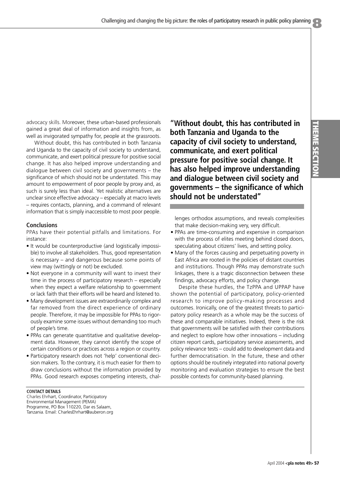advocacy skills. Moreover, these urban-based professionals gained a great deal of information and insights from, as well as invigorated sympathy for, people at the grassroots.

Without doubt, this has contributed in both Tanzania and Uganda to the capacity of civil society to understand, communicate, and exert political pressure for positive social change. It has also helped improve understanding and dialogue between civil society and governments – the significance of which should not be understated. This may amount to empowerment of poor people by proxy and, as such is surely less than ideal. Yet realistic alternatives are unclear since effective advocacy – especially at macro levels – requires contacts, planning, and a command of relevant information that is simply inaccessible to most poor people.

#### **Conclusions**

PPAs have their potential pitfalls and limitations. For instance:

- It would be counterproductive (and logistically impossible) to involve all stakeholders. Thus, good representation is necessary – and dangerous because some points of view may (wittingly or not) be excluded.
- Not everyone in a community will want to invest their time in the process of participatory research – especially when they expect a welfare relationship to government or lack faith that their efforts will be heard and listened to.
- Many development issues are extraordinarily complex and far removed from the direct experience of ordinary people. Therefore, it may be impossible for PPAs to rigorously examine some issues without demanding too much of people's time.
- PPAs can generate quantitative and qualitative development data. However, they cannot identify the scope of certain conditions or practices across a region or country.
- Participatory research does not 'help' conventional decision makers. To the contrary, it is much easier for them to draw conclusions without the information provided by PPAs. Good research exposes competing interests, chal-

#### **CONTACT DETAILS**

Charles Ehrhart, Coordinator, Participatory Environmental Management (PEMA) Programme, PO Box 110220, Dar es Salaam, Tanzania. Email: CharlesEhrhart@auberon.org

**"Without doubt, this has contributed in both Tanzania and Uganda to the capacity of civil society to understand, communicate, and exert political pressure for positive social change. It has also helped improve understanding and dialogue between civil society and governments – the significance of which should not be understated"**

lenges orthodox assumptions, and reveals complexities that make decision-making very, very difficult.

- PPAs are time-consuming and expensive in comparison with the process of elites meeting behind closed doors, speculating about citizens' lives, and setting policy.
- Many of the forces causing and perpetuating poverty in East Africa are rooted in the policies of distant countries and institutions. Though PPAs may demonstrate such linkages, there is a tragic disconnection between these findings, advocacy efforts, and policy change.

Despite these hurdles, the TzPPA and UPPAP have shown the potential of participatory, policy-oriented research to improve policy-making processes and outcomes. Ironically, one of the greatest threats to participatory policy research as a whole may be the success of these and comparable initiatives. Indeed, there is the risk that governments will be satisfied with their contributions and neglect to explore how other innovations – including citizen report cards, participatory service assessments, and policy relevance tests – could add to development data and further democratisation. In the future, these and other options should be routinely integrated into national poverty monitoring and evaluation strategies to ensure the best possible contexts for community-based planning.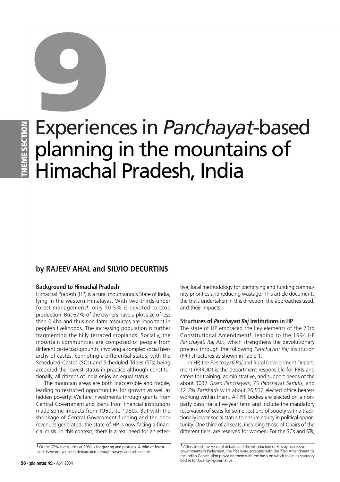# Experiences in *Panchayat*-based **9** planning in the mountains of Himachal Pradesh, India

#### **by RAJEEV AHAL and SILVIO DECURTINS**

#### **Background to Himachal Pradesh**

Himachal Pradesh (HP) is a rural mountainous State of India, lying in the western Himalayas. With two-thirds under forest management**1**, only 10.5% is devoted to crop production. But 67% of the owners have a plot size of less than 0.4ha and thus non-farm resources are important in people's livelihoods. The increasing population is further fragmenting the hilly terraced croplands. Socially, the mountain communities are composed of people from different caste backgrounds, involving a complex social hierarchy of castes, connoting a differential status, with the Scheduled Castes (SCs) and Scheduled Tribes (STs) being accorded the lowest status in practice although constitutionally, all citizens of India enjoy an equal status.

The mountain areas are both inaccessible and fragile, leading to restricted opportunities for growth as well as hidden poverty. Welfare investments through grants from Central Government and loans from financial institutions made some impacts from 1960s to 1980s. But with the shrinkage of Central Government funding and the poor revenues generated, the state of HP is now facing a financial crisis. In this context, there is a real need for an effec-

**<sup>1</sup>** Of the 67% forest, almost 29% is for grazing and pastures. A third of forest lands have not yet been demarcated through surveys and settlements.

tive, local methodology for identifying and funding community priorities and reducing wastage. This article documents the trials undertaken in this direction, the approaches used, and their impacts.

#### **Structures of** *Panchayati Raj* **Institutions in HP**

The state of HP embraced the key elements of the 73rd Constitutional Amendment**2**, leading to the 1994 HP *Panchayati Raj* Act, which strengthens the devolutionary process through the following *Panchayati Raj* Institution (PRI) structures as shown in Table 1.

In HP, the *Panchayati Raj* and Rural Development Department (PRRDD) is the department responsible for PRIs and caters for training, administrative, and support needs of the about 3037 *Gram Panchayats*, 75 *Panchayat Samitis,* and 12 *Zila Parishads* with about 26,532 elected office bearers working within them. All PRI bodies are elected on a nonparty basis for a five-year term and include the mandatory reservation of seats for some sections of society with a traditionally lower social status to ensure equity in political opportunity. One third of all seats, including those of Chairs of the different tiers, are reserved for women. For the SCs and STs,

**<sup>2</sup>** After almost five years of debate and the introduction of Bills by successive governments in Parliament, the PRIs were accepted with the 73rd Amendment to the Indian Constitution providing them with the basis on which to act as statutory bodies for local self-governance.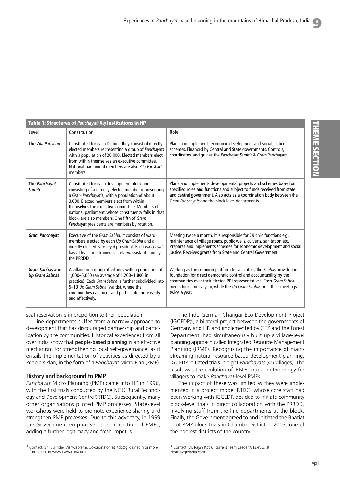| Table 1: Structures of <i>Panchayati Raj</i> Institutions in HP |                                                                                                                                                                                                                                                                                                                                                                                                            |                                                                                                                                                                                                                                                                                                              |  |  |
|-----------------------------------------------------------------|------------------------------------------------------------------------------------------------------------------------------------------------------------------------------------------------------------------------------------------------------------------------------------------------------------------------------------------------------------------------------------------------------------|--------------------------------------------------------------------------------------------------------------------------------------------------------------------------------------------------------------------------------------------------------------------------------------------------------------|--|--|
| Level                                                           | Constitution                                                                                                                                                                                                                                                                                                                                                                                               | Role                                                                                                                                                                                                                                                                                                         |  |  |
| The Zila Parishad                                               | Constituted for each District, they consist of directly<br>elected members representing a group of Panchayats<br>with a population of 20,000. Elected members elect<br>from within themselves an executive committee.<br>National parliament members are also Zila Parishad<br>members.                                                                                                                    | Plans and implements economic development and social justice<br>schemes. Financed by Central and State governments. Controls,<br>coordinates, and guides the Panchayat Samitis & Gram Panchayats.                                                                                                            |  |  |
| The Panchayat<br>Samiti                                         | Constituted for each development block and<br>consisting of a directly elected member representing<br>a Gram Panchayat(s) with a population of about<br>3,000. Elected members elect from within<br>themselves the executive committee. Members of<br>national parliament, whose constituency falls in that<br>block, are also members. One fifth of Gram<br>Panchayat presidents are members by rotation. | Plans and implements developmental projects and schemes based on<br>specified roles and functions and subject to funds received from state<br>and central government. Also acts as a coordination body between the<br>Gram Panchayats and the block level departments.                                       |  |  |
| Gram Panchayat                                                  | Executive of the Gram Sabha. It consists of ward<br>members elected by each Up Gram Sabha and a<br>directly elected Panchayat president. Each Panchayat<br>has at least one trained secretary/assistant paid by<br>the PRRDD.                                                                                                                                                                              | Meeting twice a month, it is responsible for 29 civic functions e.g.<br>maintenance of village roads, public wells, culverts, sanitation etc.<br>Prepares and implements schemes for economic development and social<br>justice. Receives grants from State and Central Government.                          |  |  |
| Gram Sabhas and<br>Up Gram Sabhas                               | A village or a group of villages with a population of<br>1,000-5,000 (an average of 1,200-1,800 in<br>practice). Each Gram Sabha is further subdivided into<br>5-13 Up Gram Sabha (wards), where the<br>communities can meet and participate more easily<br>and effectively.                                                                                                                               | Working as the common platform for all voters, the Sabhas provide the<br>foundation for direct democratic control and accountability by the<br>communities over their elected PRI representatives. Each Gram Sabha<br>meets four times a year, while the Up Gram Sabhas hold their meetings<br>twice a year. |  |  |

seat reservation is in proportion to their population.

Line departments suffer from a narrow approach to development that has discouraged partnership and participation by the communities. Historical experiences from all over India show that **people-based planning** is an effective mechanism for strengthening local self-governance, as it entails the implementation of activities as directed by a People's Plan, in the form of a *Panchayat* Micro Plan (PMP).

#### **History and background to PMP**

*Panchayat* Micro Planning (PMP) came into HP in 1996, with the first trials conducted by the NGO Rural Technology and Development Centre**3**(RTDC). Subsequently, many other organisations piloted PMP processes. State-level workshops were held to promote experience sharing and strengthen PMP processes. Due to this advocacy, in 1999 the Government emphasised the promotion of PMPs, adding a further legitimacy and fresh impetus.

**<sup>3</sup>** Contact: Sh. Sukhdev Vishwapremi, Co-ordinator, at rtdc@glide.net.in or more information on www.navrachna.org

The Indo-German Changar Eco-Development Project (IGCEDP)**4**, a bilateral project between the governments of Germany and HP, and implemented by GTZ and the Forest Department, had simultaneously built up a village-level planning approach called Integrated Resource Management Planning (IRMP). Recognising the importance of mainstreaming natural resource-based development planning, IGCEDP initiated trials in eight *Panchayats* (45 villages). The result was the evolution of IRMPs into a methodology for villagers to make *Panchayat*-level PMPs.

The impact of these was limited as they were implemented in a project mode. RTDC, whose core staff had been working with IGCEDP, decided to initiate community block-level trials in direct collaboration with the PRRDD, involving staff from the line departments at the block. Finally, the Government agreed to and initiated the Bhatiat pilot PMP block trials in Chamba District in 2003, one of the poorest districts of the country.

**<sup>4</sup>** Contact: Dr. Rajan Kotru, current Team Leader GTZ-PSU, at rkotru@gtzindia.com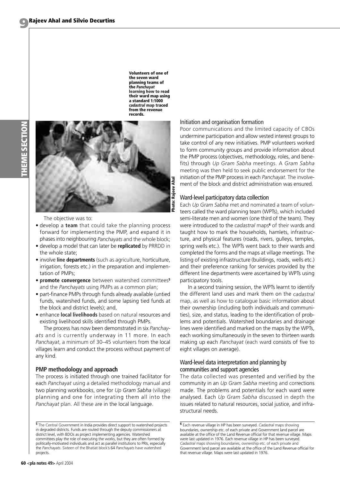**Volunteers of one of the seven ward planning teams of the** *Panchayat* **learning how to read their ward map using a standard 1:1000** *cadastral* **map traced from the revenue records.**



The objective was to:

- develop a **team** that could take the planning process forward for implementing the PMP, and expand it in phases into neighbouring *Panchayats* and the whole block;
- develop a model that can later be **replicated** by PRRDD in the whole state;
- involve **line departments** (such as agriculture, horticulture, irrigation, forests etc.) in the preparation and implementation of PMPs;
- **promote convergence** between watershed committees**<sup>5</sup>** and the *Panchayats* using PMPs as a common plan;
- part-finance PMPs through funds already available (untied funds, watershed funds, and some lapsing tied funds at the block and district levels); and,
- enhance **local livelihoods** based on natural resources and existing livelihood skills identified through PMPs.

The process has now been demonstrated in six *Panchayats* and is currently underway in 11 more. In each *Panchayat*, a minimum of 30–45 volunteers from the local villages learn and conduct the process without payment of any kind.

#### **PMP methodology and approach**

The process is initiated through one trained facilitator for each *Panchayat* using a detailed methodology manual and two planning workbooks, one for *Up Gram Sabha* (village) planning and one for integrating them all into the *Panchayat* plan. All these are in the local language.

#### Initiation and organisation formation

Poor communications and the limited capacity of CBOs undermine participation and allow vested interest groups to take control of any new initiatives. PMP volunteers worked to form community groups and provide information about the PMP process (objectives, methodology, roles, and benefits) through *Up Gram Sabha* meetings. A *Gram Sabha* meeting was then held to seek public endorsement for the initiation of the PMP process in each *Panchayat*. The involvement of the block and district administration was ensured.

#### Ward-level participatory data collection

Each *Up Gram Sabha* met and nominated a team of volunteers called the ward planning team (WPTs), which included semi-literate men and women (one third of the team). They were introduced to the *cadastral* maps**<sup>6</sup>** of their wards and taught how to mark the households, hamlets, infrastructure, and physical features (roads, rivers, gulleys, temples, spring wells etc.). The WPTs went back to their wards and completed the forms and the maps at village meetings. The listing of existing infrastructure (buildings, roads, wells etc.) and their preference ranking for services provided by the different line departments were ascertained by WPTs using participatory tools.

In a second training session, the WPTs learnt to identify the different land uses and mark them on the *cadastral* map, as well as how to catalogue basic information about their ownership (including both individuals and communities), size, and status, leading to the identification of problems and potentials. Watershed boundaries and drainage lines were identified and marked on the maps by the WPTs, each working simultaneously in the seven to thirteen wards making up each *Panchayat* (each ward consists of five to eight villages on average).

#### Ward-level data interpretation and planning by communities and support agencies

The data collected was presented and verified by the community in an *Up Gram Sabha* meeting and corrections made. The problems and potentials for each ward were analysed. Each *Up Gram Sabha* discussed in depth the issues related to natural resources, social justice, and infrastructural needs.

**<sup>5</sup>** The Central Government in India provides direct support to watershed projects in degraded districts. Funds are routed through the deputy commissioners at district level, with BDOs as project implementing agencies. Watershed committees play the role of executing the works, but they are often formed by politically-motivated individuals and act as parallel institutions to PRIs, especially the *Panchayats*. Sixteen of the Bhatiat block's 64 *Panchayats* have watershed projects.

**<sup>6</sup>** Each revenue village in HP has been surveyed. *Cadastral* maps showing boundaries, ownership etc. of each private and Government land parcel are available at the office of the Land Revenue official for that revenue village. Maps were last updated in 1976. Each revenue village in HP has been surveyed. *Cadastral* maps showing boundaries, ownership etc. of each private and Government land parcel are available at the office of the Land Revenue official for that revenue village. Maps were last updated in 1976.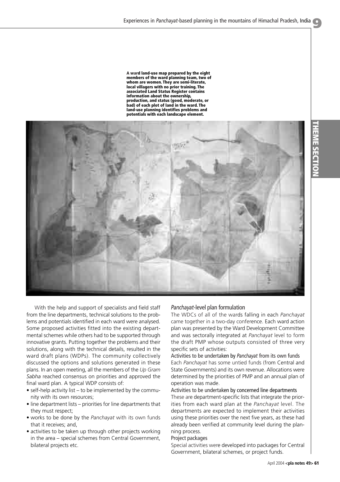**A ward land-use map prepared by the eight members of the ward planning team, two of whom are women. They are semi-literate, local villagers with no prior training. The associated Land Status Register contains information about the ownership, production, and status (good, moderate, or bad) of each plot of land in the ward. The land-use planning identifies problems and potentials with each landscape element.**



With the help and support of specialists and field staff from the line departments, technical solutions to the problems and potentials identified in each ward were analysed. Some proposed activities fitted into the existing departmental schemes while others had to be supported through innovative grants. Putting together the problems and their solutions, along with the technical details, resulted in the ward draft plans (WDPs). The community collectively discussed the options and solutions generated in these plans. In an open meeting, all the members of the *Up Gram Sabha* reached consensus on priorities and approved the final ward plan. A typical WDP consists of:

- self-help activity list to be implemented by the community with its own resources;
- line department lists priorities for line departments that they must respect;
- works to be done by the *Panchayat* with its own funds that it receives; and,
- activities to be taken up through other projects working in the area – special schemes from Central Government, bilateral projects etc.

#### *Panchayat*-level plan formulation

The WDCs of all of the wards falling in each *Panchayat* came together in a two-day conference. Each ward action plan was presented by the Ward Development Committee and was sectorally integrated at *Panchayat* level to form the draft PMP whose outputs consisted of three very specific sets of activities:

Activities to be undertaken by *Panchayat* from its own funds Each *Panchayat* has some untied funds (from Central and State Governments) and its own revenue. Allocations were determined by the priorities of PMP and an annual plan of operation was made.

#### Activities to be undertaken by concerned line departments

These are department-specific lists that integrate the priorities from each ward plan at the *Panchayat* level. The departments are expected to implement their activities using these priorities over the next five years, as these had already been verified at community level during the planning process.

#### Project packages

Special activities were developed into packages for Central Government, bilateral schemes, or project funds.

**THEME**

**SECTION**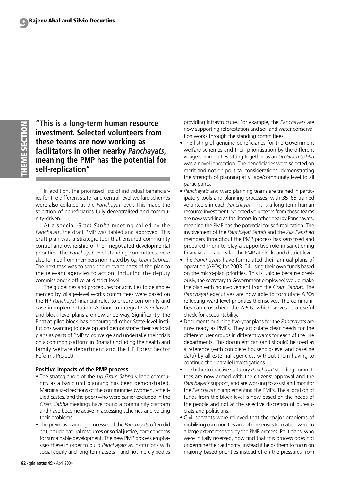**62 <pla notes 49>** April 2004

**"This is a long-term human resource investment. Selected volunteers from these teams are now working as facilitators in other nearby** *Panchayats***, meaning the PMP has the potential for self-replication"**

In addition, the prioritised lists of individual beneficiaries for the different state- and central-level welfare schemes were also collated at the *Panchayat* level. This made the selection of beneficiaries fully decentralised and community-driven.

At a special *Gram Sabha* meeting called by the *Panchayat*, the draft PMP was tabled and approved. This draft plan was a strategic tool that ensured community control and ownership of their negotiated developmental priorities. The *Panchayat-*level standing committees were also formed from members nominated by *Up Gram Sabhas*. The next task was to send the relevant parts of the plan to the relevant agencies to act on, including the deputy commissioner's office at district level.

The guidelines and procedures for activities to be implemented by village-level works committees were based on the HP *Panchayat* financial rules to ensure conformity and ease in implementation. Actions to integrate *Panchayat*and block-level plans are now underway. Significantly, the Bhatiat pilot block has encouraged other State-level institutions wanting to develop and demonstrate their sectoral plans as parts of PMP to converge and undertake their trials on a common platform in Bhatiat (including the health and family welfare department and the HP Forest Sector Reforms Project).

#### **Positive impacts of the PMP process**

- The strategic role of the *Up Gram Sabha* village community as a basic unit planning has been demonstrated. Marginalized sections of the communities (women, scheduled castes, and the poor) who were earlier excluded in the *Gram Sabha* meetings have found a community platform and have become active in accessing schemes and voicing their problems.
- The previous planning processes of the *Panchayats* often did not include natural resources or social justice, core concerns for sustainable development. The new PMP process emphasises these in order to build *Panchayats* as institutions with social equity and long-term assets – and not merely bodies

providing infrastructure. For example, the *Panchayats* are now supporting reforestation and soil and water conservation works through the standing committees.

- The listing of genuine beneficiaries for the Government welfare schemes and their prioritisation by the different village communities sitting together as an *Up Gram Sabha* was a novel innovation. The beneficiaries were selected on merit and not on political considerations, demonstrating the strength of planning at village/community level to all participants.
- *Panchayats* and ward planning teams are trained in participatory tools and planning processes, with 35–65 trained volunteers in each *Panchayat*. This is a long-term human resource investment. Selected volunteers from these teams are now working as facilitators in other nearby Panchayats, meaning the PMP has the potential for self-replication. The involvement of the *Panchayat Samiti* and the *Zila Parishad* members throughout the PMP process has sensitised and prepared them to play a supportive role in sanctioning financial allocations for the PMP at block- and district-level.
- The *Panchayats* have formulated their annual plans of operation (APOs) for 2003–04 using their own funds based on the micro-plan priorities. This is unique because previously, the secretary (a Government employee) would make the plan with no involvement from the *Gram Sabhas*. The *Panchayat* executives are now able to formulate APOs reflecting ward-level priorities themselves. The communities can crosscheck the APOs, which serves as a useful check for accountability.
- Documents outlining five-year plans for the *Panchayats* are now ready as PMPs. They articulate clear needs for the different user groups in different wards for each of the line departments. This document can (and should) be used as a reference (with complete household-level and baseline data) by all external agencies, without them having to continue their parallel investigations.
- The hitherto inactive statutory *Panchayat* standing committees are now armed with the citizens' approval and the *Panchayat's* support, and are working to assist and monitor the *Panchayat* in implementing the PMPs. The allocation of funds from the block level is now based on the needs of the people and not at the selective discretion of bureaucrats and politicians.
- Civil servants were relieved that the major problems of mobilising communities and of consensus formation were to a large extent resolved by the PMP process. Politicians, who were initially reserved, now find that this process does not undermine their authority; instead it helps them to focus on majority-based priorities instead of on the pressures from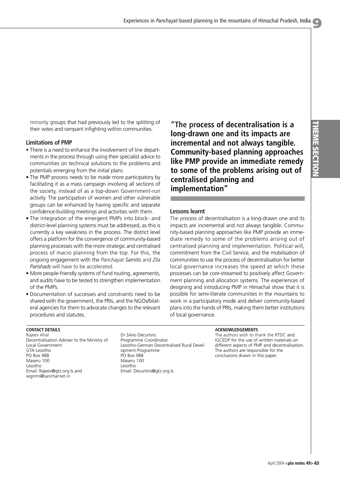minority groups that had previously led to the splitting of their votes and rampant infighting within communities.

#### **Limitations of PMP**

- There is a need to enhance the involvement of line departments in the process through using their specialist advice to communities on technical solutions to the problems and potentials emerging from the initial plans.
- The PMP process needs to be made more participatory by facilitating it as a mass campaign involving all sections of the society, instead of as a top-down Government-run activity. The participation of women and other vulnerable groups can be enhanced by having specific and separate confidence-building meetings and activities with them.
- The integration of the emergent PMPs into block- and district-level planning systems must be addressed, as this is currently a key weakness in the process. The district level offers a platform for the convergence of community-based planning processes with the more strategic and centralised process of macro planning from the top. For this, the ongoing engagement with the *Panchayat Samitis* and *Zila Parishads* will have to be accelerated.
- More people-friendly systems of fund routing, agreements, and audits have to be tested to strengthen implementation of the PMPs.
- Documentation of successes and constraints need to be shared with the government, the PRIs, and the NGOs/bilateral agencies for them to advocate changes to the relevant procedures and statutes.

**"The process of decentralisation is a long-drawn one and its impacts are incremental and not always tangible. Community-based planning approaches like PMP provide an immediate remedy to some of the problems arising out of centralised planning and implementation"**

#### **Lessons learnt**

The process of decentralisation is a long-drawn one and its impacts are incremental and not always tangible. Community-based planning approaches like PMP provide an immediate remedy to some of the problems arising out of centralised planning and implementation. Political will, commitment from the Civil Service, and the mobilisation of communities to use the process of decentralisation for better local governance increases the speed at which these processes can be core-streamed to positively affect Government planning and allocation systems. The experiences of designing and introducing PMP in Himachal show that it is possible for semi-literate communities in the mountains to work in a participatory mode and deliver community-based plans into the hands of PRIs, making them better institutions of local governance.

#### **CONTACT DETAILS**

Rajeev Ahal Decentralisation Adviser to the Ministry of Local Government GTA Lesotho PO Box 988 Maseru 100 Lesotho Email: Rajeev@gtz.org.ls and wgnrm@sancharnet.in

Dr Silvio Decurtins Programme Coordinator Lesotho-German Decentralised Rural Development Programme PO Box 988 Maseru 100 Lesotho Email: Decurtins@gtz.org.ls

#### **ACKNOWLEDGEMENTS**

The authors wish to thank the RTDC and IGCEDP for the use of written materials on different aspects of PMP and decentralisation. The authors are responsible for the conclusions drawn in this paper.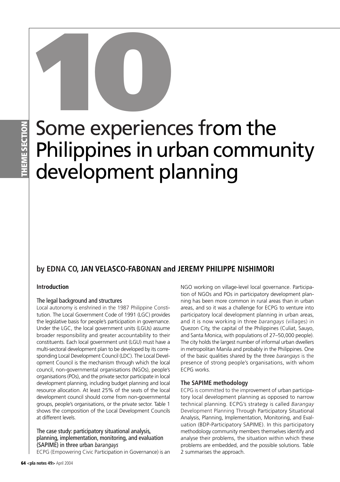### **IEME SECTION THEME SECTION**

## Some experiences from the Philippines in urban community development planning **10**

#### **by EDNA CO, JAN VELASCO-FABONAN and JEREMY PHILIPPE NISHIMORI**

#### **Introduction**

#### The legal background and structures

Local autonomy is enshrined in the 1987 Philippine Constitution. The Local Government Code of 1991 (LGC) provides the legislative basis for people's participation in governance. Under the LGC, the local government units (LGUs) assume broader responsibility and greater accountability to their constituents. Each local government unit (LGU) must have a multi-sectoral development plan to be developed by its corresponding Local Development Council (LDC). The Local Development Council is the mechanism through which the local council, non-governmental organisations (NGOs), people's organisations (POs), and the private sector participate in local development planning, including budget planning and local resource allocation. At least 25% of the seats of the local development council should come from non-governmental groups, people's organisations, or the private sector. Table 1 shows the composition of the Local Development Councils at different levels.

#### The case study: participatory situational analysis, planning, implementation, monitoring, and evaluation (SAPIME) in three urban *barangays*

ECPG (Empowering Civic Participation in Governance) is an

NGO working on village-level local governance. Participation of NGOs and POs in participatory development planning has been more common in rural areas than in urban areas, and so it was a challenge for ECPG to venture into participatory local development planning in urban areas, and it is now working in three *barangays* (villages) in Quezon City, the capital of the Philippines (Culiat, Sauyo, and Santa Monica, with populations of 27–50,000 people). The city holds the largest number of informal urban dwellers in metropolitan Manila and probably in the Philippines. One of the basic qualities shared by the three *barangays* is the presence of strong people's organisations, with whom ECPG works.

#### **The SAPIME methodology**

ECPG is committed to the improvement of urban participatory local development planning as opposed to narrow technical planning. ECPG's strategy is called *Barangay* Development Planning Through Participatory Situational Analysis, Planning, Implementation, Monitoring, and Evaluation (BDP-Participatory SAPIME). In this participatory methodology community members themselves identify and analyse their problems, the situation within which these problems are embedded, and the possible solutions. Table 2 summarises the approach.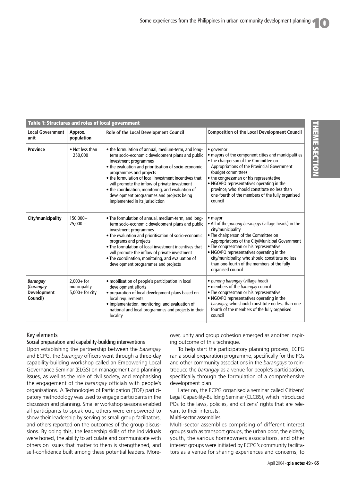| Table 1: Structures and roles of local government       |                                                                                                                                                                                                                                                                                                                                                                                                                                                                       |                                                                                                                                                                                                                                                                                                                                                                                                                                                                     |                                                                                                                                                                                                                                                                                                                                                                                        |  |
|---------------------------------------------------------|-----------------------------------------------------------------------------------------------------------------------------------------------------------------------------------------------------------------------------------------------------------------------------------------------------------------------------------------------------------------------------------------------------------------------------------------------------------------------|---------------------------------------------------------------------------------------------------------------------------------------------------------------------------------------------------------------------------------------------------------------------------------------------------------------------------------------------------------------------------------------------------------------------------------------------------------------------|----------------------------------------------------------------------------------------------------------------------------------------------------------------------------------------------------------------------------------------------------------------------------------------------------------------------------------------------------------------------------------------|--|
| <b>Local Government</b><br>unit                         | Approx.<br>population                                                                                                                                                                                                                                                                                                                                                                                                                                                 | Role of the Local Development Council                                                                                                                                                                                                                                                                                                                                                                                                                               | <b>Composition of the Local Development Council</b>                                                                                                                                                                                                                                                                                                                                    |  |
| <b>Province</b>                                         | • Not less than<br>250,000                                                                                                                                                                                                                                                                                                                                                                                                                                            | • the formulation of annual, medium-term, and long-<br>term socio-economic development plans and public<br>investment programmes<br>• the evaluation and prioritisation of socio-economic<br>programmes and projects<br>• the formulation of local investment incentives that<br>will promote the inflow of private investment<br>• the coordination, monitoring, and evaluation of<br>development programmes and projects being<br>implemented in its jurisdiction | · governor<br>• mayors of the component cities and municipalities<br>• the chairperson of the Committee on<br>Appropriations of the Provincial Government<br>(budget committee)<br>• the congressman or his representative<br>• NGO/PO representatives operating in the<br>province, who should constitute no less than<br>one-fourth of the members of the fully organised<br>council |  |
| City/municipality                                       | 150,000+<br>. The formulation of annual, medium-term, and long-<br>$\bullet$ mayor<br>$25,000 +$<br>term socio-economic development plans and public<br>investment programmes<br>• The evaluation and prioritisation of socio-economic<br>programs and projects<br>. The formulation of local investment incentives that<br>will promote the inflow of private investment<br>• The coordination, monitoring, and evaluation of<br>development programmes and projects |                                                                                                                                                                                                                                                                                                                                                                                                                                                                     | • All of the punong barangays (village heads) in the<br>city/municipality<br>. The chairperson of the Committee on<br>Appropriations of the City/Municipal Government<br>. The congressman or his representative<br>• NGO/PO representatives operating in the<br>city/municipality, who should constitute no less<br>than one-fourth of the members of the fully<br>organised council  |  |
| Barangay<br>(barangay<br><b>Development</b><br>Council) | $2,000+$ for<br>municipality<br>$5,000+$ for city                                                                                                                                                                                                                                                                                                                                                                                                                     | · mobilisation of people's participation in local<br>development efforts<br>• preparation of local development plans based on<br>local requirements<br>· implementation, monitoring, and evaluation of<br>national and local programmes and projects in their<br>locality                                                                                                                                                                                           | · punong barangay (village head)<br>• members of the barangay council<br>. The congressman or his representative<br>• NGO/PO representatives operating in the<br>barangay, who should constitute no less than one-<br>fourth of the members of the fully organised<br>council                                                                                                          |  |

#### Key elements

#### Social preparation and capability-building interventions

Upon establishing the partnership between the *barangay* and ECPG, the *barangay* officers went through a three-day capability-building workshop called an Empowering Local Governance Seminar (ELGS) on management and planning issues, as well as the role of civil society, and emphasising the engagement of the *barangay* officials with people's organisations. A Technologies of Participation (TOP) participatory methodology was used to engage participants in the discussion and planning. Smaller workshop sessions enabled all participants to speak out, others were empowered to show their leadership by serving as small group facilitators, and others reported on the outcomes of the group discussions. By doing this, the leadership skills of the individuals were honed, the ability to articulate and communicate with others on issues that matter to them is strengthened, and self-confidence built among these potential leaders. Moreover, unity and group cohesion emerged as another inspiring outcome of this technique.

To help start the participatory planning process, ECPG ran a social preparation programme, specifically for the POs and other community associations in the *barangays* to reintroduce the *barangay* as a venue for people's participation, specifically through the formulation of a comprehensive development plan.

Later on, the ECPG organised a seminar called Citizens' Legal Capability-Building Seminar (CLCBS), which introduced POs to the laws, policies, and citizens' rights that are relevant to their interests.

#### Multi-sector assemblies

Multi-sector assemblies comprising of different interest groups such as transport groups, the urban poor, the elderly, youth, the various homeowners associations, and other interest groups were initiated by ECPG's community facilitators as a venue for sharing experiences and concerns, to

April 2004 **<pla notes 49> 65**

**THEME**

**SECTION**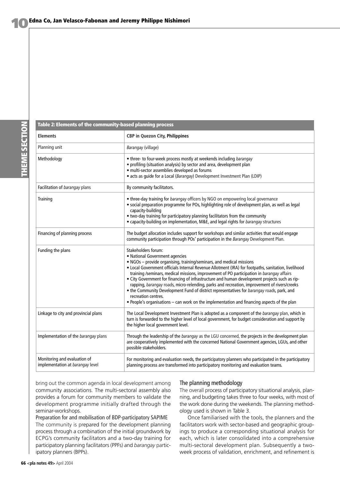| <b>10 Edna Co, Jan Velasco-Fabonan and Jeremy Philippe Nishimori</b> |
|----------------------------------------------------------------------|
|                                                                      |

**Table 2: Elements of the community-based planning process**

| <b>Elements</b>                                                  | <b>CBP in Quezon City, Philippines</b>                                                                                                                                                                                                                                                                                                                                                                                                                                                                                                                                                                                                                                                                                                                 |
|------------------------------------------------------------------|--------------------------------------------------------------------------------------------------------------------------------------------------------------------------------------------------------------------------------------------------------------------------------------------------------------------------------------------------------------------------------------------------------------------------------------------------------------------------------------------------------------------------------------------------------------------------------------------------------------------------------------------------------------------------------------------------------------------------------------------------------|
| Planning unit                                                    | Barangay (village)                                                                                                                                                                                                                                                                                                                                                                                                                                                                                                                                                                                                                                                                                                                                     |
| Methodology                                                      | • three- to four-week process mostly at weekends including barangay<br>• profiling (situation analysis) by sector and area, development plan<br>· multi-sector assemblies developed as forums<br>• acts as guide for a Local (Barangay) Development Investment Plan (LDIP)                                                                                                                                                                                                                                                                                                                                                                                                                                                                             |
| Facilitation of barangay plans                                   | By community facilitators.                                                                                                                                                                                                                                                                                                                                                                                                                                                                                                                                                                                                                                                                                                                             |
| Training                                                         | • three-day training for barangay officers by NGO on empowering local governance<br>• social preparation programme for POs, highlighting role of development plan, as well as legal<br>capacity-building<br>• two-day training for participatory planning facilitators from the community<br>• capacity-building on implementation, M&E, and legal rights for barangay structures                                                                                                                                                                                                                                                                                                                                                                      |
| Financing of planning process                                    | The budget allocation includes support for workshops and similar activities that would engage<br>community participation through POs' participation in the Barangay Development Plan.                                                                                                                                                                                                                                                                                                                                                                                                                                                                                                                                                                  |
| Funding the plans                                                | Stakeholders forum:<br>• National Government agencies<br>• NGOs - provide organising, training/seminars, and medical missions<br>. Local Government officials Internal Revenue Allotment (IRA) for footpaths, sanitation, livelihood<br>training /seminars, medical missions, improvement of PO participation in barangay affairs<br>• City Government for financing of infrastructure and human development projects such as rip-<br>rapping, barangay roads, micro-relending, parks and recreation, improvement of rivers/creeks<br>• the Community Development Fund of district representatives for barangay roads, park, and<br>recreation centres.<br>• People's organisations – can work on the implementation and financing aspects of the plan |
| Linkage to city and provincial plans                             | The Local Development Investment Plan is adopted as a component of the barangay plan, which in<br>turn is forwarded to the higher level of local government, for budget consideration and support by<br>the higher local government level.                                                                                                                                                                                                                                                                                                                                                                                                                                                                                                             |
| Implementation of the barangay plans                             | Through the leadership of the barangay as the LGU concerned, the projects in the development plan<br>are cooperatively implemented with the concerned National Government agencies, LGUs, and other<br>possible stakeholders.                                                                                                                                                                                                                                                                                                                                                                                                                                                                                                                          |
| Monitoring and evaluation of<br>implementation at barangay level | For monitoring and evaluation needs, the participatory planners who participated in the participatory<br>planning process are transformed into participatory monitoring and evaluation teams.                                                                                                                                                                                                                                                                                                                                                                                                                                                                                                                                                          |

bring out the common agenda in local development among community associations. The multi-sectoral assembly also provides a forum for community members to validate the development programme initially drafted through the seminar-workshops.

Preparation for and mobilisation of BDP-participatory SAPIME The community is prepared for the development planning process through a combination of the initial groundwork by ECPG's community facilitators and a two-day training for participatory planning facilitators (PPFs) and *barangay* participatory planners (BPPs).

#### The planning methodology

The overall process of participatory situational analysis, planning, and budgeting takes three to four weeks, with most of the work done during the weekends. The planning methodology used is shown in Table 3.

Once familiarised with the tools, the planners and the facilitators work with sector-based and geographic groupings to produce a corresponding situational analysis for each, which is later consolidated into a comprehensive multi-sectoral development plan. Subsequently a twoweek process of validation, enrichment, and refinement is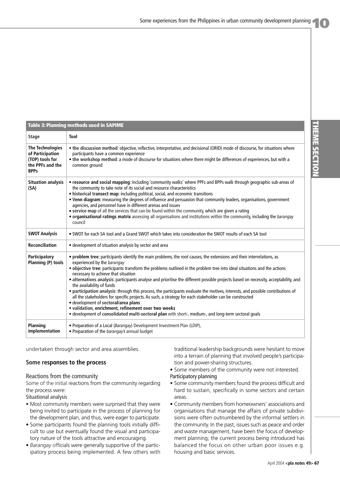| Some experiences from the Philippines in urban community development planning |  |
|-------------------------------------------------------------------------------|--|
|                                                                               |  |

| <b>Stage</b>                                                                                      | Tool                                                                                                                                                                                                                                                                                                                                                                                                                                                                                                                                                                                                                                                                                                                                                                                                                                                                                                                                             |
|---------------------------------------------------------------------------------------------------|--------------------------------------------------------------------------------------------------------------------------------------------------------------------------------------------------------------------------------------------------------------------------------------------------------------------------------------------------------------------------------------------------------------------------------------------------------------------------------------------------------------------------------------------------------------------------------------------------------------------------------------------------------------------------------------------------------------------------------------------------------------------------------------------------------------------------------------------------------------------------------------------------------------------------------------------------|
| <b>The Technologies</b><br>of Participation<br>(TOP) tools for<br>the PPFs and the<br><b>BPPs</b> | • the discussion method: objective, reflective, interpretative, and decisional (ORID) mode of discourse, for situations where<br>participants have a common experience<br>. the workshop method: a mode of discourse for situations where there might be differences of experiences, but with a<br>common ground                                                                                                                                                                                                                                                                                                                                                                                                                                                                                                                                                                                                                                 |
| <b>Situation analysis</b><br>(SA)                                                                 | • resource and social mapping: including 'community walks' where PPFs and BPPs walk through geographic sub-areas of<br>the community to take note of its social and resource characteristics<br>• historical transect map: including political, social, and economic transitions<br>. Venn diagram: measuring the degrees of influence and persuasion that community leaders, organisations, government<br>agencies, and personnel have in different arenas and issues<br>• service map of all the services that can be found within the community, which are given a rating<br>• organisational ratings matrix assessing all organisations and institutions within the community, including the barangay<br>council                                                                                                                                                                                                                             |
| <b>SWOT Analysis</b>                                                                              | . SWOT for each SA tool and a Grand SWOT which takes into consideration the SWOT results of each SA tool                                                                                                                                                                                                                                                                                                                                                                                                                                                                                                                                                                                                                                                                                                                                                                                                                                         |
| <b>Reconciliation</b>                                                                             | • development of situation analysis by sector and area                                                                                                                                                                                                                                                                                                                                                                                                                                                                                                                                                                                                                                                                                                                                                                                                                                                                                           |
| Participatory<br>Planning (P) tools                                                               | • problem tree: participants identify the main problems, the root causes, the extensions and their interrelations, as<br>experienced by the barangay<br>. objective tree: participants transform the problems outlined in the problem tree into ideal situations and the actions<br>necessary to achieve that situation<br>· alternatives analysis: participants analyse and prioritise the different possible projects based on necessity, acceptability, and<br>the availability of funds<br>• participation analysis: through this process, the participants evaluate the motives, interests, and possible contributions of<br>all the stakeholders for specific projects. As such, a strategy for each stakeholder can be constructed<br>· development of sectoral/area plans<br>· validation, enrichment, refinement over two weeks<br>. development of consolidated multi-sectoral plan with short-, medium-, and long-term sectoral goals |
| Planning<br>implementation                                                                        | • Preparation of a Local (Barangay) Development Investment Plan (LDIP),<br>• Preparation of the barangay's annual budget                                                                                                                                                                                                                                                                                                                                                                                                                                                                                                                                                                                                                                                                                                                                                                                                                         |

undertaken through sector and area assemblies.

**Table 3: Planning methods used in SAPIME**

#### **Some responses to the process**

#### Reactions from the community

Some of the initial reactions from the community regarding the process were:

#### Situational analysis

- Most community members were surprised that they were being invited to participate in the process of planning for the development plan, and thus, were eager to participate.
- Some participants found the planning tools initially difficult to use but eventually found the visual and participatory nature of the tools attractive and encouraging.
- *Barangay* officials were generally supportive of the participatory process being implemented. A few others with

traditional leadership backgrounds were hesitant to move into a terrain of planning that involved people's participation and power-sharing structures.

- Some members of the community were not interested. Participatory planning
- Some community members found the process difficult and hard to sustain, specifically in some sectors and certain areas.
- Community members from homeowners' associations and organisations that manage the affairs of private subdivisions were often outnumbered by the informal settlers in the community. In the past, issues such as peace and order and waste management, have been the focus of development planning; the current process being introduced has balanced the focus on other urban poor issues e.g. housing and basic services.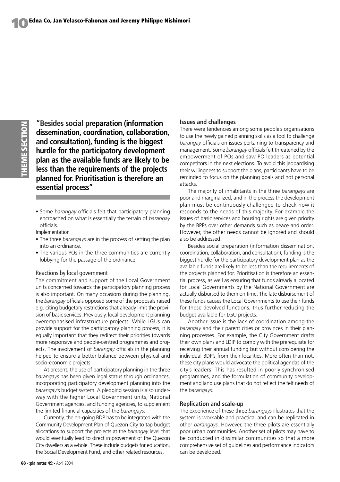**"Besides social preparation (information dissemination, coordination, collaboration, and consultation), funding is the biggest hurdle for the participatory development plan as the available funds are likely to be less than the requirements of the projects planned for. Prioritisation is therefore an essential process"**

• Some *barangay* officials felt that participatory planning encroached on what is essentially the terrain of *barangay* officials.

Implementation

- The three *barangays* are in the process of setting the plan into an ordinance.
- The various POs in the three communities are currently lobbying for the passage of the ordinance.

#### Reactions by local government

The commitment and support of the Local Government units concerned towards the participatory planning process is also important. On many occasions during the planning, the *barangay* officials opposed some of the proposals raised e.g. citing budgetary restrictions that already limit the provision of basic services. Previously, local development planning overemphasised infrastructure projects. While LGUs can provide support for the participatory planning process, it is equally important that they redirect their priorities towards more responsive and people-centred programmes and projects. The involvement of *barangay* officials in the planning helped to ensure a better balance between physical and socio-economic projects.

At present, the use of participatory planning in the three *barangays* has been given legal status through ordinances, incorporating participatory development planning into the *barangay's* budget system. A pledging session is also underway with the higher Local Government units, National Government agencies, and funding agencies, to supplement the limited financial capacities of the *barangays*.

Currently, the on-going BDP has to be integrated with the Community Development Plan of Quezon City to tap budget allocations to support the projects at the *barangay* level that would eventually lead to direct improvement of the Quezon City dwellers as a whole. These include budgets for education, the Social Development Fund, and other related resources.

#### **Issues and challenges**

There were tendencies among some people's organisations to use the newly gained planning skills as a tool to challenge *barangay* officials on issues pertaining to transparency and management. Some *barangay* officials felt threatened by the empowerment of POs and saw PO leaders as potential competitors in the next elections. To avoid this jeopardising their willingness to support the plans, participants have to be reminded to focus on the planning goals and not personal attacks.

The majority of inhabitants in the three *barangays* are poor and marginalized, and in the process the development plan must be continuously challenged to check how it responds to the needs of this majority. For example the issues of basic services and housing rights are given priority by the BPPs over other demands such as peace and order. However, the other needs cannot be ignored and should also be addressed.

Besides social preparation (information dissemination, coordination, collaboration, and consultation), funding is the biggest hurdle for the participatory development plan as the available funds are likely to be less than the requirements of the projects planned for. Prioritisation is therefore an essential process, as well as ensuring that funds already allocated for Local Governments by the National Government are actually disbursed to them on time. The late disbursement of these funds causes the Local Governments to use their funds for these devolved functions, thus further reducing the budget available for LGU projects.

Another issue is the lack of coordination among the *barangay* and their parent cities or provinces in their planning processes. For example, the City Government drafts their own plans and LDIP to comply with the prerequisite for receiving their annual funding but without considering the individual BDP's from their localities. More often than not, these city plans would advocate the political agendas of the city's leaders. This has resulted in poorly synchronised programmes, and the formulation of community development and land use plans that do not reflect the felt needs of the *barangays*.

#### **Replication and scale-up**

The experience of these three *barangays* illustrates that the system is workable and practical and can be replicated in other *barangays*. However, the three pilots are essentially poor urban communities. Another set of pilots may have to be conducted in dissimilar communities so that a more comprehensive set of guidelines and performance indicators can be developed.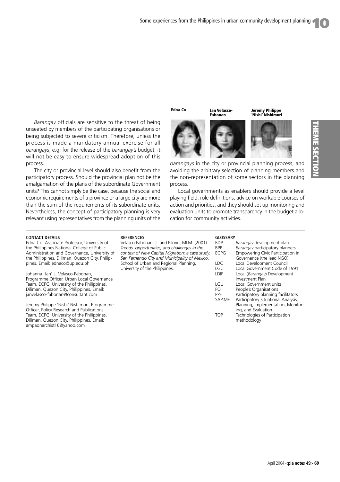*Barangay* officials are sensitive to the threat of being unseated by members of the participating organisations or being subjected to severe criticism. Therefore, unless the process is made a mandatory annual exercise for all *barangays*, e.g. for the release of the *barangay's* budget, it will not be easy to ensure widespread adoption of this process.

The city or provincial level should also benefit from the participatory process. Should the provincial plan not be the amalgamation of the plans of the subordinate Government units? This cannot simply be the case, because the social and economic requirements of a province or a large city are more than the sum of the requirements of its subordinate units. Nevertheless, the concept of participatory planning is very relevant using representatives from the planning units of the **Edna Co Jeremy Philippe**



**Jan Velasco-Fabonan**

*barangays* in the city or provincial planning process, and avoiding the arbitrary selection of planning members and the non-representation of some sectors in the planning process.

Local governments as enablers should provide a level playing field, role definitions, advice on workable courses of action and priorities, and they should set up monitoring and evaluation units to promote transparency in the budget allocation for community activities.

#### **CONTACT DETAILS**

Edna Co, Associate Professor, University of the Philippines National College of Public Administration and Governance, University of the Philippines, Diliman, Quezon City, Philippines. Email: ednaco@up.edu.ph

Johanna 'Jan' L. Velasco-Fabonan, Programme Officer, Urban Local Governance Team, ECPG, University of the Philippines, Diliman, Quezon City, Philippines. Email: janvelasco-fabonan@consultant.com

Jeremy Philippe 'Nishi' Nishimori, Programme Officer, Policy Research and Publications Team, ECPG, University of the Philippines, Diliman, Quezon City, Philippines. Email: ampaonarchist16@yahoo.com

#### **REFERENCES**

Velasco-Fabonan, JL and Pilorin, MLM. (2001) *Trends, opportunities, and challenges in the context of New Capital Migration: a case study, San Fernando City and Municipality of Mexico*. School of Urban and Regional Planning, University of the Philippines.

#### **GLOSSARY**

| BDP    | Barangay development plan           |
|--------|-------------------------------------|
| BPP    | Barangay participatory planners     |
| ECPG   | Empowering Civic Participation in   |
|        | Governance (the lead NGO)           |
| LDC    | Local Development Council           |
| LGC    | Local Government Code of 1991       |
| LDIP   | Local (Barangay) Development        |
|        | Investment Plan                     |
| LGU    | Local Government units              |
| PΟ     | People's Organisations              |
| PPF    | Participatory planning facilitators |
| SAPIME | Participatory Situational Analysis, |
|        | Planning, Implementation, Monitor-  |
|        | ing, and Evaluation                 |
| TOP    | Technologies of Participation       |
|        | methodology                         |
|        |                                     |

**'Nishi' Nishimori**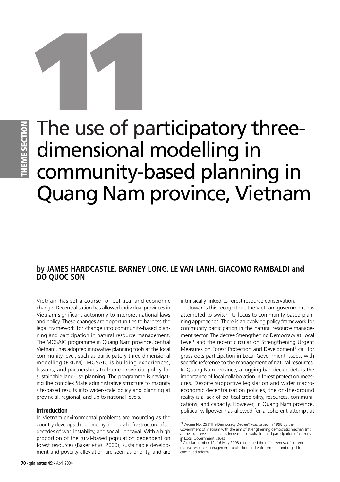## The use of participatory threedimensional modelling in community-based planning in Quang Nam province, Vietnam The use of pa

#### **by JAMES HARDCASTLE, BARNEY LONG, LE VAN LANH, GIACOMO RAMBALDI and DO QUOC SON**

Vietnam has set a course for political and economic change. Decentralisation has allowed individual provinces in Vietnam significant autonomy to interpret national laws and policy. These changes are opportunities to harness the legal framework for change into community-based planning and participation in natural resource management. The MOSAIC programme in Quang Nam province, central Vietnam, has adopted innovative planning tools at the local community level, such as participatory three-dimensional modelling (P3DM). MOSAIC is building experiences, lessons, and partnerships to frame provincial policy for sustainable land-use planning. The programme is navigating the complex State administrative structure to magnify site-based results into wider-scale policy and planning at provincial, regional, and up to national levels.

#### **Introduction**

In Vietnam environmental problems are mounting as the country develops the economy and rural infrastructure after decades of war, instability, and social upheaval. With a high proportion of the rural-based population dependent on forest resources (Baker *et al*. 2000), sustainable development and poverty alleviation are seen as priority, and are intrinsically linked to forest resource conservation.

Towards this recognition, the Vietnam government has attempted to switch its focus to community-based planning approaches. There is an evolving policy framework for community participation in the natural resource management sector. The decree Strengthening Democracy at Local Level**<sup>1</sup>** and the recent circular on Strengthening Urgent Measures on Forest Protection and Development**<sup>2</sup>** call for grassroots participation in Local Government issues, with specific reference to the management of natural resources. In Quang Nam province, a logging ban decree details the importance of local collaboration in forest protection measures. Despite supportive legislation and wider macroeconomic decentralisation policies, the on-the-ground reality is a lack of political credibility, resources, communications, and capacity. However, in Quang Nam province, political willpower has allowed for a coherent attempt at

**<sup>1</sup>**Decree No. 29 ('The Democracy Decree') was issued in 1998 by the Government of Vietnam with the aim of strengthening democratic mechanisms at the local level. It stipulates increased consultation and participation of citizens

in Local Government issues. **<sup>2</sup>** Circular number 12, 16 May 2003 challenged the effectiveness of current

natural resource management, protection and enforcement, and urged for continued reform.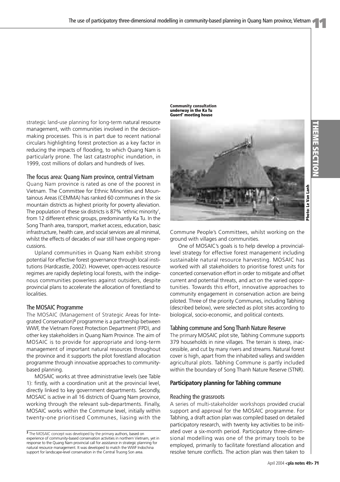**THEME SECTION**

strategic land-use planning for long-term natural resource management, with communities involved in the decisionmaking processes. This is in part due to recent national circulars highlighting forest protection as a key factor in reducing the impacts of flooding, to which Quang Nam is particularly prone. The last catastrophic inundation, in 1999, cost millions of dollars and hundreds of lives.

#### The focus area: Quang Nam province, central Vietnam

Quang Nam province is rated as one of the poorest in Vietnam. The Committee for Ethnic Minorities and Mountainous Areas (CEMMA) has ranked 60 communes in the six mountain districts as highest priority for poverty alleviation. The population of these six districts is 87% 'ethnic minority', from 12 different ethnic groups, predominantly Ka Tu. In the Song Thanh area, transport, market access, education, basic infrastructure, health care, and social services are all minimal, whilst the effects of decades of war still have ongoing repercussions.

Upland communities in Quang Nam exhibit strong potential for effective forest governance through local institutions (Hardcastle, 2002). However, open-access resource regimes are rapidly depleting local forests, with the indigenous communities powerless against outsiders, despite provincial plans to accelerate the allocation of forestland to localities.

#### The MOSAIC Programme

The MOSAIC (Management of Strategic Areas for Integrated Conservation)**<sup>3</sup>** programme is a partnership between WWF, the Vietnam Forest Protection Department (FPD), and other key stakeholders in Quang Nam Province. The aim of MOSAIC is to provide for appropriate and long-term management of important natural resources throughout the province and it supports the pilot forestland allocation programme through innovative approaches to communitybased planning.

MOSAIC works at three administrative levels (see Table 1): firstly, with a coordination unit at the provincial level, directly linked to key government departments. Secondly, MOSAIC is active in all 16 districts of Quang Nam province, working through the relevant sub-departments. Finally, MOSAIC works within the Commune level, initially within twenty-one prioritised Communes, liasing with the

**Community consultation underway in the Ka Tu Guorrl' meeting house**



Commune People's Committees, whilst working on the ground with villages and communities.

One of MOSAIC's goals is to help develop a provinciallevel strategy for effective forest management including sustainable natural resource harvesting. MOSAIC has worked with all stakeholders to prioritise forest units for concerted conservation effort in order to mitigate and offset current and potential threats, and act on the varied opportunities. Towards this effort, innovative approaches to community engagement in conservation action are being piloted. Three of the priority Communes, including Tabhing (described below), were selected as pilot sites according to biological, socio-economic, and political contexts.

#### Tabhing commune and Song Thanh Nature Reserve

The primary MOSAIC pilot site, Tabhing Commune supports 379 households in nine villages. The terrain is steep, inaccessible, and cut by many rivers and streams. Natural forest cover is high, apart from the inhabited valleys and swidden agricultural plots. Tabhing Commune is partly included within the boundary of Song Thanh Nature Reserve (STNR).

#### **Participatory planning for Tabhing commune**

#### Reaching the grassroots

A series of multi-stakeholder workshops provided crucial support and approval for the MOSAIC programme. For Tabhing, a draft action plan was compiled based on detailed participatory research, with twenty key activities to be initiated over a six-month period. Participatory three-dimensional modelling was one of the primary tools to be employed, primarily to facilitate forestland allocation and resolve tenure conflicts. The action plan was then taken to

**<sup>3</sup>** The MOSAIC concept was developed by the primary authors, based on experience of community-based conservation activities in northern Vietnam, yet in response to the Quang Nam provincial call for assistance in strategic planning for natural resource management. It was developed to match the WWF Indochina support for landscape-level conservation in the Central Truong Son area.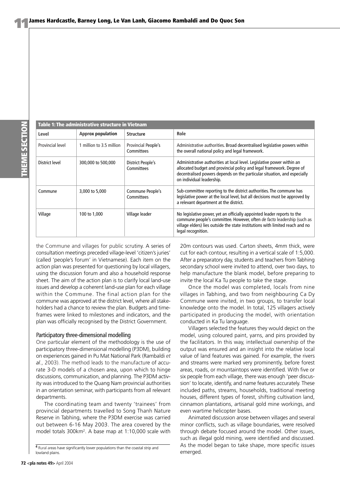**James Hardcastle, Barney Long, Le Van Lanh, Giacomo Rambaldi and Do Quoc Son 11**

| Table 1: The administrative structure in Vietnam |                          |                                   |                                                                                                                                                                                                                                                           |
|--------------------------------------------------|--------------------------|-----------------------------------|-----------------------------------------------------------------------------------------------------------------------------------------------------------------------------------------------------------------------------------------------------------|
| Level                                            | <b>Approx population</b> | <b>Structure</b>                  | Role                                                                                                                                                                                                                                                      |
| Provincial level                                 | 1 million to 3.5 million | Provincial People's<br>Committees | Administrative authorities. Broad decentralised legislative powers within<br>the overall national policy and legal framework.                                                                                                                             |
| District level                                   | 300,000 to 500,000       | District People's<br>Committees   | Administrative authorities at local level. Legislative power within an<br>allocated budget and provincial policy and legal framework. Degree of<br>decentralised powers depends on the particular situation, and especially<br>on individual leadership.  |
| Commune                                          | 3,000 to 5,000           | Commune People's<br>Committees    | Sub-committee reporting to the district authorities. The commune has<br>legislative power at the local level, but all decisions must be approved by<br>a relevant department at the district.                                                             |
| Village                                          | 100 to 1,000             | Village leader                    | No legislative power, yet an officially appointed leader reports to the<br>commune people's committee. However, often de facto leadership (such as<br>village elders) lies outside the state institutions with limited reach and no<br>legal recognition. |

the Commune and villages for public scrutiny. A series of consultation meetings preceded village-level 'citizen's juries' (called 'people's forum' in Vietnamese). Each item on the action plan was presented for questioning by local villagers, using the discussion forum and also a household response sheet. The aim of the action plan is to clarify local land-use issues and develop a coherent land-use plan for each village within the Commune. The final action plan for the commune was approved at the district level, where all stakeholders had a chance to review the plan. Budgets and timeframes were linked to milestones and indicators, and the plan was officially recognised by the District Government.

#### Participatory three-dimensional modelling

One particular element of the methodology is the use of participatory three-dimensional modelling (P3DM), building on experiences gained in Pu Mat National Park (Rambaldi *et al*., 2003). The method leads to the manufacture of accurate 3-D models of a chosen area, upon which to hinge discussions, communication, and planning. The P3DM activity was introduced to the Quang Nam provincial authorities in an orientation seminar, with participants from all relevant departments.

The coordinating team and twenty 'trainees' from provincial departments travelled to Song Thanh Nature Reserve in Tabhing, where the P3DM exercise was carried out between 6-16 May 2003. The area covered by the model totals 300km2. A base map at 1:10,000 scale with 20m contours was used. Carton sheets, 4mm thick, were cut for each contour, resulting in a vertical scale of 1:5,000. After a preparatory day, students and teachers from Tabhing secondary school were invited to attend, over two days, to help manufacture the blank model, before preparing to invite the local Ka Tu people to take the stage.

Once the model was completed, locals from nine villages in Tabhing, and two from neighbouring Ca Dy Commune were invited, in two groups, to transfer local knowledge onto the model. In total, 125 villagers actively participated in producing the model, with orientation conducted in Ka Tu language.

Villagers selected the features they would depict on the model, using coloured paint, yarns, and pins provided by the facilitators. In this way, intellectual ownership of the output was ensured and an insight into the relative local value of land features was gained. For example, the rivers and streams were marked very prominently, before forest areas, roads, or mountaintops were identified. With five or six people from each village, there was enough 'peer discussion' to locate, identify, and name features accurately. These included paths, streams, households, traditional meeting houses, different types of forest, shifting cultivation land, cinnamon plantations, artisanal gold mine workings, and even wartime helicopter bases.

Animated discussion arose between villages and several minor conflicts, such as village boundaries, were resolved through debate focused around the model. Other issues, such as illegal gold mining, were identified and discussed. As the model began to take shape, more specific issues emerged.

**<sup>4</sup>** Rural areas have significantly lower populations than the coastal strip and lowland plains.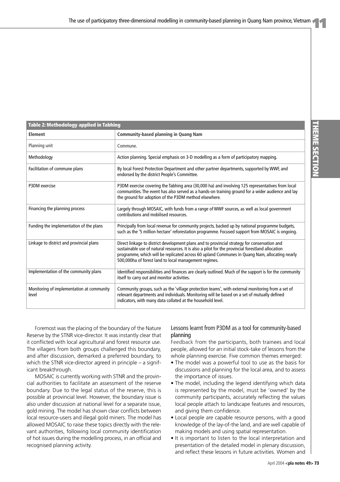| <b>Element</b>                                     | <b>Community-based planning in Quang Nam</b>                                                                                                                                                                                                                                                                                                                |
|----------------------------------------------------|-------------------------------------------------------------------------------------------------------------------------------------------------------------------------------------------------------------------------------------------------------------------------------------------------------------------------------------------------------------|
| Planning unit                                      | Commune.                                                                                                                                                                                                                                                                                                                                                    |
| Methodology                                        | Action planning. Special emphasis on 3-D modelling as a form of participatory mapping.                                                                                                                                                                                                                                                                      |
| Facilitation of commune plans                      | By local Forest Protection Department and other partner departments, supported by WWF, and<br>endorsed by the district People's Committee.                                                                                                                                                                                                                  |
| P3DM exercise                                      | P3DM exercise covering the Tabhing area (30,000 ha) and involving 125 representatives from local<br>communities. The event has also served as a hands-on training ground for a wider audience and lay<br>the ground for adoption of the P3DM method elsewhere.                                                                                              |
| Financing the planning process                     | Largely through MOSAIC, with funds from a range of WWF sources, as well as local government<br>contributions and mobilised resources.                                                                                                                                                                                                                       |
| Funding the implementation of the plans            | Principally from local revenue for community projects, backed up by national programme budgets,<br>such as the '5 million hectare' reforestation programme. Focused support from MOSAIC is ongoing.                                                                                                                                                         |
| Linkage to district and provincial plans           | Direct linkage to district development plans and to provincial strategy for conservation and<br>sustainable use of natural resources. It is also a pilot for the provincial forestland allocation<br>programme, which will be replicated across 60 upland Communes in Quang Nam, allocating nearly<br>500,000ha of forest land to local management regimes. |
| Implementation of the community plans              | Identified responsibilities and finances are clearly outlined. Much of the support is for the community<br>itself to carry out and monitor activities.                                                                                                                                                                                                      |
| Monitoring of implementation at community<br>level | Community groups, such as the 'village protection teams', with external monitoring from a set of<br>relevant departments and individuals. Monitoring will be based on a set of mutually defined<br>indicators, with many data collated at the household level.                                                                                              |

Foremost was the placing of the boundary of the Nature Reserve by the STNR vice-director. It was instantly clear that it conflicted with local agricultural and forest resource use. The villagers from both groups challenged this boundary, and after discussion, demarked a preferred boundary, to which the STNR vice-director agreed in principle – a significant breakthrough.

**Table 2: Methodology applied in Tabhing**

MOSAIC is currently working with STNR and the provincial authorities to facilitate an assessment of the reserve boundary. Due to the legal status of the reserve, this is possible at provincial level. However, the boundary issue is also under discussion at national level for a separate issue, gold mining. The model has shown clear conflicts between local resource-users and illegal gold miners. The model has allowed MOSAIC to raise these topics directly with the relevant authorities, following local community identification of hot issues during the modelling process, in an official and recognised planning activity.

#### Lessons learnt from P3DM as a tool for community-based planning

Feedback from the participants, both trainees and local people, allowed for an initial stock-take of lessons from the whole planning exercise. Five common themes emerged:

- The model was a powerful tool to use as the basis for discussions and planning for the local area, and to assess the importance of issues.
- The model, including the legend identifying which data is represented by the model, must be 'owned' by the community participants, accurately reflecting the values local people attach to landscape features and resources, and giving them confidence.
- Local people are capable resource persons, with a good knowledge of the lay-of-the land, and are well capable of making models and using spatial representation.
- It is important to listen to the local interpretation and presentation of the detailed model in plenary discussion, and reflect these lessons in future activities. Women and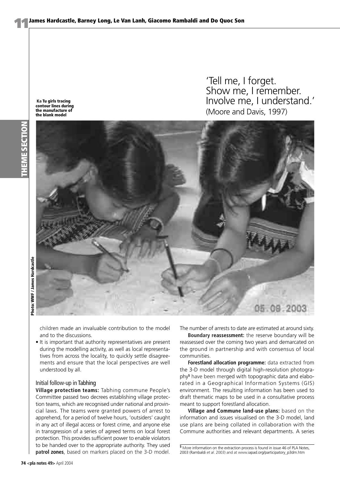**Ka Tu girls tracing contour lines during the manufacture of the blank model**

'Tell me, I forget. Show me, I remember. Involve me, I understand.' (Moore and Davis, 1997)



**THEME SECTION**

**ESECT** 

children made an invaluable contribution to the model and to the discussions.

• It is important that authority representatives are present during the modelling activity, as well as local representatives from across the locality, to quickly settle disagreements and ensure that the local perspectives are well understood by all.

#### Initial follow-up in Tabhing

**Village protection teams:** Tabhing commune People's Committee passed two decrees establishing village protection teams, which are recognised under national and provincial laws. The teams were granted powers of arrest to apprehend, for a period of twelve hours, 'outsiders' caught in any act of illegal access or forest crime, and anyone else in transgression of a series of agreed terms on local forest protection. This provides sufficient power to enable violators to be handed over to the appropriate authority. They used **patrol zones**, based on markers placed on the 3-D model.

The number of arrests to date are estimated at around sixty.

**Boundary reassessment:** the reserve boundary will be reassessed over the coming two years and demarcated on the ground in partnership and with consensus of local communities.

**Forestland allocation programme:** data extracted from the 3-D model through digital high-resolution photography**<sup>5</sup>** have been merged with topographic data and elaborated in a Geographical Information Systems (GIS) environment. The resulting information has been used to draft thematic maps to be used in a consultative process meant to support forestland allocation.

**Village and Commune land-use plans:** based on the information and issues visualised on the 3-D model, land use plans are being collated in collaboration with the Commune authorities and relevant departments. A series

**<sup>5</sup>** More information on the extraction process is found in issue 46 of PLA Notes, 2003 (Rambaldi *et al*. 2003) and at www.iapad.org/participatory\_p3dm.htm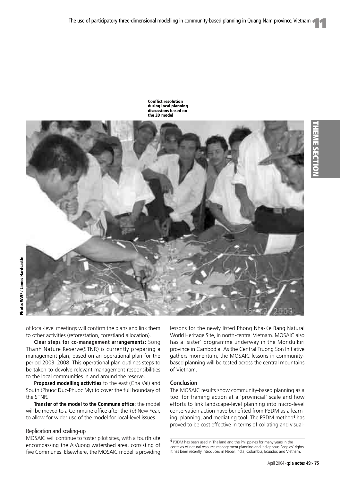

of local-level meetings will confirm the plans and link them to other activities (reforestation, forestland allocation).

**Clear steps for co-management arrangements:** Song Thanh Nature Reserve(STNR) is currently preparing a management plan, based on an operational plan for the period 2003–2008. This operational plan outlines steps to be taken to devolve relevant management responsibilities to the local communities in and around the reserve.

**Proposed modelling activities** to the east (Cha Val) and South (Phuoc Duc-Phuoc My) to cover the full boundary of the STNR.

**Transfer of the model to the Commune office:** the model will be moved to a Commune office after the *Têt* New Year, to allow for wider use of the model for local-level issues.

#### Replication and scaling-up

MOSAIC will continue to foster pilot sites, with a fourth site encompassing the A'Vuong watershed area, consisting of five Communes. Elsewhere, the MOSAIC model is providing lessons for the newly listed Phong Nha-Ke Bang Natural World Heritage Site, in north-central Vietnam. MOSAIC also has a 'sister' programme underway in the Mondulkiri province in Cambodia. As the Central Truong Son Initiative gathers momentum, the MOSAIC lessons in communitybased planning will be tested across the central mountains of Vietnam.

#### **Conclusion**

The MOSAIC results show community-based planning as a tool for framing action at a 'provincial' scale and how efforts to link landscape-level planning into micro-level conservation action have benefited from P3DM as a learning, planning, and mediating tool. The P3DM method**<sup>6</sup>** has proved to be cost effective in terms of collating and visual**THEME**

**SECTION**

FC 110

**<sup>6</sup>** P3DM has been used in Thailand and the Philippines for many years in the contexts of natural resource management planning and Indigenous Peoples' rights. It has been recently introduced in Nepal, India, Colombia, Ecuador, and Vietnam.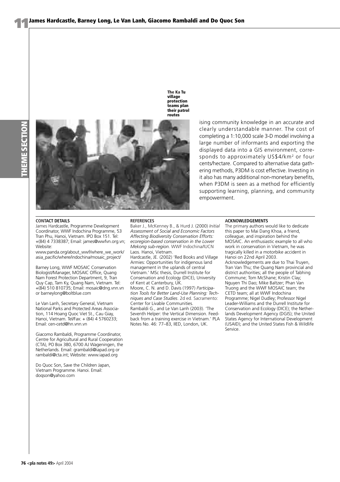

**The Ka Tu village protection teams plan their patrol routes**

ising community knowledge in an accurate and clearly understandable manner. The cost of completing a 1:10,000 scale 3-D model involving a large number of informants and exporting the displayed data into a GIS environment, corresponds to approximately US\$4/km2 or four cents/hectare. Compared to alternative data gathering methods, P3DM is cost effective. Investing in it also has many additional non-monetary benefits, when P3DM is seen as a method for efficiently supporting learning, planning, and community empowerment.

#### **CONTACT DETAILS**

James Hardcastle, Programme Development Coordinator, WWF Indochina Programme, 53 Tran Phu, Hanoi, Vietnam. IPO Box 151. Tel: +(84) 4 7338387; Email: james@wwfvn.org.vn; Website:

www.panda.org/about\_wwf/where\_we\_work/ asia\_pacific/where/indochina/mosaic\_project/

Barney Long, WWF MOSAIC Conservation Biologist/Manager, MOSAIC Office, Quang Nam Forest Protection Department, 9, Tran Quy Cap, Tam Ky, Quang Nam, Vietnam. Tel: +(84) 510 810735; Email: mosaic@dng.vnn.vn or barneylong@boltblue.com

Le Van Lanh, Secretary General, Vietnam National Parks and Protected Areas Association, 114 Hoang Quoc Viet St., Cau Giay, Hanoi, Vietnam. Tel/Fax: + (84) 4 5760233; Email: cen-cetd@hn.vnn.vn

Giacomo Rambaldi, Programme Coordinator, Centre for Agricultural and Rural Cooperation (CTA), PO Box 380, 6700 AJ Wageningen, the Netherlands. Email: grambaldi@iapad.org or rambaldi@cta.int; Website: www.iapad.org

Do Quoc Son, Save the Children Japan, Vietnam Programme. Hanoi. Email: doqson@yahoo.com

#### **REFERENCES**

Baker J., McKenney B., & Hurd J. (2000) *Initial Assessment of Social and Economic Factors Affecting Biodiversity Conservation Efforts: ecoregion-based conservation in the Lower Mekong sub-region.* WWF Indochina/IUCN Laos. Hanoi, Vietnam. Hardcastle, JE. (2002) 'Red Books and Village Armies: Opportunities for indigenous land management in the uplands of central Vietnam.' MSc thesis, Durrell Institute for Conservation and Ecology (DICE), University of Kent at Canterbury, UK. Moore, C. N. and D. Davis (1997) *Participation Tools for Better Land-Use Planning: Techniques and Case Studies*. 2d ed. Sacramento: Center for Livable Communities. Rambaldi G., and Le Van Lanh (2003). 'The Seventh Helper: the Vertical Dimension. Feedback from a training exercise in Vietnam.' PLA Notes No. 46: 77–83, IIED, London, UK.

#### **ACKNOWLEDGEMENTS**

The primary authors would like to dedicate this paper to Mai Dang Khoa, a friend, colleague, and inspiration behind the MOSAIC. An enthusiastic example to all who work in conservation in Vietnam, he was tragically killed in a motorbike accident in Hanoi on 22nd April 2003. Acknowledgements are due to Thai Truyen, Tran Van Thu; the Quang Nam provincial and district authorities; all the people of Tabhing Commune; Tom McShane; Kristin Clay; Nguyen Thi Dao; Mike Baltzer; Phan Van Truong and the WWF MOSAIC team; the CETD team; all at WWF Indochina Programme; Nigel Dudley; Professor Nigel Leader-Williams and the Durrell Institute for Conservation and Ecology (DICE); the Netherlands Development Agency (DGIS); the United States Agency for International Development (USAID); and the United States Fish & Wildlife Service.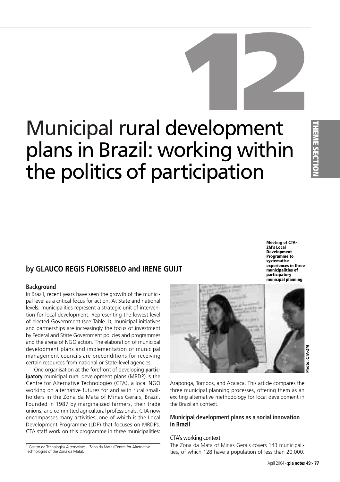# Municipal rural development plans in Brazil: working within the politics of participation **12**<br> **12**<br> **1**<br> **12**<br> **12**<br> **12**<br> **12**<br> **12**<br> **12**<br> **12**

#### **by GLAUCO REGIS FLORISBELO and IRENE GUIJT**

#### **Background**

In Brazil, recent years have seen the growth of the municipal level as a critical focus for action. At State and national levels, municipalities represent a strategic unit of intervention for local development. Representing the lowest level of elected Government (see Table 1), municipal initiatives and partnerships are increasingly the focus of investment by Federal and State Government policies and programmes and the arena of NGO action. The elaboration of municipal development plans and implementation of municipal management councils are preconditions for receiving certain resources from national or State-level agencies.

One organisation at the forefront of developing **participatory** municipal rural development plans (MRDP) is the Centre for Alternative Technologies (CTA), a local NGO working on alternative futures for and with rural smallholders in the Zona da Mata of Minas Gerais, Brazil. Founded in 1987 by marginalized farmers, their trade unions, and committed agricultural professionals, CTA now encompasses many activities, one of which is the Local Development Programme (LDP) that focuses on MRDPs. CTA staff work on this programme in three municipalities:

**<sup>1</sup>** Centro de Tecnologias Alternatives – Zona da Mata (Centre for Alternative Technologies of the Zona da Mata).

**Meeting of CTA-ZM's Local Development Programme to systematise experiences in three municipalities of participatory municipal planning**



three municipal planning processes, offering them as an exciting alternative methodology for local development in the Brazilian context.

#### **Municipal development plans as a social innovation in Brazil**

#### CTA's working context

The Zona da Mata of Minas Gerais covers 143 municipalities, of which 128 have a population of less than 20,000.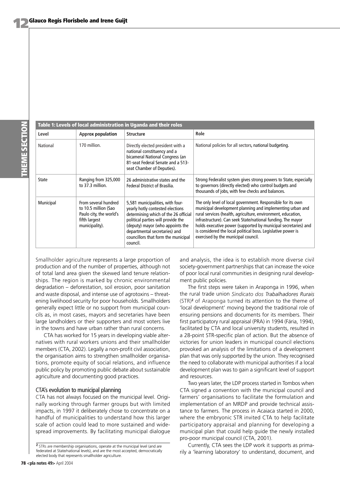EMESECTION **THEME SECTION**

| Table 1: Levels of local administration in Uganda and their roles |                                                                                                            |                                                                                                                                                                                                                                                                            |                                                                                                                                                                                                                                                                                                                                                                                                                                  |  |
|-------------------------------------------------------------------|------------------------------------------------------------------------------------------------------------|----------------------------------------------------------------------------------------------------------------------------------------------------------------------------------------------------------------------------------------------------------------------------|----------------------------------------------------------------------------------------------------------------------------------------------------------------------------------------------------------------------------------------------------------------------------------------------------------------------------------------------------------------------------------------------------------------------------------|--|
| Level                                                             | <b>Approx population</b>                                                                                   | <b>Structure</b>                                                                                                                                                                                                                                                           | Role                                                                                                                                                                                                                                                                                                                                                                                                                             |  |
| National                                                          | 170 million.                                                                                               | Directly elected president with a<br>national constituency and a<br>bicameral National Congress (an<br>81-seat Federal Senate and a 513-<br>seat Chamber of Deputies).                                                                                                     | National policies for all sectors, national budgeting.                                                                                                                                                                                                                                                                                                                                                                           |  |
| <b>State</b>                                                      | Ranging from 325,000<br>to 37.3 million.                                                                   | 26 administrative states and the<br>Federal District of Brasília.                                                                                                                                                                                                          | Strong Federalist system gives strong powers to State, especially<br>to governors (directly elected) who control budgets and<br>thousands of jobs, with few checks and balances.                                                                                                                                                                                                                                                 |  |
| Municipal                                                         | From several hundred<br>to 10.5 million (Sao<br>Paulo city, the world's<br>fifth largest<br>municipality). | 5,581 municipalities, with four-<br>yearly hotly contested elections<br>determining which of the 26 official<br>political parties will provide the<br>(deputy) mayor (who appoints the<br>departmental secretaries) and<br>councillors that form the municipal<br>council. | The only level of local government. Responsible for its own<br>municipal development planning and implementing urban and<br>rural services (health, agriculture, environment, education,<br>infrastructure). Can seek State/national funding. The mayor<br>holds executive power (supported by municipal secretaries) and<br>is considered the local political boss. Legislative power is<br>exercised by the municipal council. |  |

Smallholder agriculture represents a large proportion of production and of the number of properties, although not of total land area given the skewed land tenure relationships. The region is marked by chronic environmental degradation – deforestation, soil erosion, poor sanitation and waste disposal, and intense use of agrotoxins – threatening livelihood security for poor households. Smallholders generally expect little or no support from municipal councils as, in most cases, mayors and secretaries have been large landholders or their supporters and most voters live in the towns and have urban rather than rural concerns.

CTA has worked for 15 years in developing viable alternatives with rural workers unions and their smallholder members (CTA, 2002). Legally a non-profit civil association, the organisation aims to strengthen smallholder organisations, promote equity of social relations, and influence public policy by promoting public debate about sustainable agriculture and documenting good practices.

#### CTA's evolution to municipal planning

CTA has not always focused on the municipal level. Originally working through farmer groups but with limited impacts, in 1997 it deliberately chose to concentrate on a handful of municipalities to understand how this larger scale of action could lead to more sustained and widespread improvements. By facilitating municipal dialogue and analysis, the idea is to establish more diverse civil society-government partnerships that can increase the voice of poor local rural communities in designing rural development public policies.

The first steps were taken in Araponga in 1996, when the rural trade union *Sindicato dos Trabalhadores Rurais* (STR)**<sup>2</sup>** of Araponga turned its attention to the theme of 'local development' moving beyond the traditional role of ensuring pensions and documents for its members. Their first participatory rural appraisal (PRA) in 1994 (Fária, 1994), facilitated by CTA and local university students, resulted in a 28-point STR-specific plan of action. But the absence of victories for union leaders in municipal council elections provoked an analysis of the limitations of a development plan that was only supported by the union. They recognised the need to collaborate with municipal authorities if a local development plan was to gain a significant level of support and resources.

Two years later, the LDP process started in Tombos when CTA signed a convention with the municipal council and farmers' organisations to facilitate the formulation and implementation of an MRDP and provide technical assistance to farmers. The process in Acaiaca started in 2000, where the embryonic STR invited CTA to help facilitate participatory appraisal and planning for developing a municipal plan that could help guide the newly installed pro-poor municipal council (CTA, 2001).

Currently, CTA sees the LDP work it supports as primarily a 'learning laboratory' to understand, document, and

**<sup>2</sup>** STRs are membership organisations, operate at the municipal level (and are federated at State/national levels), and are the most accepted, democratically elected body that represents smallholder agriculture.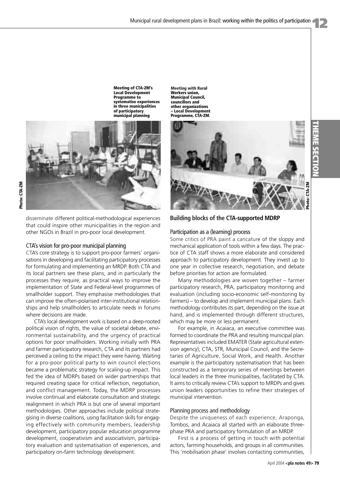**Meeting of CTA-ZM's Local Development Programme to systematise experiences in three municipalities of participatory municipal planning**



disseminate different political-methodological experiences that could inspire other municipalities in the region and

Photo: CTA-ZM **Photo: CTA-ZM**

#### CTA's vision for pro-poor municipal planning

other NGOs in Brazil in pro-poor local development.

CTA's core strategy is to support pro-poor farmers' organisations in developing and facilitating participatory processes for formulating and implementing an MRDP. Both CTA and its local partners see these plans, and in particularly the processes they require, as practical ways to improve the implementation of State and Federal-level programmes of smallholder support. They emphasise methodologies that can improve the often-polarised inter-institutional relationships and help smallholders to articulate needs in forums where decisions are made.

CTA's local development work is based on a deep-rooted political vision of rights, the value of societal debate, environmental sustainability, and the urgency of practical options for poor smallholders. Working initially with PRA and farmer participatory research, CTA and its partners had perceived a ceiling to the impact they were having. Waiting for a pro-poor political party to win council elections became a problematic strategy for scaling-up impact. This fed the idea of MDRPs based on wider partnerships that required creating space for critical reflection, negotiation, and conflict management. Today, the MDRP processes involve continual and elaborate consultation and strategic realignment in which PRA is but one of several important methodologies. Other approaches include political strategising in diverse coalitions, using facilitation skills for engaging effectively with community members, leadership development, participatory popular education programme development, cooperativism and associativism, participatory evaluation and systematisation of experiences, and participatory on-farm technology development.

**Meeting with Rural Workers union, Municipal Council, councillors and other organizations – Local Development Programme, CTA-ZM.**



**Building blocks of the CTA-supported MDRP** 

#### Participation as a (learning) process

Some critics of PRA paint a caricature of the sloppy and mechanical application of tools within a few days. The practice of CTA staff shows a more elaborate and considered approach to participatory development. They invest up to one year in collective research, negotiation, and debate before priorities for action are formulated.

Many methodologies are woven together – farmer participatory research, PRA, participatory monitoring and evaluation (including socio-economic self-monitoring by farmers) – to develop and implement municipal plans. Each methodology contributes its part, depending on the issue at hand, and is implemented through different structures, which may be more or less permanent.

For example, in Acaiaca, an executive committee was formed to coordinate the PRA and resulting municipal plan. Representatives included EMATER (State agricultural extension agency), CTA, STR, Municipal Council, and the Secretaries of Agriculture, Social Work, and Health. Another example is the participatory systematisation that has been constructed as a temporary series of meetings between local leaders in the three municipalities, facilitated by CTA. It aims to critically review CTA's support to MRDPs and gives union leaders opportunities to refine their strategies of municipal intervention.

#### Planning process and methodology

Despite the uniqueness of each experience, Araponga, Tombos, and Acaiaca all started with an elaborate threephase PRA and participatory formulation of an MRDP.

First is a process of getting in touch with potential actors, farming households, and groups in all communities. This 'mobilisation phase' involves contacting communities,

**THEME SECTION**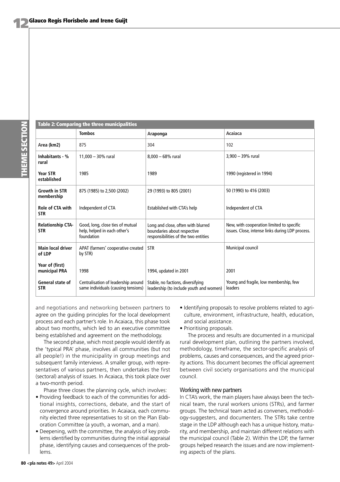

**HEME SECTION THEME SECTION**

| Table 2: Comparing the three municipalities |                                                                                |                                                                                                           |                                                                                               |  |
|---------------------------------------------|--------------------------------------------------------------------------------|-----------------------------------------------------------------------------------------------------------|-----------------------------------------------------------------------------------------------|--|
|                                             | <b>Tombos</b>                                                                  | Araponga                                                                                                  | Acaiaca                                                                                       |  |
| Area (km2)                                  | 875                                                                            | 304                                                                                                       | 102                                                                                           |  |
| Inhabitants - %<br>rural                    | 11,000 - 30% rural                                                             | $8.000 - 68\%$ rural                                                                                      | 3,900 - 39% rural                                                                             |  |
| Year STR<br>established                     | 1985                                                                           | 1989                                                                                                      | 1990 (registered in 1994)                                                                     |  |
| <b>Growth in STR</b><br>membership          | 875 (1985) to 2,500 (2002)                                                     | 29 (1993) to 805 (2001)                                                                                   | 50 (1990) to 416 (2003)                                                                       |  |
| <b>Role of CTA with</b><br><b>STR</b>       | Independent of CTA                                                             | Established with CTA's help                                                                               | Independent of CTA                                                                            |  |
| <b>Relationship CTA-</b><br><b>STR</b>      | Good, long, close ties of mutual<br>help, helped in each other's<br>foundation | Long and close, often with blurred<br>boundaries about respective<br>responsibilities of the two entities | New, with cooperation limited to specific<br>issues. Close, intense links during LDP process. |  |
| <b>Main local driver</b><br>of LDP          | APAT (farmers' cooperative created<br>by STR)                                  | <b>STR</b>                                                                                                | Municipal council                                                                             |  |
| Year of (first)<br>municipal PRA            | 1998                                                                           | 1994, updated in 2001                                                                                     | 2001                                                                                          |  |
| General state of<br><b>STR</b>              | Centralisation of leadership around<br>same individuals (causing tensions)     | Stable, no factions, diversifying<br>leadership (to include youth and women)                              | Young and fragile, low membership, few<br>leaders                                             |  |

and negotiations and networking between partners to agree on the guiding principles for the local development process and each partner's role. In Acaiaca, this phase took about two months, which led to an executive committee being established and agreement on the methodology.

The second phase, which most people would identify as the 'typical PRA' phase, involves all communities (but not all people!) in the municipality in group meetings and subsequent family interviews. A smaller group, with representatives of various partners, then undertakes the first (sectoral) analysis of issues. In Acaiaca, this took place over a two-month period.

Phase three closes the planning cycle, which involves:

- Providing feedback to each of the communities for additional insights, corrections, debate, and the start of convergence around priorities. In Acaiaca, each community elected three representatives to sit on the Plan Elaboration Committee (a youth, a woman, and a man).
- Deepening, with the committee, the analysis of key problems identified by communities during the initial appraisal phase, identifying causes and consequences of the problems.
- Identifying proposals to resolve problems related to agriculture, environment, infrastructure, health, education, and social assistance.
- Prioritising proposals.

The process and results are documented in a municipal rural development plan, outlining the partners involved, methodology, timeframe, the sector-specific analysis of problems, causes and consequences, and the agreed priority actions. This document becomes the official agreement between civil society organisations and the municipal council.

#### Working with new partners

In CTA's work, the main players have always been the technical team, the rural workers unions (STRs), and farmer groups. The technical team acted as conveners, methodology-suggesters, and documenters. The STRs take centre stage in the LDP although each has a unique history, maturity, and membership, and maintain different relations with the municipal council (Table 2). Within the LDP, the farmer groups helped research the issues and are now implementing aspects of the plans.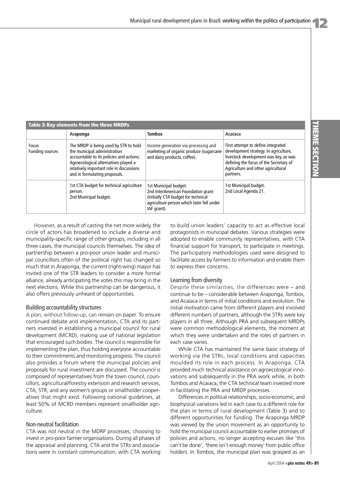| Table 3: Key elements from the three MRDPs |                                                                                                                                                                                                                                        |                                                                                                                                                                |                                                                                                                                                                                                                   |  |
|--------------------------------------------|----------------------------------------------------------------------------------------------------------------------------------------------------------------------------------------------------------------------------------------|----------------------------------------------------------------------------------------------------------------------------------------------------------------|-------------------------------------------------------------------------------------------------------------------------------------------------------------------------------------------------------------------|--|
|                                            | Araponga                                                                                                                                                                                                                               | <b>Tombos</b>                                                                                                                                                  | Acaiaca                                                                                                                                                                                                           |  |
| Focus<br><b>Funding sources</b>            | The MRDP is being used by STR to hold<br>the municipal administration<br>accountable to its policies and actions.<br>Agroecological alternatives played a<br>relatively important role in discussions<br>and in formulating proposals. | Income generation via processing and<br>marketing of organic produce (sugarcane<br>and dairy products, coffee).                                                | First attempt to define integrated<br>development strategy. In agriculture,<br>livestock development was key, as was<br>defining the focus of the Secretary of<br>Agriculture and other agricultural<br>partners. |  |
|                                            | 1st CTA budget for technical agriculture<br>person.<br>2nd Municipal budget.                                                                                                                                                           | 1st Municipal budget.<br>2nd InterAmerican Foundation grant<br>(initially CTA budget for technical<br>agriculture person which later fell under<br>IAF grant). | 1st Municipal budget.<br>2nd Local Agenda 21.                                                                                                                                                                     |  |

However, as a result of casting the net more widely, the circle of actors has broadened to include a diverse and municipality-specific range of other groups, including in all three cases, the municipal councils themselves. The idea of partnership between a pro-poor union leader and municipal councillors often of the political right has changed so much that in Araponga, the current (right-wing) mayor has invited one of the STR leaders to consider a more formal alliance, already anticipating the votes this may bring in the next elections. While this partnership can be dangerous, it also offers previously unheard of opportunities.

#### Building accountability structures

A plan, without follow-up, can remain on paper. To ensure continued debate and implementation, CTA and its partners invested in establishing a municipal council for rural development (MCRD), making use of national legislation that encouraged such bodies. The council is responsible for implementing the plan, thus holding everyone accountable to their commitments and monitoring progress. The council also provides a forum where the municipal policies and proposals for rural investment are discussed. The council is composed of representatives from the town council, councillors, agricultural/forestry extension and research services, CTA, STR, and any women's groups or smallholder cooperatives that might exist. Following national guidelines, at least 50% of MCRD members represent smallholder agriculture.

#### Non-neutral facilitation

CTA was not neutral in the MDRP processes, choosing to invest in pro-poor farmer organisations. During all phases of the appraisal and planning, CTA and the STRs and associations were in constant communication, with CTA working to build union leaders' capacity to act as effective local protagonists in municipal debates. Various strategies were adopted to enable community representatives, with CTA financial support for transport, to participate in meetings. The participatory methodologies used were designed to facilitate access by farmers to information and enable them to express their concerns.

#### Learning from diversity

Despite these similarities, the differences were – and continue to be – considerable between Araponga, Tombos, and Acaiaca in terms of initial conditions and evolution. The initial motivation came from different players and involved different numbers of partners, although the STRs were key players in all three. Although PRA and subsequent MRDPs were common methodological elements, the moment at which they were undertaken and the roles of partners in each case varies.

While CTA has maintained the same basic strategy of working via the STRs, local conditions and capacities moulded its role in each process. In Araponga, CTA provided much technical assistance on agroecological innovations and subsequently in the PRA work while, in both Tombos and Acaiaca, the CTA technical team invested more in facilitating the PRA and MRDP processes.

Differences in political relationships, socio-economic, and biophysical variations led in each case to a different role for the plan in terms of rural development (Table 3) and to different opportunities for funding. The Araponga MRDP was viewed by the union movement as an opportunity to hold the municipal council accountable to earlier promises of policies and actions, no longer accepting excuses like 'this can't be done', 'there isn't enough money' from public office holders. In Tombos, the municipal plan was grasped as an

**THEME SECTION**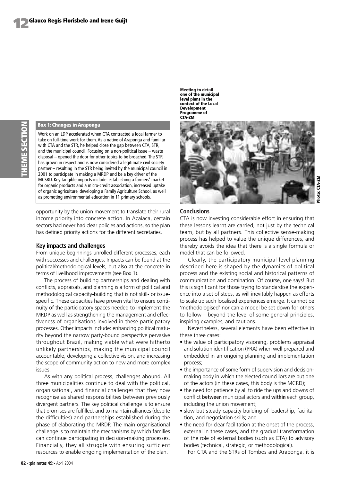#### **Box 1: Changes in Araponga**

Work on an LDP accelerated when CTA contracted a local farmer to take on full-time work for them. As a native of Araponga and familiar with CTA and the STR, he helped close the gap between CTA, STR, and the municipal council. Focusing on a non-political issue – waste disposal – opened the door for other topics to be broached. The STR has grown in respect and is now considered a legitimate civil society partner – resulting in the STR being invited by the municipal council in 2001 to participate in making a MRDP and be a key driver of the MCSRD. Key tangible impacts include: establishing a farmers' market for organic products and a micro-credit association, increased uptake of organic agriculture, developing a Family Agriculture School, as well as promoting environmental education in 11 primary schools.

opportunity by the union movement to translate their rural income priority into concrete action. In Acaiaca, certain sectors had never had clear policies and actions, so the plan has defined priority actions for the different secretaries.

#### **Key impacts and challenges**

From unique beginnings unrolled different processes, each with successes and challenges. Impacts can be found at the political/methodological levels, but also at the concrete in terms of livelihood improvements (see Box 1).

The process of building partnerships and dealing with conflicts, appraisals, and planning is a form of political and methodological capacity-building that is not skill- or issuespecific. These capacities have proven vital to ensure continuity of the participatory spaces needed to implement the MRDP as well as strengthening the management and effectiveness of organisations involved in these participatory processes. Other impacts include: enhancing political maturity beyond the narrow party-bound perspective pervasive throughout Brazil, making viable what were hitherto unlikely partnerships, making the municipal council accountable, developing a collective vision, and increasing the scope of community action to new and more complex issues.

As with any political process, challenges abound. All three municipalities continue to deal with the political, organisational, and financial challenges that they now recognise as shared responsibilities between previously divergent partners. The key political challenge is to ensure that promises are fulfilled, and to maintain alliances (despite the difficulties) and partnerships established during the phase of elaborating the MRDP. The main organisational challenge is to maintain the mechanisms by which families can continue participating in decision-making processes. Financially, they all struggle with ensuring sufficient resources to enable ongoing implementation of the plan.

**Meeting to detail one of the municipal level plans in the context of the Local Development Programme of CTA-ZM**



#### **Conclusions**

CTA is now investing considerable effort in ensuring that these lessons learnt are carried, not just by the technical team, but by all partners. This collective sense-making process has helped to value the unique differences, and thereby avoids the idea that there is a single formula or model that can be followed.

Clearly, the participatory municipal-level planning described here is shaped by the dynamics of political process and the existing social and historical patterns of communication and domination. Of course, one says! But this is significant for those trying to standardise the experience into a set of steps, as will inevitably happen as efforts to scale up such localised experiences emerge. It cannot be 'methodologised' nor can a model be set down for others to follow – beyond the level of some general principles, inspiring examples, and cautions.

Nevertheless, several elements have been effective in these three cases:

- the value of participatory visioning, problems appraisal and solution identification (PRA) when well prepared and embedded in an ongoing planning and implementation process;
- the importance of some form of supervision and decisionmaking body in which the elected councillors are but one of the actors (in these cases, this body is the MCRD);
- the need for patience by all to ride the ups and downs of conflict **between** municipal actors and **within** each group, including the union movement;
- slow but steady capacity-building of leadership, facilitation, and negotiation skills; and
- the need for clear facilitation at the onset of the process, external in these cases, and the gradual transformation of the role of external bodies (such as CTA) to advisory bodies (technical, strategic, or methodological).

For CTA and the STRs of Tombos and Araponga, it is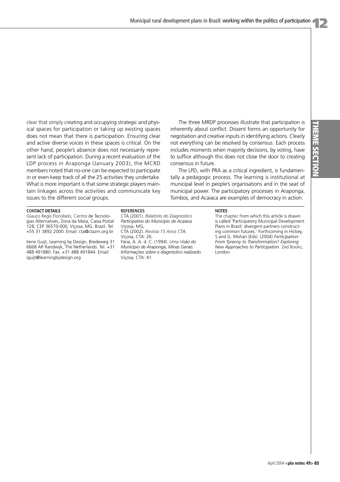clear that simply creating and occupying strategic and physical spaces for participation or taking up existing spaces does not mean that there is participation. Ensuring clear and active diverse voices in these spaces is critical. On the other hand, people's absence does not necessarily represent lack of participation. During a recent evaluation of the LDP process in Araponga (January 2003), the MCRD members noted that no-one can be expected to participate in or even keep track of all the 25 activities they undertake. What is more important is that some strategic players maintain linkages across the activities and communicate key issues to the different social groups.

The three MRDP processes illustrate that participation is inherently about conflict. Dissent forms an opportunity for negotiation and creative inputs in identifying actions. Clearly not everything can be resolved by consensus. Each process includes moments when majority decisions, by voting, have to suffice although this does not close the door to creating consensus in future.

The LPD, with PRA as a critical ingredient, is fundamentally a pedagogic process. The learning is institutional at municipal level in people's organisations and in the seat of municipal power. The participatory processes in Araponga, Tombos, and Acaiaca are examples of democracy in action.

**NOTES**

#### **CONTACT DETAILS**

Glauco Regis Florisbelo, Centro de Tecnologias Alternatives, Zona da Mata, Caixa Postal 128, CEP 36570-000, Viçosa, MG, Brazil. Tel: +55 31 3892 2000. Email: cta@ctazm.org.br

Irene Guijt, Learning by Design, Bredeweg 31 6668 AR Randwijk, The Netherlands. Tel. +31 488 491880. Fax. +31 488 491844. Email: iguijt@learningbydesign.org

#### **REFERENCES**

CTA (2001). *Relatório do Diagnóstico Participativo do Município de Acaiaca.* Viçosa, MG, CTA (2002). *Revista 15 Anos CTA*. Viçosa, CTA: 26. Fária, A. A. d. C. (1994). *Uma Visão do Município de Araponga, Minas Gerais. Informações sobre o diagnóstico realizado*. Viçosa, CTA: 41.

The chapter from which this article is drawn is called 'Participatory Municipal Development Plans in Brazil: divergent partners constructing common futures.' Forthcoming in Hickey, S and G. Mohan (Eds). (2004) *Participation: From Tyranny to Transformation? Exploring New Approaches to Participation*. Zed Books, London.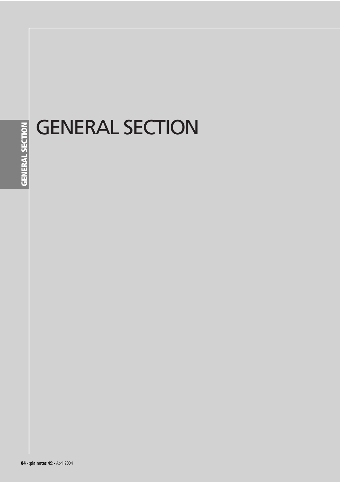### GENERAL SECTION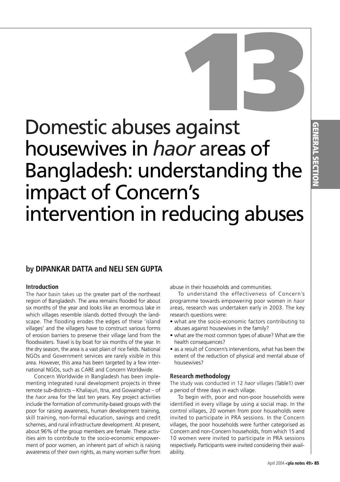## Domestic abuses against housewives in *haor* areas of Bangladesh: understanding the impact of Concern's intervention in reducing abuses **13**

#### **by DIPANKAR DATTA and NELI SEN GUPTA**

#### **Introduction**

The *haor* basin takes up the greater part of the northeast region of Bangladesh. The area remains flooded for about six months of the year and looks like an enormous lake in which villages resemble islands dotted through the landscape. The flooding erodes the edges of these 'island villages' and the villagers have to construct various forms of erosion barriers to preserve their village land from the floodwaters. Travel is by boat for six months of the year. In the dry season, the area is a vast plain of rice fields. National NGOs and Government services are rarely visible in this area. However, this area has been targeted by a few international NGOs, such as CARE and Concern Worldwide.

Concern Worldwide in Bangladesh has been implementing integrated rural development projects in three remote sub-districts – Khaliajuri, Itna, and Gowainghat – of the *haor* area for the last ten years. Key project activities include the formation of community-based groups with the poor for raising awareness, human development training, skill training, non-formal education, savings and credit schemes, and rural infrastructure development. At present, about 96% of the group members are female. These activities aim to contribute to the socio-economic empowerment of poor women, an inherent part of which is raising awareness of their own rights, as many women suffer from

abuse in their households and communities.

To understand the effectiveness of Concern's programme towards empowering poor women in *haor* areas, research was undertaken early in 2003. The key research questions were:

- what are the socio-economic factors contributing to abuses against housewives in the family?
- what are the most common types of abuse? What are the health consequences?
- as a result of Concern's interventions, what has been the extent of the reduction of physical and mental abuse of housewives?

#### **Research methodology**

The study was conducted in 12 *haor* villages (Table1) over a period of three days in each village.

To begin with, poor and non-poor households were identified in every village by using a social map. In the control villages, 20 women from poor households were invited to participate in PRA sessions. In the Concern villages, the poor households were further categorised as Concern and non-Concern households, from which 15 and 10 women were invited to participate in PRA sessions respectively. Participants were invited considering their availability.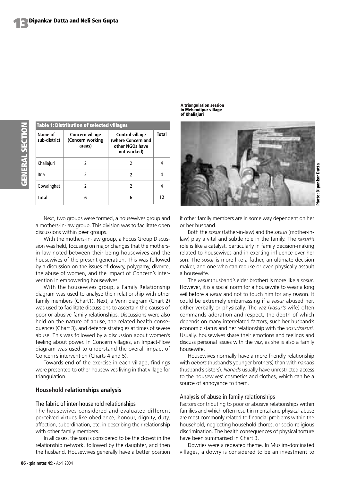#### **Table 1: Distribution of selected villages Name of sub-district** Khaliajuri Itna Gowainghat **Total Concern village (Concern working areas)**  $\overline{2}$ 2 2 **6 Control village (where Concern and other NGOs have not worked)**  $\overline{2}$ 2 2 **6 Total**   $\Lambda$ 4 4 **12**

Next, two groups were formed, a housewives group and a mothers-in-law group. This division was to facilitate open discussions within peer groups.

With the mothers-in-law group, a Focus Group Discussion was held, focusing on major changes that the mothersin-law noted between their being housewives and the housewives of the present generation. This was followed by a discussion on the issues of dowry, polygamy, divorce, the abuse of women, and the impact of Concern's intervention in empowering housewives.

With the housewives group, a Family Relationship diagram was used to analyse their relationship with other family members (Chart1). Next, a Venn diagram (Chart 2) was used to facilitate discussions to ascertain the causes of poor or abusive family relationships. Discussions were also held on the nature of abuse, the related health consequences (Chart 3), and defence strategies at times of severe abuse. This was followed by a discussion about women's feeling about power. In Concern villages, an Impact-Flow diagram was used to understand the overall impact of Concern's intervention (Charts 4 and 5).

Towards end of the exercise in each village, findings were presented to other housewives living in that village for triangulation.

#### **Household relationships analysis**

#### The fabric of inter-household relationships

The housewives considered and evaluated different perceived virtues like obedience, honour, dignity, duty, affection, subordination, etc. in describing their relationship with other family members.

In all cases, the son is considered to be the closest in the relationship network, followed by the daughter, and then the husband. Housewives generally have a better position

**A triangulation session in Mehendipur village of Khaliajuri**



if other family members are in some way dependent on her or her husband.

Both the *sosur* (father-in-law) and the *sasuri* (mother-inlaw) play a vital and subtle role in the family. The *sasuri's* role is like a catalyst, particularly in family decision-making related to housewives and in exerting influence over her son. The *sosur* is more like a father, an ultimate decision maker, and one who can rebuke or even physically assault a housewife.

The *vasur* (husband's elder brother) is more like a *sosur*. However, it is a social norm for a housewife to wear a long veil before a *vasur* and not to touch him for any reason. It could be extremely embarrassing if a *vasur* abused her, either verbally or physically. The *vaz* (*vasur's* wife) often commands adoration and respect, the depth of which depends on many interrelated factors, such her husband's economic status and her relationship with the *sosur/sasuri.* Usually, housewives share their emotions and feelings and discuss personal issues with the *vaz*, as she is also a family housewife.

Housewives normally have a more friendly relationship with *debors* (husband's younger brothers) than with *nanads* (husband's sisters). *Nanads* usually have unrestricted access to the housewives' cosmetics and clothes, which can be a source of annoyance to them.

#### Analysis of abuse in family relationships

Factors contributing to poor or abusive relationships within families and which often result in mental and physical abuse are most commonly related to financial problems within the household, neglecting household chores, or socio-religious discrimination. The health consequences of physical torture have been summarised in Chart 3.

Dowries were a repeated theme. In Muslim-dominated villages, a dowry is considered to be an investment to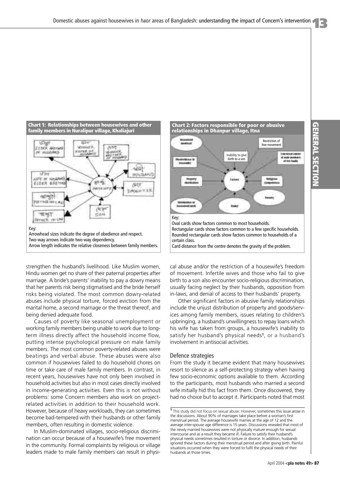**GENERAL**

**GENERAL SECTION** 

**SECTION**



strengthen the husband's livelihood. Like Muslim women, Hindu women get no share of their paternal properties after marriage. A bride's parents' inability to pay a dowry means that her parents risk being stigmatised and the bride herself risks being violated. The most common dowry-related abuses include physical torture, forced eviction from the marital home, a second marriage or the threat thereof, and being denied adequate food.

Causes of poverty like seasonal unemployment or working family members being unable to work due to longterm illness directly affect the household income flow, putting intense psychological pressure on male family members. The most common poverty-related abuses were beatings and verbal abuse. These abuses were also common if housewives failed to do household chores on time or take care of male family members. In contrast, in recent years, housewives have not only been involved in household activities but also in most cases directly involved in income-generating activities. Even this is not without problems: some Concern members also work on projectrelated activities in addition to their household work. However, because of heavy workloads, they can sometimes become bad-tempered with their husbands or other family members, often resulting in domestic violence.

In Muslim-dominated villages, socio-religious discrimination can occur because of a housewife's free movement in the community. Formal complaints by religious or village leaders made to male family members can result in physi-



cal abuse and/or the restriction of a housewife's freedom of movement. Infertile wives and those who fail to give birth to a son also encounter socio-religious discrimination, usually facing neglect by their husbands, opposition from in-laws, and denial of access to their husbands' property.

Other significant factors in abusive family relationships include the unjust distribution of property and goods/services among family members, issues relating to children's upbringing, a husband's unwillingness to repay loans which his wife has taken from groups, a housewife's inability to satisfy her husband's physical needs**1**, or a husband's involvement in antisocial activities.

#### Defence strategies

From the study it became evident that many housewives resort to silence as a self-protecting strategy when having few socio-economic options available to them. According to the participants, most husbands who married a second wife initially hid this fact from them. Once discovered, they had no choice but to accept it. Participants noted that most

**<sup>1</sup>** This study did not focus on sexual abuse. However, sometimes this issue arose in the discussions. About 90% of marriages take place before a woman's first menstrual period. The average housewife marries at the age of 12 and the average inter-spouse age difference is 15 years. Discussions revealed that most of the newly married housewives were not physically mature enough for sexual intercourse and as a result they became ill. Failure to satisfy their husband's physical needs sometimes resulted in torture or divorce. In addition, husbands ignored these factors during their menstrual period and after giving birth. Painful situations occurred when they were forced to fulfil the physical needs of their husbands at those times.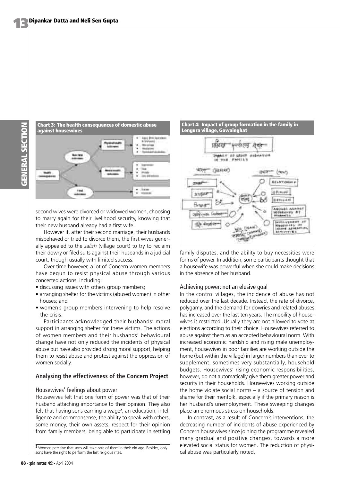ENERAL SECTION **GENERAL SECTION** ᡖ





second wives were divorced or widowed women, choosing to marry again for their livelihood security, knowing that their new husband already had a first wife.

However if, after their second marriage, their husbands misbehaved or tried to divorce them, the first wives generally appealed to the *salish* (village court) to try to reclaim their dowry or filed suits against their husbands in a judicial court, though usually with limited success.

Over time however, a lot of Concern women members have begun to resist physical abuse through various concerted actions, including:

- discussing issues with others group members;
- arranging shelter for the victims (abused women) in other houses; and
- women's group members intervening to help resolve the crisis.

Participants acknowledged their husbands' moral support in arranging shelter for these victims. The actions of women members and their husbands' behavioural change have not only reduced the incidents of physical abuse but have also provided strong moral support, helping them to resist abuse and protest against the oppression of women socially.

#### **Analysing the effectiveness of the Concern Project**

#### Housewives' feelings about power

Housewives felt that one form of power was that of their husband attaching importance to their opinion. They also felt that having sons earning a wage**2**, an education, intelligence and commonsense, the ability to speak with others, some money, their own assets, respect for their opinion from family members, being able to participate in settling **Chart 4: Impact of group formation in the family in Lengura village, Gowainghat**



family disputes, and the ability to buy necessities were forms of power. In addition, some participants thought that a housewife was powerful when she could make decisions in the absence of her husband.

#### Achieving power: not an elusive goal

In the control villages, the incidence of abuse has not reduced over the last decade. Instead, the rate of divorce, polygamy, and the demand for dowries and related abuses has increased over the last ten years. The mobility of housewives is restricted. Usually they are not allowed to vote at elections according to their choice. Housewives referred to abuse against them as an accepted behavioural norm. With increased economic hardship and rising male unemployment, housewives in poor families are working outside the home (but within the village) in larger numbers than ever to supplement, sometimes very substantially, household budgets. Housewives' rising economic responsibilities, however, do not automatically give them greater power and security in their households. Housewives working outside the home violate social norms – a source of tension and shame for their menfolk, especially if the primary reason is her husband's unemployment. These sweeping changes place an enormous stress on households.

In contrast, as a result of Concern's interventions, the decreasing number of incidents of abuse experienced by Concern housewives since joining the programme revealed many gradual and positive changes, towards a more elevated social status for women. The reduction of physical abuse was particularly noted.

**<sup>2</sup>** Women perceive that sons will take care of them in their old age. Besides, only sons have the right to perform the last religious rites.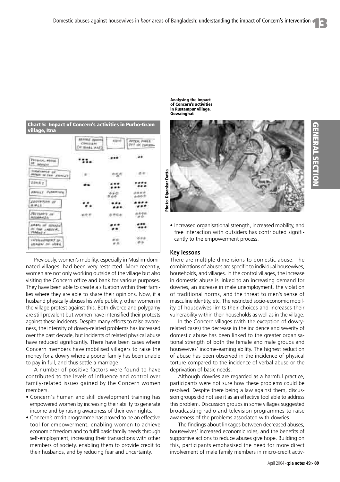|                                                          | 120105              |     | <b>JUTER FWILE</b>                             |
|----------------------------------------------------------|---------------------|-----|------------------------------------------------|
| Primos, minut.<br><b>IMMER</b>                           | ×                   |     | - 14                                           |
| <b><i>MARGARY STARTING AT</i></b><br>38<br><b>NIMOLA</b> | X<br>$\mathbb{R}^n$ | ege | Ħ<br>٠                                         |
| DONA T                                                   | 19.99.00            |     |                                                |
|                                                          |                     |     |                                                |
| <b>LOUISE SINA</b><br>di uli 2 m                         | v<br>۰.             | w   |                                                |
| <b>BETAAMT</b><br><b>JEE</b><br><b>MISSANIA</b>          | $0.6 - 0.0$         | ÷.  |                                                |
| <b>JJN 88</b><br><b>ARRAIGH</b><br>48316<br>ha a         |                     |     | $\mathcal{C} \subset \mathcal{C}(\mathcal{C})$ |
| r Al Viquest William P<br><b>JURNALIN MI SURVEY</b>      |                     |     |                                                |

**Chart 5: Impact of Concern's activities in Purbo-Gram village, Itna**

Previously, women's mobility, especially in Muslim-dominated villages, had been very restricted. More recently, women are not only working outside of the village but also visiting the Concern office and bank for various purposes. They have been able to create a situation within their families where they are able to share their opinions. Now, if a husband physically abuses his wife publicly, other women in the village protest against this. Both divorce and polygamy are still prevalent but women have intensified their protests against these incidents. Despite many efforts to raise awareness, the intensity of dowry-related problems has increased over the past decade, but incidents of related physical abuse have reduced significantly. There have been cases where Concern members have mobilised villagers to raise the money for a dowry where a poorer family has been unable to pay in full, and thus settle a marriage.

A number of positive factors were found to have contributed to the levels of influence and control over family-related issues gained by the Concern women members.

- Concern's human and skill development training has empowered women by increasing their ability to generate income and by raising awareness of their own rights.
- Concern's credit programme has proved to be an effective tool for empowerment, enabling women to achieve economic freedom and to fulfil basic family needs through self-employment, increasing their transactions with other members of society, enabling them to provide credit to their husbands, and by reducing fear and uncertainty.

**Analysing the impact of Concern's activities in Rustampur village, Gowainghat**



• Increased organisational strength, increased mobility, and free interaction with outsiders has contributed significantly to the empowerment process.

#### **Key lessons**

There are multiple dimensions to domestic abuse. The combinations of abuses are specific to individual housewives, households, and villages. In the control villages, the increase in domestic abuse is linked to an increasing demand for dowries, an increase in male unemployment, the violation of traditional norms, and the threat to men's sense of masculine identity, etc. The restricted socio-economic mobility of housewives limits their choices and increases their vulnerability within their households as well as in the village.

In the Concern villages (with the exception of dowryrelated cases) the decrease in the incidence and severity of domestic abuse has been linked to the greater organisational strength of both the female and male groups and housewives' income-earning ability. The highest reduction of abuse has been observed in the incidence of physical torture compared to the incidence of verbal abuse or the deprivation of basic needs.

Although dowries are regarded as a harmful practice, participants were not sure how these problems could be resolved. Despite there being a law against them, discussion groups did not see it as an effective tool able to address this problem. Discussion groups in some villages suggested broadcasting radio and television programmes to raise awareness of the problems associated with dowries.

The findings about linkages between decreased abuses, housewives' increased economic roles, and the benefits of supportive actions to reduce abuses give hope. Building on this, participants emphasised the need for more direct involvement of male family members in micro-credit activ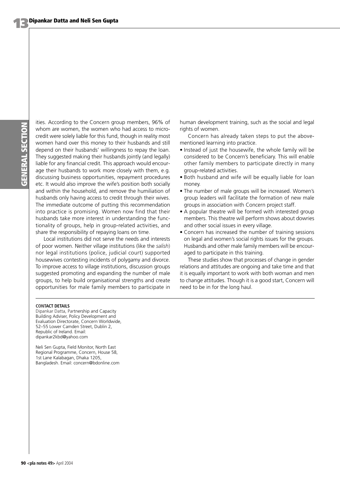ities. According to the Concern group members, 96% of whom are women, the women who had access to microcredit were solely liable for this fund, though in reality most women hand over this money to their husbands and still depend on their husbands' willingness to repay the loan. They suggested making their husbands jointly (and legally) liable for any financial credit. This approach would encourage their husbands to work more closely with them, e.g. discussing business opportunities, repayment procedures etc. It would also improve the wife's position both socially and within the household, and remove the humiliation of husbands only having access to credit through their wives. The immediate outcome of putting this recommendation into practice is promising. Women now find that their husbands take more interest in understanding the functionality of groups, help in group-related activities, and share the responsibility of repaying loans on time.

Local institutions did not serve the needs and interests of poor women. Neither village institutions (like the *salish*) nor legal institutions (police, judicial court) supported housewives contesting incidents of polygamy and divorce. To improve access to village institutions, discussion groups suggested promoting and expanding the number of male groups, to help build organisational strengths and create opportunities for male family members to participate in

human development training, such as the social and legal rights of women.

Concern has already taken steps to put the abovementioned learning into practice.

- Instead of just the housewife, the whole family will be considered to be Concern's beneficiary. This will enable other family members to participate directly in many group-related activities.
- Both husband and wife will be equally liable for loan money.
- The number of male groups will be increased. Women's group leaders will facilitate the formation of new male groups in association with Concern project staff.
- A popular theatre will be formed with interested group members. This theatre will perform shows about dowries and other social issues in every village.
- Concern has increased the number of training sessions on legal and women's social rights issues for the groups. Husbands and other male family members will be encouraged to participate in this training.

These studies show that processes of change in gender relations and attitudes are ongoing and take time and that it is equally important to work with both woman and men to change attitudes. Though it is a good start, Concern will need to be in for the long haul.

#### **CONTACT DETAILS**

Dipankar Datta, Partnership and Capacity Building Adviser, Policy Development and Evaluation Directorate, Concern Worldwide, 52–55 Lower Camden Street, Dublin 2, Republic of Ireland. Email: dipankar2kbd@yahoo.com

Neli Sen Gupta, Field Monitor, North East Regional Programme, Concern, House 58, 1st Lane Kalabagan, Dhaka 1205, Bangladesh. Email: concern@bdonline.com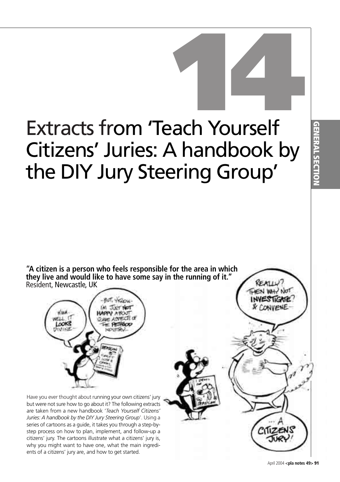# Extracts from 'Teach Yourself Citizens' Juries: A handbook by the DIY Jury Steering Group' ach Yourself

**"A citizen is a person who feels responsible for the area in which they live and would like to have some say in the running of it."** Resident, Newcastle, UK



Have you ever thought about running your own citizens' jury but were not sure how to go about it? The following extracts are taken from a new handbook '*Teach Yourself Citizens' Juries: A handbook by the DIY Jury Steering Group*'. Using a series of cartoons as a guide, it takes you through a step-bystep process on how to plan, implement, and follow-up a citizens' jury. The cartoons illustrate what a citizens' jury is, why you might want to have one, what the main ingredients of a citizens' jury are, and how to get started.

**DON WHAT NOT INVESTIGATE** & CONVENE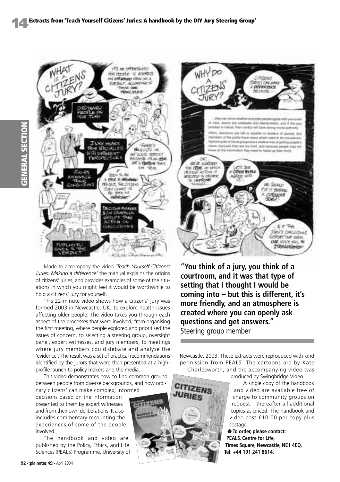

Made to accompany the video '*Teach Yourself Citizens' Juries: Making a difference'* the manual explains the origins of citizens' juries, and provides examples of some of the situations in which you might feel it would be worthwhile to hold a citizens' jury for yourself.

This 22-minute video shows how a citizens' jury was formed 2003 in Newcastle, UK, to explore health issues affecting older people. The video takes you through each aspect of the processes that were involved, from organising the first meeting, where people explored and prioritised the issues of concern, to selecting a steering group, oversight panel, expert witnesses, and jury members, to meetings where jury members could debate and analyse the 'evidence'. The result was a set of practical recommendations identified by the jurors that were then presented at a highprofile launch to policy makers and the media.

This video demonstrates how to find common ground between people from diverse backgrounds, and how ordinary citizens' can make complex, informed

decisions based on the information presented to them by expert witnesses and from their own deliberations. It also includes commentary recounting the experiences of some of the people involved.

The handbook and video are published by the Policy, Ethics, and Life Sciences (PEALS) Programme, University of



**"You think of a jury, you think of a courtroom, and it was that type of setting that I thought I would be coming into – but this is different, it's more friendly, and an atmosphere is created where you can openly ask questions and get answers."** Steering group member

Newcastle, 2003. These extracts were reproduced with kind permission from PEALS. The cartoons are by Kate Charlesworth, and the accompanying video was

produced by Swingbridge Video.

A single copy of the handbook and video are available free of charge to community groups on request – thereafter all additional copies as priced. The handbook and video cost £10.00 per copy plus postage.

● **To order, please contact: PEALS, Centre for Life, Times Square, Newcastle, NE1 4EQ. Tel: +44 191 241 8614.**

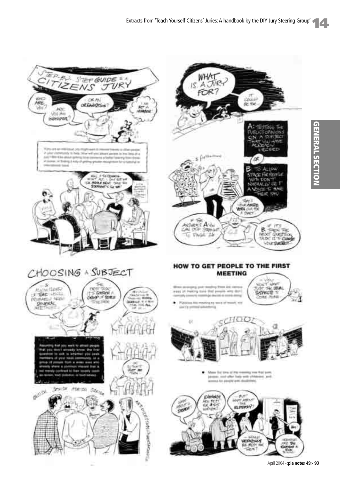

April 2004 **<pla notes 49> 93**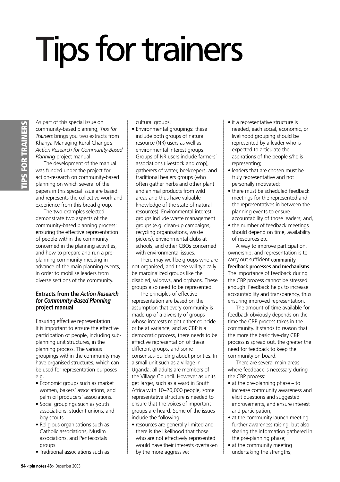## Tips for trainers

As part of this special issue on community-based planning, *Tips for Trainers* brings you two extracts from Khanya-Managing Rural Change's *Action Research for Community-Based Planning* project manual.

The development of the manual was funded under the project for action-research on community-based planning on which several of the papers in this special issue are based and represents the collective work and experience from this broad group.

The two examples selected demonstrate two aspects of the community-based planning process: ensuring the effective representation of people within the community concerned in the planning activities, and how to prepare and run a preplanning community meeting in advance of the main planning events, in order to mobilise leaders from diverse sections of the community.

#### **Extracts from the** *Action Research for Community-Based Planning* **project manual**

Ensuring effective representation It is important to ensure the effective participation of people, including subplanning unit structures, in the planning process. The various groupings within the community may have organised structures, which can be used for representation purposes e.g.

- Economic groups such as market women, bakers' associations, and palm oil producers' associations.
- Social groupings such as youth associations, student unions, and boy scouts.
- Religious organisations such as Catholic associations, Muslim associations, and Pentecostals groups.
- Traditional associations such as

cultural groups.

• Environmental groupings: these include both groups of natural resource (NR) users as well as environmental interest groups. Groups of NR users include farmers' associations (livestock and crop), gatherers of water, beekeepers, and traditional healers groups (who often gather herbs and other plant and animal products from wild areas and thus have valuable knowledge of the state of natural resources). Environmental interest groups include waste management groups (e.g. clean-up campaigns, recycling organisations, waste pickers), environmental clubs at schools, and other CBOs concerned with environmental issues.

There may well be groups who are not organised, and these will typically be marginalized groups like the disabled, widows, and orphans. These groups also need to be represented.

The principles of effective representation are based on the assumption that every community is made up of a diversity of groups whose interests might either coincide or be at variance, and as CBP is a democratic process, there needs to be effective representation of these different groups, and some consensus-building about priorities. In a small unit such as a village in Uganda, all adults are members of the Village Council. However as units get larger, such as a ward in South Africa with 10–20,000 people, some representative structure is needed to ensure that the voices of important groups are heard. Some of the issues include the following:

• resources are generally limited and there is the likelihood that those who are not effectively represented would have their interests overtaken by the more aggressive;

- if a representative structure is needed, each social, economic, or livelihood grouping should be represented by a leader who is expected to articulate the aspirations of the people s/he is representing;
- leaders that are chosen must be truly representative and not personally motivated;
- there must be scheduled feedback meetings for the represented and the representatives in between the planning events to ensure accountability of those leaders; and,
- the number of feedback meetings should depend on time, availability of resources etc.

A way to improve participation, ownership, and representation is to carry out sufficient **community feedback processes and mechanisms**. The importance of feedback during the CBP process cannot be stressed enough. Feedback helps to increase accountability and transparency, thus

ensuring improved representation. The amount of time available for feedback obviously depends on the time the CBP process takes in the community. It stands to reason that the more the basic five-day CBP process is spread out, the greater the need for feedback to keep the community on board.

There are several main areas where feedback is necessary during the CBP process:

- at the pre-planning phase to increase community awareness and elicit questions and suggested improvements, and ensure interest and participation;
- at the community launch meeting further awareness raising, but also sharing the information gathered in the pre-planning phase;
- at the community meeting undertaking the strengths;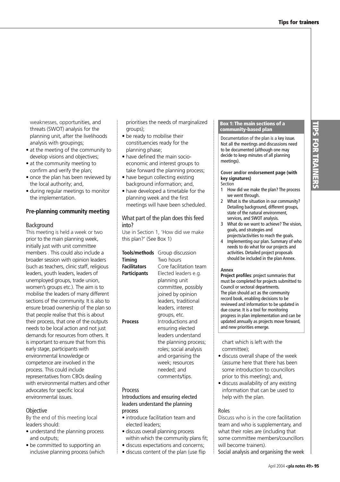weaknesses, opportunities, and threats (SWOT) analysis for the planning unit, after the livelihoods analysis with groupings:

- at the meeting of the community to develop visions and objectives;
- at the community meeting to confirm and verify the plan;
- once the plan has been reviewed by the local authority; and,
- during regular meetings to monitor the implementation.

#### **Pre-planning community meeting**

#### **Background**

This meeting is held a week or two prior to the main planning week, initially just with unit committee members . This could also include a broader session with opinion leaders (such as teachers, clinic staff, religious leaders, youth leaders, leaders of unemployed groups, trade union, women's groups etc.). The aim is to mobilise the leaders of many different sections of the community. It is also to ensure broad ownership of the plan so that people realise that this is about their process, that one of the outputs needs to be local action and not just demands for resources from others. It is important to ensure that from this early stage, participants with environmental knowledge or competence are involved in the process. This could include representatives from CBOs dealing with environmental matters and other advocates for specific local environmental issues.

#### **Objective**

By the end of this meeting local leaders should:

- understand the planning process and outputs;
- be committed to supporting an inclusive planning process (which

prioritises the needs of marginalized groups);

- be ready to mobilise their constituencies ready for the planning phase;
- have defined the main socioeconomic and interest groups to take forward the planning process;
- have begun collecting existing background information; and,
- have developed a timetable for the planning week and the first meetings will have been scheduled.

#### What part of the plan does this feed into?

Use in Section 1, 'How did we make this plan?' (See Box 1)

**Tools/methods** Group discussion **Timing** Two hours **Facilitators** Core facilitation team **Participants** Elected leaders e.g. planning unit committee, possibly joined by opinion leaders, traditional leaders, interest groups, etc. **Process** Introductions and ensuring elected leaders understand the planning process; roles; social analysis and organising the week; resources needed; and comments/tips.

#### Process

Introductions and ensuring elected leaders understand the planning process

- introduce facilitation team and elected leaders;
- discuss overall planning process within which the community plans fit;
- discuss expectations and concerns;
- discuss content of the plan (use flip

#### **Box 1: The main sections of a community-based plan**

Documentation of the plan is a key issue. Not all the meetings and discussions need to be documented (although one may decide to keep minutes of all planning meetings).

#### **Cover and/or endorsement page (with key signatures) Section**

- 
- 1 How did we make the plan? The process we went through.
- 2 What is the situation in our community? Detailing background, different groups, state of the natural environment, services, and SWOT analysis.
- 3 What do we want to achieve? The vision, goals, and strategies and
- projects/activities to reach the goals. 4 Implementing our plan. Summary of who needs to do what for our projects and activities. Detailed project proposals should be included in the plan Annex.

#### **Annex**

**Project profiles**: project summaries that must be completed for projects submitted to Council or sectoral departments. The plan should act as the community record book, enabling decisions to be reviewed and information to be updated in due course. It is a tool for monitoring progress in plan implementation and can be updated annually as projects move forward, and new priorities emerge.

chart which is left with the committee);

- discuss overall shape of the week (assume here that there has been some introduction to councillors prior to this meeting); and,
- discuss availability of any existing information that can be used to help with the plan.

#### Roles

Discuss who is in the core facilitation team and who is supplementary, and what their roles are (including that some committee members/councillors will become trainers).

Social analysis and organising the week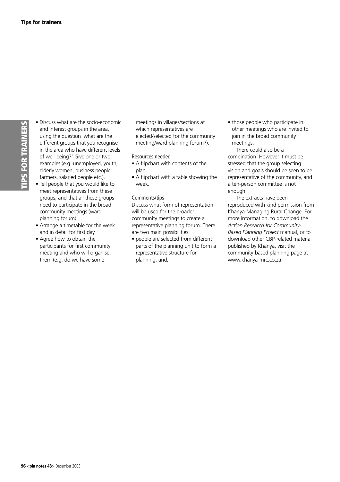- Discuss what are the socio-economic and interest groups in the area, using the question 'what are the different groups that you recognise in the area who have different levels of well-being?' Give one or two examples (e.g. unemployed, youth, elderly women, business people, farmers, salaried people etc.).
- Tell people that you would like to meet representatives from these groups, and that all these groups need to participate in the broad community meetings (ward planning forum).
- Arrange a timetable for the week and in detail for first day.
- Agree how to obtain the participants for first community meeting and who will organise them (e.g. do we have some

meetings in villages/sections at which representatives are elected/selected for the community meeting/ward planning forum?).

Resources needed

- A flipchart with contents of the plan.
- A flipchart with a table showing the week.

#### Comments/tips

Discuss what form of representation will be used for the broader community meetings to create a representative planning forum. There are two main possibilities:

• people are selected from different parts of the planning unit to form a representative structure for planning; and,

• those people who participate in other meetings who are invited to join in the broad community meetings.

There could also be a combination. However it must be stressed that the group selecting vision and goals should be seen to be representative of the community, and a ten-person committee is not enough.

The extracts have been reproduced with kind permission from Khanya-Managing Rural Change. For more information, to download the *Action Research for Community-Based Planning Project* manual, or to download other CBP-related material published by Khanya, visit the community-based planning page at www.khanya-mrc.co.za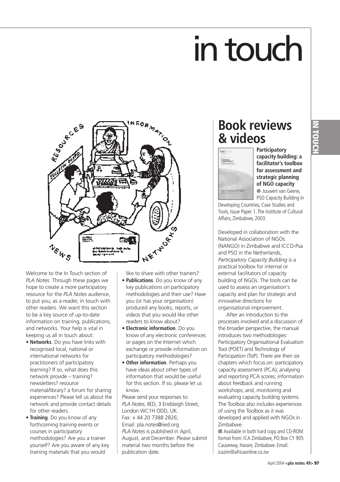# in touch



Welcome to the In Touch section of *PLA Notes*. Through these pages we hope to create a more participatory resource for the *PLA Notes* audience, to put you, as a reader, in touch with other readers. We want this section to be a key source of up-to-date information on training, publications, and networks. Your help is vital in keeping us all in touch about:

- **Networks**. Do you have links with recognised local, national or international networks for practitioners of participatory learning? If so, what does this network provide – training? newsletters? resource material/library? a forum for sharing experiences? Please tell us about the network and provide contact details for other readers.
- **Training**. Do you know of any forthcoming training events or courses in participatory methodologies? Are you a trainer yourself? Are you aware of any key training materials that you would
- like to share with other trainers? • **Publications**. Do you know of any key publications on participatory methodologies and their use? Have you (or has your organisation) produced any books, reports, or videos that you would like other readers to know about?
- **Electronic information**. Do you know of any electronic conferences or pages on the Internet which exchange or provide information on participatory methodologies?
- **Other information**. Perhaps you have ideas about other types of information that would be useful for this section. If so, please let us know.

Please send your responses to: *PLA Notes*, IIED, 3 Endsleigh Street, London WC1H ODD, UK. Fax: + 44 20 7388 2826; Email: pla.notes@iied.org *PLA Notes* is published in April, August, and December. Please submit material two months before the publication date.

#### **Book reviews & videos**



**Participatory capacity building: a facilitator's toolbox for assessment and strategic planning of NGO capacity**

● Jouwert van Geene, PSO Capacity Building in

Developing Countries, Case Studies and Tools, Issue Paper 1. The Institute of Cultural Affairs, Zimbabwe, 2003.

Developed in collaboration with the National Association of NGOs (NANGO) in Zimbabwe and ICCO-Psa and PSO in the Netherlands, *Participatory Capacity Building* is a practical toolbox for internal or external facilitators of capacity building of NGOs. The tools can be used to assess an organisation's capacity and plan for strategic and innovative directions for organisational improvement.

**EXERCT:**<br> **EXERCT:**<br> **EXERCT:**<br> **EXERCT:**<br> **EXERCT:**<br> **EXERCT:**<br> **EXERCT:**<br> **EXERCT:**<br> **EXERCT:**<br> **EXECT:**<br> **EXECT:**<br> **EXECT:**<br> **EXECT:**<br> **EXECT:**<br> **EXECT:**<br> **EXECT:**<br> **EXECT:**<br> **EXECT:**<br> **EXECT:**<br> **EXECT:**<br> **EXECT:**<br> **EX** After an introduction to the processes involved and a discussion of the broader perspective, the manual introduces two methodologies: Participatory Organisational Evaluation Tool (POET) and Technology of Participation (ToP). There are then six chapters which focus on: participatory capacity assessment (PCA); analysing and reporting PCA scores; information about feedback and running workshops; and, monitoring and evaluating capacity building systems. The Toolbox also includes experiences of using the Toolbox as it was developed and applied with NGOs in Zimbabwe.

■ Available in both hard copy and CD-ROM format from: ICA Zimbabwe, PO Box CY 905 Causeway, Harare, Zimbabwe. Email: icazim@africaonline.co.zw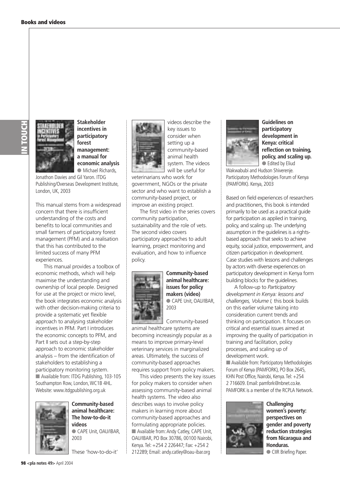## **IN TOUCH**



**Stakeholder incentives in participatory forest management: a manual for economic analysis** ● Michael Richards,

Jonathon Davies and Gil Yaron. ITDG Publishing/Overseas Development Institute, London, UK, 2003

This manual stems from a widespread concern that there is insufficient understanding of the costs and benefits to local communities and small farmers of participatory forest management (PFM) and a realisation that this has contributed to the limited success of many PFM experiences.

This manual provides a toolbox of economic methods, which will help maximise the understanding and ownership of local people. Designed for use at the project or micro level, the book integrates economic analysis with other decision-making criteria to provide a systematic yet flexible approach to analysing stakeholder incentives in PFM. Part I introduces the economic concepts to PFM, and Part II sets out a step-by-step approach to economic stakeholder analysis – from the identification of stakeholders to establishing a participatory monitoring system. ■ Available from: ITDG Publishing, 103-105 Southampton Row, London, WC1B 4HL. Website: www.itdgpublishing.org.uk



#### **Community-based animal healthcare: The how-to-do-it videos** ● CAPE Unit, OAU/IBAR, 2003

These 'how-to-do-it'



videos describe the key issues to consider when setting up a community-based animal health system. The videos will be useful for

veterinarians who work for government, NGOs or the private sector and who want to establish a community-based project, or improve an existing project.

The first video in the series covers community participation, sustainability and the role of vets. The second video covers participatory approaches to adult learning, project monitoring and evaluation, and how to influence policy.



**Community-based animal healthcare: issues for policy makers (video)** ● CAPE Unit, OAU/IBAR, 2003

Community-based

animal healthcare systems are becoming increasingly popular as a means to improve primary-level veterinary services in marginalized areas. Ultimately, the success of community-based approaches requires support from policy makers.

This video presents the key issues for policy makers to consider when assessing community-based animal health systems. The video also describes ways to involve policy makers in learning more about community-based approaches and formulating appropriate policies. ■ Available from: Andy Catley, CAPE Unit, OAU/IBAR, PO Box 30786, 00100 Nairobi, Kenya.Tel: +254 2 226447; Fax: +254 2 212289; Email: andy.catley@oau-ibar.org



**Guidelines on participatory development in Kenya: critical reflection on training, policy, and scaling up.** ● Edited by Eliud

Wakwabubi and Hudson Shiverenje. Participatory Methodologies Forum of Kenya (PAMFORK). Kenya, 2003

Based on field experiences of researchers and practitioners, this book is intended primarily to be used as a practical guide for participation as applied in training. policy, and scaling up. The underlying assumption in the guidelines is a rightsbased approach that seeks to achieve equity, social justice, empowerment, and citizen participation in development. Case studies with lessons and challenges by actors with diverse experiences on participatory development in Kenya form building blocks for the guidelines.

A follow-up to *Participatory development in Kenya: lessons and challenges, Volume I,* this book builds on this earlier volume taking into consideration current trends and thinking on participation. It focuses on critical and essential issues aimed at improving the quality of participation in training and facilitation, policy processes, and scaling up of development work.

■ Available from: Participatory Methodologies Forum of Kenya (PAMFORK), PO Box 2645, KHN Post Office, Nairobi, Kenya.Tel: +254 2 716609. Email: pamfork@nbnet.co.ke. PAMFORK is a member of the RCPLA Network.



**Challenging women's poverty: perspectives on gender and poverty reduction strategies from Nicaragua and Honduras.** ● CIIR Briefing Paper.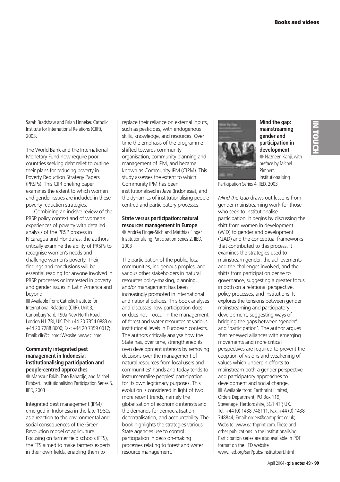Sarah Bradshaw and Brian Linneker. Catholic Institute for International Relations (CIIR), 2003.

The World Bank and the International Monetary Fund now require poor countries seeking debt relief to outline their plans for reducing poverty in Poverty Reduction Strategy Papers (PRSPs). This CIIR briefing paper examines the extent to which women and gender issues are included in these poverty reduction strategies.

Combining an incisive review of the PRSP policy context and of women's experiences of poverty with detailed analysis of the PRSP process in Nicaragua and Honduras, the authors critically examine the ability of PRSPs to recognise women's needs and challenge women's poverty. Their findings and conclusions will be essential reading for anyone involved in PRSP processes or interested in poverty and gender issues in Latin America and beyond.

■ Available from: Catholic Institute for International Relations (CIIR), Unit 3, Canonbury Yard, 190a New North Road, London N1 7BJ, UK.Tel: +44 20 7354 0883 or +44 20 7288 8600; Fax: +44 20 7359 0017; Email: ciir@ciir.org;Website: www.ciir.org

#### **Community integrated pest management in Indonesia: institutionalising participation and people-centred approaches**

● Mansour Fakih,Toto Rahardjo, and Michel Pimbert. Institutionalising Participation Series 5. IIED, 2003

Integrated pest management (IPM) emerged in Indonesia in the late 1980s as a reaction to the environmental and social consequences of the Green Revolution model of agriculture. Focusing on farmer field schools (FFS), the FFS aimed to make farmers experts in their own fields, enabling them to

replace their reliance on external inputs, such as pesticides, with endogenous skills, knowledge, and resources. Over time the emphasis of the programme shifted towards community organisation, community planning and management of IPM, and became known as Community IPM (CIPM). This study assesses the extent to which Community IPM has been institutionalised in Java (Indonesia), and the dynamics of institutionalising people centred and participatory processes.

**State versus participation: natural resources management in Europe** ● Andréa Finger-Stich and Matthias Finger Institutionalising Participation Series 2. IIED, 2003

The participation of the public, local communities, indigenous peoples, and various other stakeholders in natural resources policy-making, planning, and/or management has been increasingly promoted in international and national policies. This book analyses and discusses how participation does – or does not – occur in the management of forest and water resources at various institutional levels in European contexts. The authors critically analyse how the State has, over time, strengthened its own development interests by removing decisions over the management of natural resources from local users and communities' hands and today tends to instrumentalise peoples' participation for its own legitimacy purposes. This evolution is considered in light of two more recent trends, namely the globalisation of economic interests and the demands for democratisation, decentralisation, and accountability. The book highlights the strategies various State agencies use to control participation in decision-making processes relating to forest and water resource management.



**Mind the gap: mainstreaming gender and participation in development** ● Nazneen Kanji, with preface by Michel Pimbert. Institutionalising

Participation Series 4. IIED, 2003

**Instreaming**<br> **Instreaming**<br> **Instreaming**<br> **Ider and**<br> **Instreaming**<br> **Instreaming**<br> **Insteaming**<br> **Example 12003**<br> **Dumber and Apple 12003**<br> **Dumber 12003**<br> **Instantionalising**<br> **Example 20093**<br> **Dumber 12014**<br> **Example** *Mind the Gap* draws out lessons from gender mainstreaming work for those who seek to institutionalise participation. It begins by discussing the shift from women in development (WID) to gender and development (GAD) and the conceptual frameworks that contributed to this process. It examines the strategies used to mainstream gender, the achievements and the challenges involved, and the shifts from participation per se to governance, suggesting a greater focus in both on a relational perspective, policy processes, and institutions. It explores the tensions between gender mainstreaming and participatory development, suggesting ways of bridging the gaps between 'gender' and 'participation'. The author argues that renewed alliances with emerging movements and more critical perspectives are required to prevent the cooption of visions and weakening of values which underpin efforts to mainstream both a gender perspective and participatory approaches to development and social change. ■ Available from: Earthprint Limited, Orders Department, PO Box 119, Stevenage, Hertfordshire, SG1 4TP, UK. Tel: +44 (0) 1438 748111; Fax: +44 (0) 1438 748844; Email: orders@earthprint.co.uk; Website: www.earthprint.com.These and other publications in the Institutionalising Participation series are also available in PDF format on the IIED website www.iied.org/sarl/pubs/institutpart.html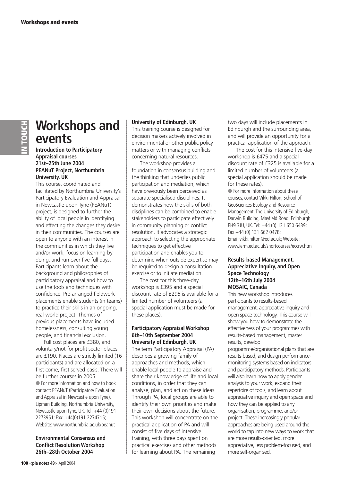#### **Workshops and events**

#### **Introduction to Participatory Appraisal courses 21st–25th June 2004 PEANuT Project, Northumbria University, UK**

This course, coordinated and facilitated by Northumbria University's Participatory Evaluation and Appraisal in Newcastle upon Tyne (PEANuT) project, is designed to further the ability of local people in identifying and effecting the changes they desire in their communities. The courses are open to anyone with an interest in the communities in which they live and/or work, focus on learning-bydoing, and run over five full days. Participants learn about the background and philosophies of participatory appraisal and how to use the tools and techniques with confidence. Pre-arranged fieldwork placements enable students (in teams) to practice their skills in an ongoing, real-world project. Themes of previous placements have included homelessness, consulting young people, and financial exclusion.

Full cost places are £380, and voluntary/not for profit sector places are £190. Places are strictly limited (16 participants) and are allocated on a first come, first served basis. There will be further courses in 2005. ● For more information and how to book contact: PEANuT (Participatory Evaluation and Appraisal in Newcastle upon Tyne), Lipman Building, Northumbria University, Newcastle upon Tyne, UK. Tel: +44 (0)191 2273951; Fax: +44(0)191 2274715; Website: www.northumbria.ac.uk/peanut

**Environmental Consensus and Conflict Resolution Workshop 26th–28th October 2004**

#### **University of Edinburgh, UK**

This training course is designed for decision makers actively involved in environmental or other public policy matters or with managing conflicts concerning natural resources.

The workshop provides a foundation in consensus building and the thinking that underlies public participation and mediation, which have previously been perceived as separate specialised disciplines. It demonstrates how the skills of both disciplines can be combined to enable stakeholders to participate effectively in community planning or conflict resolution. It advocates a strategic approach to selecting the appropriate techniques to get effective participation and enables you to determine when outside expertise may be required to design a consultation exercise or to initiate mediation.

The cost for this three-day workshop is £395 and a special discount rate of £295 is available for a limited number of volunteers (a special application must be made for these places).

#### **Participatory Appraisal Workshop 6th–10th September 2004 University of Edinburgh, UK**

The term Participatory Appraisal (PA) describes a growing family of approaches and methods, which enable local people to appraise and share their knowledge of life and local conditions, in order that they can analyse, plan, and act on these ideas. Through PA, local groups are able to identify their own priorities and make their own decisions about the future. This workshop will concentrate on the practical application of PA and will consist of five days of intensive training, with three days spent on practical exercises and other methods for learning about PA. The remaining

two days will include placements in Edinburgh and the surrounding area, and will provide an opportunity for a practical application of the approach.

The cost for this intensive five-day workshop is £475 and a special discount rate of £325 is available for a limited number of volunteers (a special application should be made for these rates).

● For more information about these courses, contact Vikki Hilton, School of GeoSciences Ecology and Resource Management, The University of Edinburgh, Darwin Building, Mayfield Road, Edinburgh EH9 3JU, UK. Tel: +44 (0) 131 650 6439; Fax +44 (0) 131 662 0478; Email:vikki.hilton@ed.ac.uk; Website: www.ierm.ed.ac.uk/shortcourses/eccrw.htm

#### **Results-based Management, Appreciative Inquiry, and Open Space Technology 12th–16th July 2004 MOSAIC, Canada**

This new workshop introduces participants to results-based management, appreciative inquiry and open space technology. This course will show you how to demonstrate the effectiveness of your programmes with results-based management, master results, develop

programme/organisational plans that are results-based, and design performancemonitoring systems based on indicators and participatory methods. Participants will also learn how to apply gender analysis to your work, expand their repertoire of tools, and learn about appreciative inquiry and open space and how they can be applied to any organisation, programme, and/or project. These increasingly popular approaches are being used around the world to tap into new ways to work that are more results-oriented, more appreciative, less problem-focused, and more self-organised.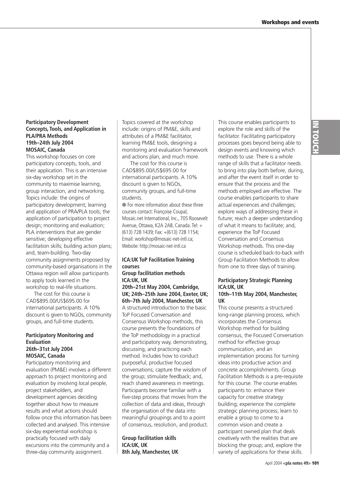#### **Participatory Development Concepts, Tools, and Application in PLA/PRA Methods 19th–24th July 2004 MOSAIC, Canada**

This workshop focuses on core participatory concepts, tools, and their application. This is an intensive six-day workshop set in the community to maximise learning, group interaction, and networking. Topics include: the origins of participatory development; learning and application of PRA/PLA tools; the application of participation to project design; monitoring and evaluation; PLA interventions that are gender sensitive; developing effective facilitation skills; building action plans; and, team-building. Two-day community assignments proposed by community-based organisations in the Ottawa region will allow participants to apply tools learned in the workshop to real-life situations.

The cost for this course is CAD\$895.00/US\$695.00 for international participants. A 10% discount is given to NGOs, community groups, and full-time students.

#### **Participatory Monitoring and Evaluation 26th–31st July 2004 MOSAIC, Canada**

Participatory monitoring and evaluation (PM&E) involves a different approach to project monitoring and evaluation by involving local people, project stakeholders, and development agencies deciding together about how to measure results and what actions should follow once this information has been collected and analysed. This intensive six-day experiential workshop is practically focused with daily excursions into the community and a three-day community assignment.

Topics covered at the workshop include: origins of PM&E, skills and attributes of a PM&E facilitator, learning PM&E tools, designing a monitoring and evaluation framework and actions plan, and much more.

The cost for this course is CAD\$895.00/US\$695.00 for international participants. A 10% discount is given to NGOs, community groups, and full-time students.

● For more information about these three courses contact: Françoise Coupal, Mosaic.net International, Inc., 705 Roosevelt Avenue, Ottawa, K2A 2A8, Canada. Tel: + (613) 728 1439; Fax: +(613) 728 1154; Email: workshop@mosaic-net-intl.ca; Website: http://mosaic-net-intl.ca

#### **ICA:UK ToP Facilitation Training courses**

#### **Group facilitation methods ICA:UK, UK**

**20th–21st May 2004, Cambridge, UK; 24th–25th June 2004, Exeter, UK; 6th–7th July 2004, Manchester, UK**

A structured introduction to the basic ToP Focused Conversation and Consensus Workshop methods, this course presents the foundations of the ToP methodology in a practical and participatory way, demonstrating, discussing, and practicing each method. Includes how to conduct purposeful, productive focused conversations; capture the wisdom of the group; stimulate feedback; and, reach shared awareness in meetings. Participants become familiar with a five-step process that moves from the collection of data and ideas, through the organisation of the data into meaningful groupings and to a point of consensus, resolution, and product.

**Group facilitation skills ICA:UK, UK 8th July, Manchester, UK** This course enables participants to explore the role and skills of the facilitator. Facilitating participatory processes goes beyond being able to design events and knowing which methods to use. There is a whole range of skills that a facilitator needs to bring into play both before, during, and after the event itself in order to ensure that the process and the methods employed are effective. The course enables participants to share actual experiences and challenges; explore ways of addressing these in future; reach a deeper understanding of what it means to facilitate; and, experience the ToP Focused Conversation and Consensus Workshop methods. This one-day course is scheduled back-to-back with Group Facilitation Methods to allow from one to three days of training.

#### **Participatory Strategic Planning ICA:UK, UK 10th–11th May 2004, Manchester,**

participants to<br>skills of the<br>participatory<br>and being able to<br>coving which<br>re is a whole<br>facilitator needs<br>th before, during,<br>self in order to<br>sess and the<br>re effective. The<br>ipants to share<br>of challenges;<br>essing these in<br>a **UK** This course presents a structured long-range planning process, which incorporates the Consensus Workshop method for building consensus, the Focused Conversation method for effective group communication, and an implementation process for turning ideas into productive action and concrete accomplishments. Group Facilitation Methods is a pre-requisite for this course. The course enables participants to: enhance their capacity for creative strategy building; experience the complete strategic planning process; learn to enable a group to come to a common vision and create a participant owned plan that deals creatively with the realities that are blocking the group; and, explore the variety of applications for these skills.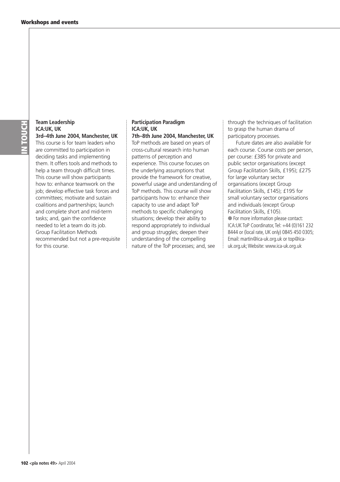#### **Team Leadership ICA:UK, UK 3rd–4th June 2004, Manchester, UK**

This course is for team leaders who are committed to participation in deciding tasks and implementing them. It offers tools and methods to help a team through difficult times. This course will show participants how to: enhance teamwork on the job; develop effective task forces and committees; motivate and sustain coalitions and partnerships; launch and complete short and mid-term tasks; and, gain the confidence needed to let a team do its job. Group Facilitation Methods recommended but not a pre-requisite for this course.

#### **Participation Paradigm ICA:UK, UK**

**7th–8th June 2004, Manchester, UK** ToP methods are based on years of cross-cultural research into human patterns of perception and experience. This course focuses on the underlying assumptions that provide the framework for creative, powerful usage and understanding of ToP methods. This course will show participants how to: enhance their capacity to use and adapt ToP methods to specific challenging situations; develop their ability to respond appropriately to individual and group struggles; deepen their understanding of the compelling nature of the ToP processes; and, see

through the techniques of facilitation to grasp the human drama of participatory processes.

Future dates are also available for each course. Course costs per person, per course: £385 for private and public sector organisations (except Group Facilitation Skills, £195); £275 for large voluntary sector organisations (except Group Facilitation Skills, £145); £195 for small voluntary sector organisations and individuals (except Group Facilitation Skills, £105). ● For more information please contact: ICA:UK ToP Coordinator, Tel: +44 (0)161 232 8444 or (local rate, UK only) 0845 450 0305; Email: martin@ica-uk.org.uk or top@icauk.org.uk;Website: www.ica-uk.org.uk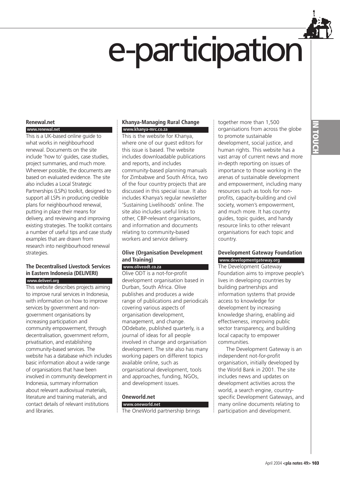# N TOU

# e-participation

#### **Renewal.net**

**www.renewal.net** This is a UK-based online guide to what works in neighbourhood renewal. Documents on the site include 'how to' guides, case studies, project summaries, and much more. Wherever possible, the documents are based on evaluated evidence. The site also includes a Local Strategic Partnerships (LSPs) toolkit, designed to support all LSPs in producing credible plans for neighbourhood renewal, putting in place their means for delivery, and reviewing and improving existing strategies. The toolkit contains a number of useful tips and case study examples that are drawn from research into neighbourhood renewal strategies.

#### **The Decentralised Livestock Services in Eastern Indonesia (DELIVERI) www.deliveri.org**

This website describes projects aiming to improve rural services in Indonesia, with information on how to improve services by government and nongovernment organisations by increasing participation and community empowerment, through decentralisation, government reform, privatisation, and establishing community-based services. The website has a database which includes basic information about a wide range of organisations that have been involved in community development in Indonesia, summary information about relevant audiovisual materials, literature and training materials, and contact details of relevant institutions and libraries.

#### **Khanya-Managing Rural Change www.khanya-mrc.co.za**

This is the website for Khanya, where one of our quest editors for this issue is based. The website includes downloadable publications and reports, and includes community-based planning manuals for Zimbabwe and South Africa, two of the four country projects that are discussed in this special issue. It also includes Khanya's regular newsletter 'Sustaining Livelihoods' online. The site also includes useful links to other, CBP-relevant organisations, and information and documents relating to community-based workers and service delivery.

#### **Olive (Organisation Development and Training) www.oliveodt.co.za**

Olive ODT is a not-for-profit development organisation based in Durban, South Africa. Olive publishes and produces a wide range of publications and periodicals covering various aspects of organisation development, management, and change. ODdebate, published quarterly, is a journal of ideas for all people involved in change and organisation development. The site also has many working papers on different topics available online, such as organisational development, tools and approaches, funding, NGOs, and development issues.

#### **Oneworld.net**

#### **www.oneworld.net**

The OneWorld partnership brings

1,500<br>
across the globe<br>
ble<br>
justice, and<br>
vebsite has a<br>
mexistes has a<br>
mexistes and more<br>
in sisues of<br>
working in the<br>
e development<br>
including many<br>
ols for non-<br>
ding and civil<br>
powerment,<br>
as country<br>
, and handy<br> together more than 1,500 organisations from across the globe to promote sustainable development, social justice, and human rights. This website has a vast array of current news and more in-depth reporting on issues of importance to those working in the arenas of sustainable development and empowerment, including many resources such as tools for nonprofits, capacity-building and civil society, women's empowerment, and much more. It has country guides, topic guides, and handy resource links to other relevant organisations for each topic and country.

#### **Development Gateway Foundation www.developmentgateway.org**

The Development Gateway Foundation aims to improve people's lives in developing countries by building partnerships and information systems that provide access to knowledge for development by increasing knowledge sharing, enabling aid effectiveness, improving public sector transparency, and building local capacity to empower communities.

The Development Gateway is an independent not-for-profit organisation, initially developed by the World Bank in 2001. The site includes news and updates on development activities across the world, a search engine, countryspecific Development Gateways, and many online documents relating to participation and development.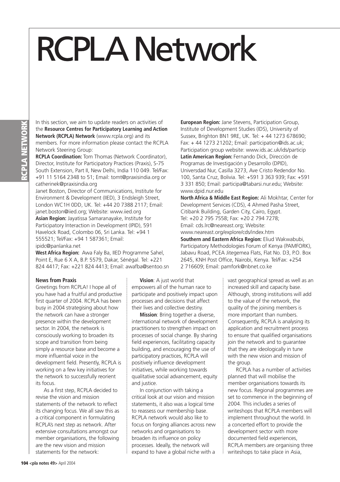## **RCPLA Network**

In this section, we aim to update readers on activities of the **Resource Centres for Participatory Learning and Action Network (RCPLA) Network** (www.rcpla.org) and its members. For more information please contact the RCPLA Network Steering Group:

**RCPLA Coordination:** Tom Thomas (Network Coordinator), Director, Institute for Participatory Practices (Praxis), S-75 South Extension, Part II, New Delhi, India 110 049. Tel/Fax: +91 11 5164 2348 to 51; Email: tomt@praxisindia.org or catherinek@praxisindia.org

Janet Boston, Director of Communications, Institute for Environment & Development (IIED), 3 Endsleigh Street, London WC1H 0DD, UK. Tel: +44 20 7388 2117; Email: janet.boston@iied.org; Website: www.iied.org **Asian Region:** Jayatissa Samaranayake, Institute for Participatory Interaction in Development (IPID), 591

Havelock Road, Colombo 06, Sri Lanka. Tel: +94 1 555521; Tel/Fax: +94 1 587361; Email: ipidc@panlanka.net

**West Africa Region:** Awa Faly Ba, IIED Programme Sahel, Point E, Rue 6 X A, B.P. 5579, Dakar, Sénégal. Tel: +221 824 4417; Fax: +221 824 4413; Email: awafba@sentoo.sn

#### **News from Praxis**

Greetings from RCPLA! I hope all of you have had a fruitful and productive first quarter of 2004. RCPLA has been busy in 2004 strategising about how the network can have a stronger presence within the development sector. In 2004, the network is consciously working to broaden its scope and transition from being simply a resource base and become a more influential voice in the development field. Presently, RCPLA is working on a few key initiatives for the network to successfully reorient its focus.

As a first step, RCPLA decided to revise the vision and mission statements of the network to reflect its changing focus. We all saw this as a critical component in formulating RCPLA's next step as network. After extensive consultations amongst our member organisations, the following are the new vision and mission statements for the network:

**Vision**: A just world that empowers all of the human race to participate and positively impact upon processes and decisions that affect their lives and collective destiny.

**Mission**: Bring together a diverse, international network of development practitioners to strengthen impact on processes of social change. By sharing field experiences, facilitating capacity building, and encouraging the use of participatory practices, RCPLA will positively influence development initiatives, while working towards qualitative social advancement, equity and justice.

In conjunction with taking a critical look at our vision and mission statements, it also was a logical time to reassess our membership base. RCPLA network would also like to focus on forging alliances across new networks and organisations to broaden its influence on policy processes. Ideally, the network will expand to have a global niche with a

**European Region:** Jane Stevens, Participation Group, Institute of Development Studies (IDS), University of Sussex, Brighton BN1 9RE, UK. Tel: + 44 1273 678690; Fax: + 44 1273 21202; Email: participation@ids.ac.uk; Participation group website: www.ids.ac.uk/ids/particip **Latin American Region:** Fernando Dick, Dirección de Programas de Investigación y Desarrollo (DPID), Universdad Nur, Casilla 3273, Ave Cristo Redendor No. 100, Santa Cruz, Bolivia. Tel: +591 3 363 939; Fax: +591 3 331 850; Email: participa@tabarsi.nur.edu; Website: www.dpid.nur.edu

**North Africa & Middle East Region:** Ali Mokhtar, Center for Development Services (CDS), 4 Ahmed Pasha Street, Citibank Building, Garden City, Cairo, Egypt. Tel: +20 2 795 7558; Fax: +20 2 794 7278; Email: cds.lrc@neareast.org; Website: www.neareast.org/explore/cds/index.htm

**Southern and Eastern Africa Region:** Eliud Wakwabubi, Participatory Methodologies Forum of Kenya (PAMFORK), Jabavu Road, PCEA Jitegemea Flats, Flat No. D3, P.O. Box 2645, KNH Post Office, Nairobi, Kenya. Tel/Fax: +254 2 716609; Email: pamfork@nbnet.co.ke

> vast geographical spread as well as an increased skill and capacity base. Although, strong institutions will add to the value of the network, the quality of the joining members is more important than numbers. Consequently, RCPLA is analysing its application and recruitment process to ensure that qualified organisations join the network and to guarantee that they are ideologically in tune with the new vision and mission of the group.

> RCPLA has a number of activities planned that will mobilise the member organisations towards its new focus. Regional programmes are set to commence in the beginning of 2004. This includes a series of writeshops that RCPLA members will implement throughout the world. In a concerted effort to provide the development sector with more documented field experiences, RCPLA members are organising three writeshops to take place in Asia,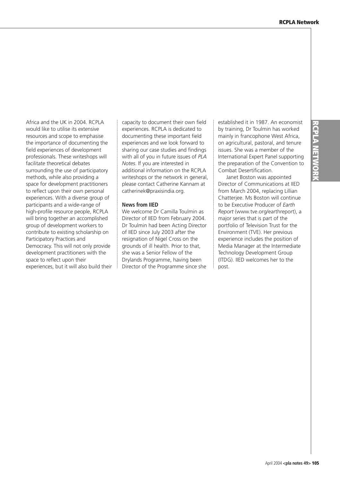Africa and the UK in 2004. RCPLA would like to utilise its extensive resources and scope to emphasise the importance of documenting the field experiences of development professionals. These writeshops will facilitate theoretical debates surrounding the use of participatory methods, while also providing a space for development practitioners to reflect upon their own personal experiences. With a diverse group of participants and a wide-range of high-profile resource people, RCPLA will bring together an accomplished group of development workers to contribute to existing scholarship on Participatory Practices and Democracy. This will not only provide development practitioners with the space to reflect upon their experiences, but it will also build their capacity to document their own field experiences. RCPLA is dedicated to documenting these important field experiences and we look forward to sharing our case studies and findings with all of you in future issues of *PLA Notes*. If you are interested in additional information on the RCPLA writeshops or the network in general. please contact Catherine Kannam at catherinek@praxisindia.org.

#### **News from IIED**

We welcome Dr Camilla Toulmin as Director of IIED from February 2004. Dr Toulmin had been Acting Director of IIED since July 2003 after the resignation of Nigel Cross on the grounds of ill health. Prior to that, she was a Senior Fellow of the Drylands Programme, having been Director of the Programme since she

established it in 1987. An economist by training, Dr Toulmin has worked mainly in francophone West Africa, on agricultural, pastoral, and tenure issues. She was a member of the International Expert Panel supporting the preparation of the Convention to Combat Desertification.

Janet Boston was appointed Director of Communications at IIED from March 2004, replacing Lillian Chatterjee. Ms Boston will continue to be Executive Producer of *Earth Report* (www.tve.org/earthreport), a major series that is part of the portfolio of Television Trust for the Environment (TVE). Her previous experience includes the position of Media Manager at the Intermediate Technology Development Group (ITDG). IIED welcomes her to the post.

## **RCPLA** NETWORK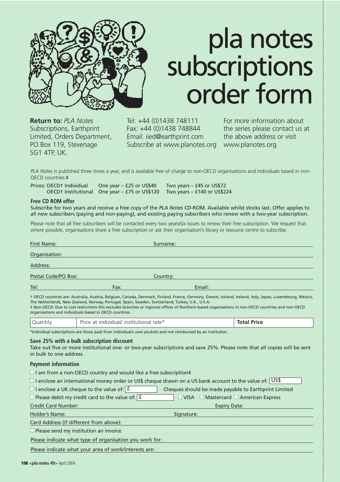

## pla notes subscriptions order form

**Return to:** *PLA Notes* Subscriptions, Earthprint Limited, Orders Department, PO Box 119, Stevenage SG1 4TP, UK.

Tel: +44 (0)1438 748111 Fax: +44 (0)1438 748844 Email: iied@earthprint.com Subscribe at www.planotes.org

For more information about the series please contact us at the above address or visit www.planotes.org

*PLA Notes* is published three times a year, and is available free of charge to non-OECD organisations and individuals based in non-OECD countries.**‡**

Prices: OECD† Individual One year – £25 or US\$40 Two years – £45 or US\$72 OECD† Institutional One year – £75 or US\$120 Two years – £140 or US\$224

#### **Free CD ROM offer**

Subscribe for two years and receive a free copy of the *PLA Notes* CD-ROM. Available whilst stocks last. Offer applies to all new subscribers (paying and non-paying), and existing paying subscribers who renew with a two-year subscription.

Please note that all free subscribers will be contacted every two years/six issues to renew their free subscription. We request that where possible, organisations share a free subscription or ask their organisation's library or resource centre to subscribe.

| <b>First Name:</b>                                                                                                                                                                                                                                                                                                                                                                                                                                                            |                                                                                                              | Surname:                                              |                    |
|-------------------------------------------------------------------------------------------------------------------------------------------------------------------------------------------------------------------------------------------------------------------------------------------------------------------------------------------------------------------------------------------------------------------------------------------------------------------------------|--------------------------------------------------------------------------------------------------------------|-------------------------------------------------------|--------------------|
| Organisation:                                                                                                                                                                                                                                                                                                                                                                                                                                                                 |                                                                                                              |                                                       |                    |
| Address:                                                                                                                                                                                                                                                                                                                                                                                                                                                                      |                                                                                                              |                                                       |                    |
| Postal Code/PO Box:                                                                                                                                                                                                                                                                                                                                                                                                                                                           |                                                                                                              | Country:                                              |                    |
| Tel:                                                                                                                                                                                                                                                                                                                                                                                                                                                                          | Fax:                                                                                                         | Email:                                                |                    |
| t OECD countries are: Australia, Austria, Belgium, Canada, Denmark, Finland, France, Germany, Greece, Iceland, Ireland, Italy, Japan, Luxembourg, Mexico,<br>The Netherlands, New Zealand, Norway, Portugal, Spain, Sweden, Switzerland, Turkey, U.K., U.S.A.<br># Non-OECD: Due to cost restrictions this excludes branches or regional offices of Northern-based organisations in non-OECD countries and non-OECD<br>organisations and individuals based in OECD countries. |                                                                                                              |                                                       |                    |
| Quantity                                                                                                                                                                                                                                                                                                                                                                                                                                                                      | Price at individual/ institutional rate*                                                                     |                                                       | <b>Total Price</b> |
|                                                                                                                                                                                                                                                                                                                                                                                                                                                                               | *Individual subscriptions are those paid from individual's own pockets and not reimbursed by an institution. |                                                       |                    |
| Save 25% with a bulk subscription discount<br>Take out five or more institutional one- or two-year subscriptions and save 25%. Please note that all copies will be sent<br>in bulk to one address.                                                                                                                                                                                                                                                                            |                                                                                                              |                                                       |                    |
| <b>Payment information</b>                                                                                                                                                                                                                                                                                                                                                                                                                                                    |                                                                                                              |                                                       |                    |
|                                                                                                                                                                                                                                                                                                                                                                                                                                                                               | $\Box$ I am from a non-OECD country and would like a free subscription $\ddagger$                            |                                                       |                    |
| $\Box$ I enclose an international money order or US\$ cheque drawn on a US bank account to the value of: $\Box$ US\$                                                                                                                                                                                                                                                                                                                                                          |                                                                                                              |                                                       |                    |
| $\Box$ I enclose a UK cheque to the value of: $\Box$ f<br>Cheques should be made payable to Earthprint Limited                                                                                                                                                                                                                                                                                                                                                                |                                                                                                              |                                                       |                    |
|                                                                                                                                                                                                                                                                                                                                                                                                                                                                               | $\Box$ Please debit my credit card to the value of: $\Box$ f                                                 | $\Box$ VISA $\Box$ Mastercard $\Box$ American Express |                    |
| <b>Credit Card Number:</b>                                                                                                                                                                                                                                                                                                                                                                                                                                                    |                                                                                                              | <b>Expiry Date:</b>                                   |                    |
| Holder's Name:                                                                                                                                                                                                                                                                                                                                                                                                                                                                |                                                                                                              | Signature:                                            |                    |
| Card Address (if different from above):                                                                                                                                                                                                                                                                                                                                                                                                                                       |                                                                                                              |                                                       |                    |
| $\Box$ Please send my institution an invoice                                                                                                                                                                                                                                                                                                                                                                                                                                  |                                                                                                              |                                                       |                    |
|                                                                                                                                                                                                                                                                                                                                                                                                                                                                               | Please indicate what type of organisation you work for:                                                      |                                                       |                    |
|                                                                                                                                                                                                                                                                                                                                                                                                                                                                               | Please indicate what your area of work/interests are:                                                        |                                                       |                    |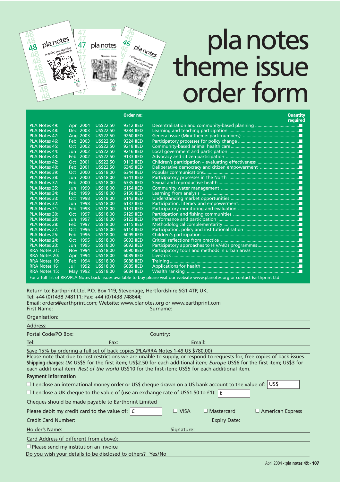# planotes theme issue order form

|                                                                                                                                   |                 |                  | <b>Order no:</b> | <b>Quantity</b><br>required |  |  |
|-----------------------------------------------------------------------------------------------------------------------------------|-----------------|------------------|------------------|-----------------------------|--|--|
| PLA Notes 49:                                                                                                                     | Apr 2004        | US\$22.50        | <b>9312 IIED</b> |                             |  |  |
| PLA Notes 48:                                                                                                                     | Dec 2003        | US\$22.50        | <b>9284 IIED</b> |                             |  |  |
| PLA Notes 47:                                                                                                                     | Aug 2003        | US\$22.50        | 9260 IIED        |                             |  |  |
| PLA Notes 46:                                                                                                                     | Feb 2003        | US\$22.50        | <b>9224 IIED</b> |                             |  |  |
| <b>PLA Notes 45:</b>                                                                                                              | Oct 2002        | US\$22.50        | <b>9218 IIED</b> |                             |  |  |
| <b>PLA Notes 44:</b>                                                                                                              | 2002<br>Jun.    | US\$22.50        | <b>9216 IIED</b> |                             |  |  |
| PLA Notes 43:                                                                                                                     | Feb 2002        | US\$22.50        | <b>9133 IIED</b> |                             |  |  |
| <b>PLA Notes 42:</b>                                                                                                              | Oct 2001        | US\$22.50        | 9113 IIED        |                             |  |  |
| PLA Notes 40:                                                                                                                     | Feb 2001        | US\$22.50        | <b>6345 IIED</b> |                             |  |  |
| <b>PLA Notes 39:</b>                                                                                                              | Oct 2000        | US\$18,00        | 6344 IIED        |                             |  |  |
| <b>PLA Notes 38:</b>                                                                                                              | 2000<br>Jun.    | US\$18,00        | 6341 IIED        |                             |  |  |
| <b>PLA Notes 37:</b>                                                                                                              | 2000<br>Feb.    | US\$18,00        | <b>6335 IIED</b> |                             |  |  |
| <b>PLA Notes 35:</b>                                                                                                              | 1999<br>Jun     | US\$18,00        | <b>6154 IIED</b> |                             |  |  |
| <b>PLA Notes 34:</b>                                                                                                              | 1999<br>Feb.    | US\$18.00        | 6150 IIED        |                             |  |  |
| <b>PLA Notes 33:</b>                                                                                                              | 1998<br>Oct     | US\$18.00        | 6143 IIED        |                             |  |  |
| PLA Notes 32:                                                                                                                     | Jun 1998        | US\$18,00        | <b>6137 IIED</b> |                             |  |  |
| PLA Notes 31:                                                                                                                     | Feb 1998        | US\$18,00        | 6131 IIED        |                             |  |  |
| PLA Notes 30:                                                                                                                     | 1997<br>Oct     | US\$18,00        | 6129 IIED        |                             |  |  |
| <b>PLA Notes 29:</b>                                                                                                              | 1997<br>Jun     | US\$18.00        | 6123 IIED        |                             |  |  |
| <b>PLA Notes 28:</b>                                                                                                              | 1997<br>Feb.    | US\$18,00        | 6115 IIED        |                             |  |  |
| PLA Notes 27:                                                                                                                     | 1996<br>Oct     | US\$18.00        | 6114 IIED        |                             |  |  |
| <b>PLA Notes 25:</b>                                                                                                              | Feb 1996        | US\$18.00        | 6099 IIED        |                             |  |  |
| PLA Notes 24:                                                                                                                     | Oct 1995        | US\$18,00        | 6093 IIED        |                             |  |  |
| <b>PLA Notes 23:</b>                                                                                                              | 1995<br>Jun.    | US\$18,00        | 6092 IIED        |                             |  |  |
| <b>RRA Notes 21:</b>                                                                                                              | Nov 1994        | US\$18.00        | 6090 IIED        |                             |  |  |
| <b>RRA Notes 20:</b>                                                                                                              | Apr 1994        | US\$18.00        | 6089 IIED        |                             |  |  |
| <b>RRA Notes 19:</b>                                                                                                              | Feb 1994        | US\$18,00        | 6088 IIED        |                             |  |  |
| <b>RRA Notes 16</b>                                                                                                               | 1992<br>Jul     | US\$18.00        | <b>6085 IIED</b> |                             |  |  |
| <b>RRA Notes 15:</b>                                                                                                              | <b>May 1992</b> | <b>US\$18.00</b> | 6084 IIED        |                             |  |  |
| For a full list of RRA/PLA Notes back issues available to buy please visit our website www.planotes.org or contact Earthprint Ltd |                 |                  |                  |                             |  |  |

pla<sub>notes</sub>

e *Participatory processes* 

pla notes

General issue

planotes

**December <sup>2003</sup>**

participatory learning and action

Learning and teaching<br>Learning and teaching

Return to: Earthprint Ltd. P.O. Box 119, Stevenage, Hertfordshire SG1 4TP, UK.

Tel: +44 (0)1438 748111; Fax: +44 (0)1438 748844;

| Email: orders@earthprint.com; Website: www.planotes.org or www.earthprint.com |  |
|-------------------------------------------------------------------------------|--|
|                                                                               |  |

| <b>First Name:</b> | Surname: |
|--------------------|----------|
|                    |          |

| Organisation:                                                                                                                                                                                                                                                                                                                                                          |          |             |                     |                         |  |  |  |
|------------------------------------------------------------------------------------------------------------------------------------------------------------------------------------------------------------------------------------------------------------------------------------------------------------------------------------------------------------------------|----------|-------------|---------------------|-------------------------|--|--|--|
| Address:                                                                                                                                                                                                                                                                                                                                                               |          |             |                     |                         |  |  |  |
| Postal Code/PO Box:                                                                                                                                                                                                                                                                                                                                                    | Country: |             |                     |                         |  |  |  |
| Tel:                                                                                                                                                                                                                                                                                                                                                                   | Fax:     |             | Email:              |                         |  |  |  |
| Save 15% by ordering a full set of back copies (PLA/RRA Notes 1-49 US \$780.00)                                                                                                                                                                                                                                                                                        |          |             |                     |                         |  |  |  |
| Please note that due to cost restrictions we are unable to supply, or respond to requests for, free copies of back issues.<br>Shipping charges: UK US\$5 for the first item; US\$2.50 for each additional item; <i>Europe</i> US\$6 for the first item; US\$3 for<br>each additional item Rest of the world US\$10 for the first item; US\$5 for each additional item. |          |             |                     |                         |  |  |  |
| <b>Payment information</b>                                                                                                                                                                                                                                                                                                                                             |          |             |                     |                         |  |  |  |
| $\Box$ I enclose an international money order or US\$ cheque drawn on a US bank account to the value of: US\$                                                                                                                                                                                                                                                          |          |             |                     |                         |  |  |  |
| $\Box$ I enclose a UK cheque to the value of (use an exchange rate of US\$1.50 to £1): $\Box$ £                                                                                                                                                                                                                                                                        |          |             |                     |                         |  |  |  |
| Cheques should be made payable to Earthprint Limited                                                                                                                                                                                                                                                                                                                   |          |             |                     |                         |  |  |  |
| Please debit my credit card to the value of: $f$                                                                                                                                                                                                                                                                                                                       |          | $\Box$ VISA | $\Box$ Mastercard   | $\Box$ American Express |  |  |  |
| <b>Credit Card Number:</b>                                                                                                                                                                                                                                                                                                                                             |          |             | <b>Expiry Date:</b> |                         |  |  |  |
| Holder's Name:                                                                                                                                                                                                                                                                                                                                                         |          | Signature:  |                     |                         |  |  |  |
| Card Address (if different from above):                                                                                                                                                                                                                                                                                                                                |          |             |                     |                         |  |  |  |
| $\Box$ Please send my institution an invoice                                                                                                                                                                                                                                                                                                                           |          |             |                     |                         |  |  |  |
| Do you wish your details to be disclosed to others? Yes/No                                                                                                                                                                                                                                                                                                             |          |             |                     |                         |  |  |  |

April 2004 **<pla notes 49> 107**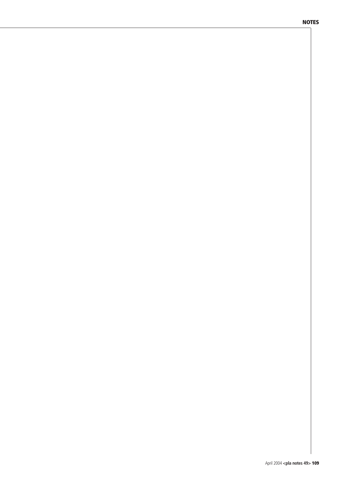# **NOTES**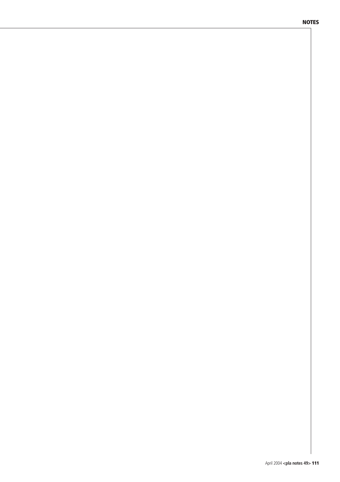# **NOTES**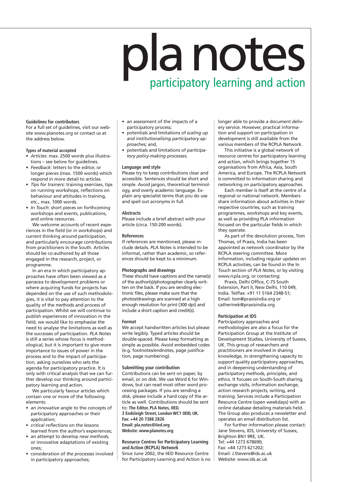# planotes participatory learning and action

### **Guidelines for contributors**

For a full set of guidelines, visit our website www.planotes.org or contact us at the address below.

### **Types of material accepted**

- *Articles*: max. 2500 words plus illustrations – see below for guidelines.
- *Feedback*: letters to the editor, or longer pieces (max. 1500 words) which respond in more detail to articles.
- *Tips for trainers*: training exercises, tips on running workshops, reflections on behaviour and attitudes in training, etc., max. 1000 words.
- *In Touch*: short pieces on forthcoming workshops and events, publications, and online resources.

We welcome accounts of recent experiences in the field (or in workshops) and current thinking around participation, and particularly encourage contributions from practitioners in the South. Articles should be co-authored by all those engaged in the research, project, or programme.

In an era in which participatory approaches have often been viewed as a panacea to development problems or where acquiring funds for projects has depended on the use of such methodologies, it is vital to pay attention to the quality of the methods and process of participation. Whilst we will continue to publish experiences of innovation in the field, we would like to emphasise the need to analyse the limitations as well as the successes of participation. *PLA Notes* is still a series whose focus is methodological, but it is important to give more importance to issues of power in the process and to the impact of participation, asking ourselves who sets the agenda for participatory practice. It is only with critical analysis that we can further develop our thinking around participatory learning and action.

We particularly favour articles which contain one or more of the following elements:

- an *innovative* angle to the concepts of participatory approaches or their application;
- *critical reflections* on the lessons learned from the author's experiences;
- an attempt to develop *new methods*, or innovative adaptations of existing ones;
- consideration of *the processes* involved in participatory approaches;
- an assessment of the impacts of a participatory process;
- potentials and limitations of *scaling up and institutionalising participatory approaches;* and,
- potentials and limitations of *participatory policy-making processes.*

### **Language and style**

Please try to keep contributions clear and accessible. Sentences should be short and simple. Avoid jargon, theoretical terminology, and overly academic language. Explain any specialist terms that you do use and spell out acronyms in full.

### **Abstracts**

Please include a brief abstract with your article (circa. 150-200 words).

### **References**

If references are mentioned, please include details. *PLA Notes* is intended to be informal, rather than academic, so references should be kept to a minimum.

### **Photographs and drawings**

These should have captions and the name(s) of the author(s)/photographer clearly written on the back. If you are sending electronic files, please make sure that the photos/drawings are scanned at a high enough resolution for print (300 dpi) and include a short caption and credit(s).

### **Format**

We accept handwritten articles but please write legibly. Typed articles should be double-spaced. Please keep formatting as simple as possible. Avoid embedded codes (e.g. footnotes/endnotes, page justification, page numbering).

### **Submitting your contribution**

Contributions can be sent on paper, by email, or on disk. We use Word 6 for Windows, but can read most other word processing packages. If you are sending a disk, please include a hard copy of the article as well. Contributions should be sent to: **The Editor, PLA Notes, IIED, 3 Endsleigh Street, London WC1 0DD, UK. Fax: +44 20 7388 2826 Email: pla.notes@iied.org Website: www.planotes.org**

### **Resource Centres for Participatory Learning and Action (RCPLA) Network**

Since June 2002, the IIED Resource Centre for Participatory Learning and Action is no longer able to provide a document delivery service. However, practical information and support on participation in development is still available from the various members of the RCPLA Network.

This initiative is a global network of resource centres for participatory learning and action, which brings together 15 organisations from Africa, Asia, South America, and Europe. The RCPLA Network is committed to information sharing and networking on participatory approaches.

Each member is itself at the centre of a regional or national network. Members share information about activities in their respective countries, such as training programmes, workshops and key events, as well as providing PLA information focused on the particular fields in which they operate.

As part of the devolution process, Tom Thomas, of Praxis, India has been appointed as network coordinator by the RCPLA steering committee. More information, including regular updates on RCPLA activities, can be found in the In Touch section of *PLA Notes*, or by visiting www.rcpla.org, or contacting:

Praxis, Delhi Office, C-75 South Extension, Part II, New Delhi, 110 049, India. Tel/fax: +91 11 5164 2348-51; Email: tom@praxisindia.org or catherinek@praxisindia.org

### **Participation at IDS**

Participatory approaches and methodologies are also a focus for the Participation Group at the Institute of Development Studies, University of Sussex, UK. This group of researchers and practitioners are involved in sharing knowledge, in strengthening capacity to support quality participatory approaches, and in deepening understanding of participatory methods, principles, and ethics. It focuses on South-South sharing, exchange visits, information exchange, action research projects, writing, and training. Services include a Participation Resource Centre (open weekdays) with an online database detailing materials held. The Group also produces a newsletter and operates an email distribution list.

For further information please contact: Jane Stevens, IDS, University of Sussex, Brighton BN1 9RE, UK. Tel: +44 1273 678690; Fax: +44 1273 621202; Email: J.Stevens@ids.ac.uk Website: www.ids.ac.uk